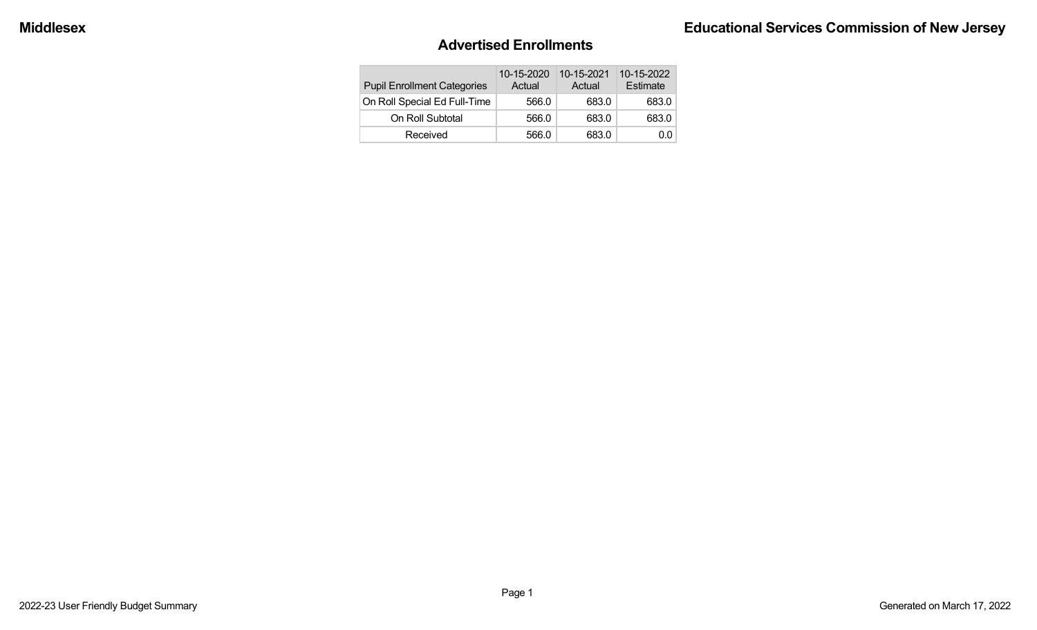#### **Advertised Enrollments**

| <b>Pupil Enrollment Categories</b> | 10-15-2020<br>Actual | 10-15-2021<br>Actual | 10-15-2022<br>Estimate |
|------------------------------------|----------------------|----------------------|------------------------|
| On Roll Special Ed Full-Time       | 566.0                | 683.0                | 683.0                  |
| On Roll Subtotal                   | 566.0                | 683.0                | 683.0                  |
| Received                           | 566.0                | 683.0                | 0.0                    |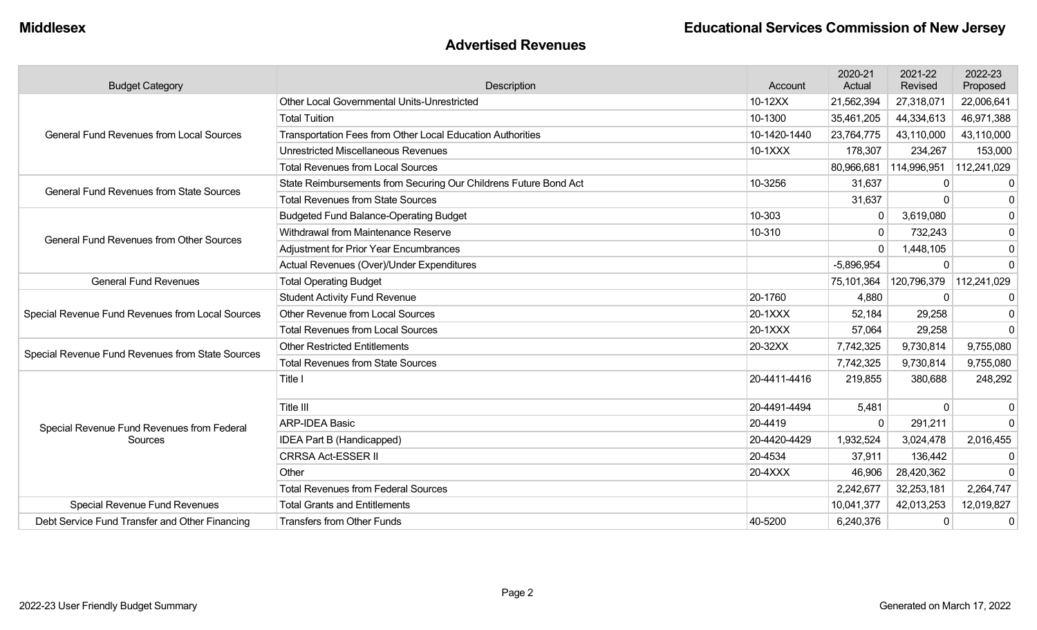#### **Advertised Revenues**

| <b>Budget Category</b>                           | Description                                                      | Account      | 2020-21<br>Actual | 2021-22<br>Revised | 2022-23<br>Proposed |
|--------------------------------------------------|------------------------------------------------------------------|--------------|-------------------|--------------------|---------------------|
|                                                  | Other Local Governmental Units-Unrestricted                      | 10-12XX      | 21,562,394        | 27,318,071         | 22,006,641          |
|                                                  | <b>Total Tuition</b>                                             | 10-1300      | 35,461,205        | 44,334,613         | 46,971,388          |
| <b>General Fund Revenues from Local Sources</b>  | Transportation Fees from Other Local Education Authorities       | 10-1420-1440 | 23,764,775        | 43,110,000         | 43,110,000          |
|                                                  | <b>Unrestricted Miscellaneous Revenues</b>                       | 10-1XXX      | 178,307           | 234,267            | 153,000             |
|                                                  | <b>Total Revenues from Local Sources</b>                         |              | 80,966,681        | 114,996,951        | 112,241,029         |
| <b>General Fund Revenues from State Sources</b>  | State Reimbursements from Securing Our Childrens Future Bond Act | 10-3256      | 31,637            |                    | $\mathbf{0}$        |
|                                                  | <b>Total Revenues from State Sources</b>                         |              | 31,637            | <sup>0</sup>       | $\mathbf 0$         |
|                                                  | <b>Budgeted Fund Balance-Operating Budget</b>                    | 10-303       | $\mathbf{0}$      | 3,619,080          | $\mathbf 0$         |
| <b>General Fund Revenues from Other Sources</b>  | Withdrawal from Maintenance Reserve                              | 10-310       | $\mathbf 0$       | 732,243            | 0                   |
|                                                  | Adjustment for Prior Year Encumbrances                           |              | $\mathbf 0$       | 1,448,105          | $\pmb{0}$           |
|                                                  | Actual Revenues (Over)/Under Expenditures                        |              | $-5,896,954$      | 0                  | $\mathbf 0$         |
| <b>General Fund Revenues</b>                     | <b>Total Operating Budget</b>                                    |              | 75,101,364        | 120,796,379        | 112,241,029         |
|                                                  | <b>Student Activity Fund Revenue</b>                             | 20-1760      | 4,880             | $\mathbf{0}$       | 0                   |
| Special Revenue Fund Revenues from Local Sources | Other Revenue from Local Sources                                 | 20-1XXX      | 52,184            | 29,258             | $\mathbf 0$         |
|                                                  | <b>Total Revenues from Local Sources</b>                         | 20-1XXX      | 57,064            | 29,258             | $\Omega$            |
| Special Revenue Fund Revenues from State Sources | <b>Other Restricted Entitlements</b>                             | 20-32XX      | 7,742,325         | 9,730,814          | 9,755,080           |
|                                                  | <b>Total Revenues from State Sources</b>                         |              | 7,742,325         | 9,730,814          | 9,755,080           |
|                                                  | Title I                                                          | 20-4411-4416 | 219,855           | 380,688            | 248,292             |
|                                                  | <b>Title III</b>                                                 | 20-4491-4494 | 5,481             | $\Omega$           | $\Omega$            |
| Special Revenue Fund Revenues from Federal       | <b>ARP-IDEA Basic</b>                                            | 20-4419      | $\Omega$          | 291,211            | $\Omega$            |
| Sources                                          | IDEA Part B (Handicapped)                                        | 20-4420-4429 | 1,932,524         | 3,024,478          | 2,016,455           |
|                                                  | <b>CRRSA Act-ESSER II</b>                                        | 20-4534      | 37,911            | 136,442            |                     |
|                                                  | Other                                                            | 20-4XXX      | 46,906            | 28,420,362         | $\Omega$            |
|                                                  | <b>Total Revenues from Federal Sources</b>                       |              | 2,242,677         | 32,253,181         | 2,264,747           |
| <b>Special Revenue Fund Revenues</b>             | <b>Total Grants and Entitlements</b>                             |              | 10,041,377        | 42,013,253         | 12,019,827          |
| Debt Service Fund Transfer and Other Financing   | <b>Transfers from Other Funds</b>                                | 40-5200      | 6,240,376         | 0                  | $\mathbf 0$         |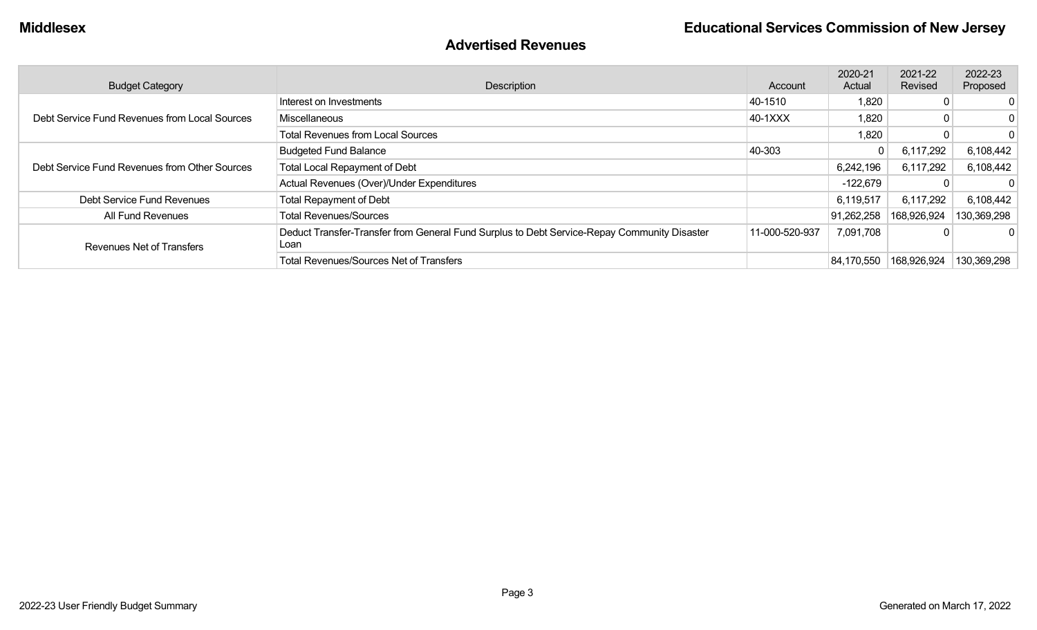#### **Advertised Revenues**

| <b>Budget Category</b>                        | Description                                                                                         | Account        | 2020-21<br>Actual | 2021-22<br>Revised | 2022-23<br>Proposed |
|-----------------------------------------------|-----------------------------------------------------------------------------------------------------|----------------|-------------------|--------------------|---------------------|
|                                               | Interest on Investments                                                                             | 40-1510        | 1,820             |                    | 0                   |
| Debt Service Fund Revenues from Local Sources | Miscellaneous                                                                                       | 40-1XXX        | 1,820             |                    | 0                   |
|                                               | <b>Total Revenues from Local Sources</b>                                                            |                | 1,820             |                    | $\Omega$            |
| Debt Service Fund Revenues from Other Sources | <b>Budgeted Fund Balance</b>                                                                        | 40-303         | $\overline{0}$    | 6,117,292          | 6,108,442           |
|                                               | <b>Total Local Repayment of Debt</b>                                                                |                | 6,242,196         | 6,117,292          | 6,108,442           |
|                                               | Actual Revenues (Over)/Under Expenditures                                                           |                | -122,679          |                    |                     |
| Debt Service Fund Revenues                    | <b>Total Repayment of Debt</b>                                                                      |                | 6,119,517         | 6,117,292          | 6,108,442           |
| All Fund Revenues                             | <b>Total Revenues/Sources</b>                                                                       |                | 91,262,258        | 168,926,924        | 130,369,298         |
| <b>Revenues Net of Transfers</b>              | Deduct Transfer-Transfer from General Fund Surplus to Debt Service-Repay Community Disaster<br>Loan | 11-000-520-937 | 7,091,708         |                    |                     |
|                                               | <b>Total Revenues/Sources Net of Transfers</b>                                                      |                | 84,170,550        | 168,926,924        | 130,369,298         |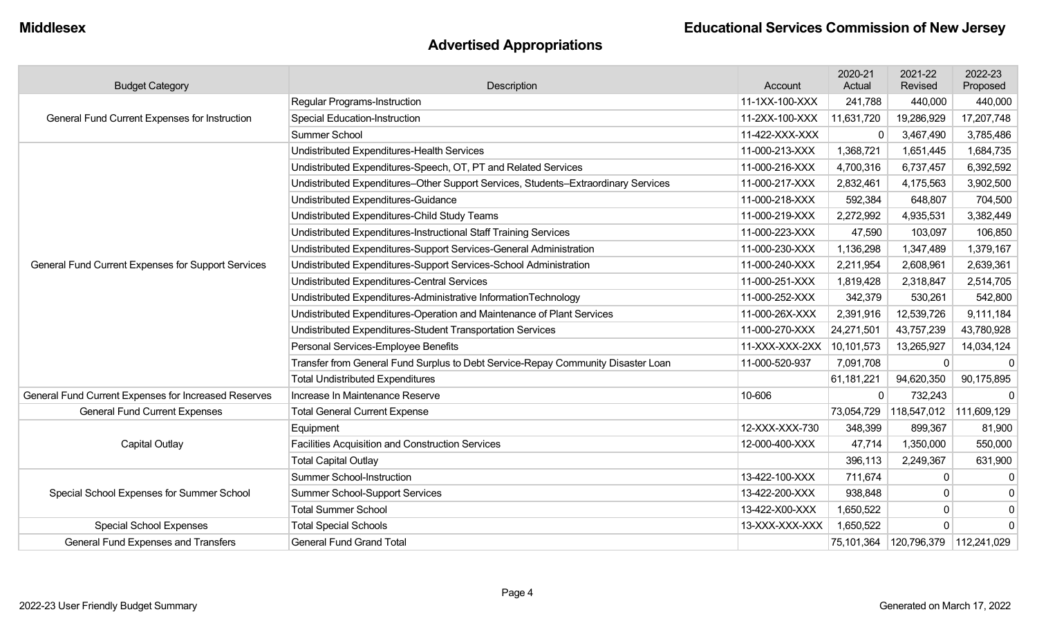## **Advertised Appropriations**

| <b>Budget Category</b>                               | Description                                                                        | Account        | 2020-21<br>Actual | 2021-22<br>Revised | 2022-23<br>Proposed     |
|------------------------------------------------------|------------------------------------------------------------------------------------|----------------|-------------------|--------------------|-------------------------|
|                                                      | Regular Programs-Instruction                                                       | 11-1XX-100-XXX | 241,788           | 440,000            | 440,000                 |
| General Fund Current Expenses for Instruction        | <b>Special Education-Instruction</b>                                               | 11-2XX-100-XXX | 11,631,720        | 19,286,929         | 17,207,748              |
|                                                      | <b>Summer School</b>                                                               | 11-422-XXX-XXX | $\Omega$          | 3,467,490          | 3,785,486               |
|                                                      | Undistributed Expenditures-Health Services                                         | 11-000-213-XXX | 1,368,721         | 1,651,445          | 1,684,735               |
|                                                      | Undistributed Expenditures-Speech, OT, PT and Related Services                     | 11-000-216-XXX | 4,700,316         | 6,737,457          | 6,392,592               |
|                                                      | Undistributed Expenditures-Other Support Services, Students-Extraordinary Services | 11-000-217-XXX | 2,832,461         | 4,175,563          | 3,902,500               |
|                                                      | Undistributed Expenditures-Guidance                                                | 11-000-218-XXX | 592,384           | 648,807            | 704,500                 |
|                                                      | Undistributed Expenditures-Child Study Teams                                       | 11-000-219-XXX | 2,272,992         | 4,935,531          | 3,382,449               |
|                                                      | Undistributed Expenditures-Instructional Staff Training Services                   | 11-000-223-XXX | 47,590            | 103,097            | 106,850                 |
|                                                      | Undistributed Expenditures-Support Services-General Administration                 | 11-000-230-XXX | 1,136,298         | 1,347,489          | 1,379,167               |
| General Fund Current Expenses for Support Services   | Undistributed Expenditures-Support Services-School Administration                  | 11-000-240-XXX | 2,211,954         | 2,608,961          | 2,639,361               |
|                                                      | <b>Undistributed Expenditures-Central Services</b>                                 | 11-000-251-XXX | 1,819,428         | 2,318,847          | 2,514,705               |
|                                                      | Undistributed Expenditures-Administrative InformationTechnology                    | 11-000-252-XXX | 342,379           | 530,261            | 542,800                 |
|                                                      | Undistributed Expenditures-Operation and Maintenance of Plant Services             | 11-000-26X-XXX | 2,391,916         | 12,539,726         | 9,111,184               |
|                                                      | Undistributed Expenditures-Student Transportation Services                         | 11-000-270-XXX | 24,271,501        | 43,757,239         | 43,780,928              |
|                                                      | Personal Services-Employee Benefits                                                | 11-XXX-XXX-2XX | 10,101,573        | 13,265,927         | 14,034,124              |
|                                                      | Transfer from General Fund Surplus to Debt Service-Repay Community Disaster Loan   | 11-000-520-937 | 7,091,708         | 0                  | $\mathbf 0$             |
|                                                      | <b>Total Undistributed Expenditures</b>                                            |                | 61,181,221        | 94,620,350         | 90,175,895              |
| General Fund Current Expenses for Increased Reserves | Increase In Maintenance Reserve                                                    | 10-606         | $\mathbf 0$       | 732,243            | $\Omega$                |
| <b>General Fund Current Expenses</b>                 | <b>Total General Current Expense</b>                                               |                | 73,054,729        |                    | 118,547,012 111,609,129 |
|                                                      | Equipment                                                                          | 12-XXX-XXX-730 | 348,399           | 899,367            | 81,900                  |
| Capital Outlay                                       | Facilities Acquisition and Construction Services                                   | 12-000-400-XXX | 47,714            | 1,350,000          | 550,000                 |
|                                                      | <b>Total Capital Outlay</b>                                                        |                | 396,113           | 2,249,367          | 631,900                 |
|                                                      | <b>Summer School-Instruction</b>                                                   | 13-422-100-XXX | 711,674           | 0                  | $\mathbf 0$             |
| Special School Expenses for Summer School            | <b>Summer School-Support Services</b>                                              | 13-422-200-XXX | 938,848           | 0                  | $\mathbf 0$             |
|                                                      | <b>Total Summer School</b>                                                         | 13-422-X00-XXX | 1,650,522         | 0                  | $\pmb{0}$               |
| <b>Special School Expenses</b>                       | <b>Total Special Schools</b>                                                       | 13-XXX-XXX-XXX | 1,650,522         | 0                  | $\mathbf 0$             |
| <b>General Fund Expenses and Transfers</b>           | <b>General Fund Grand Total</b>                                                    |                | 75,101,364        | 120,796,379        | 112,241,029             |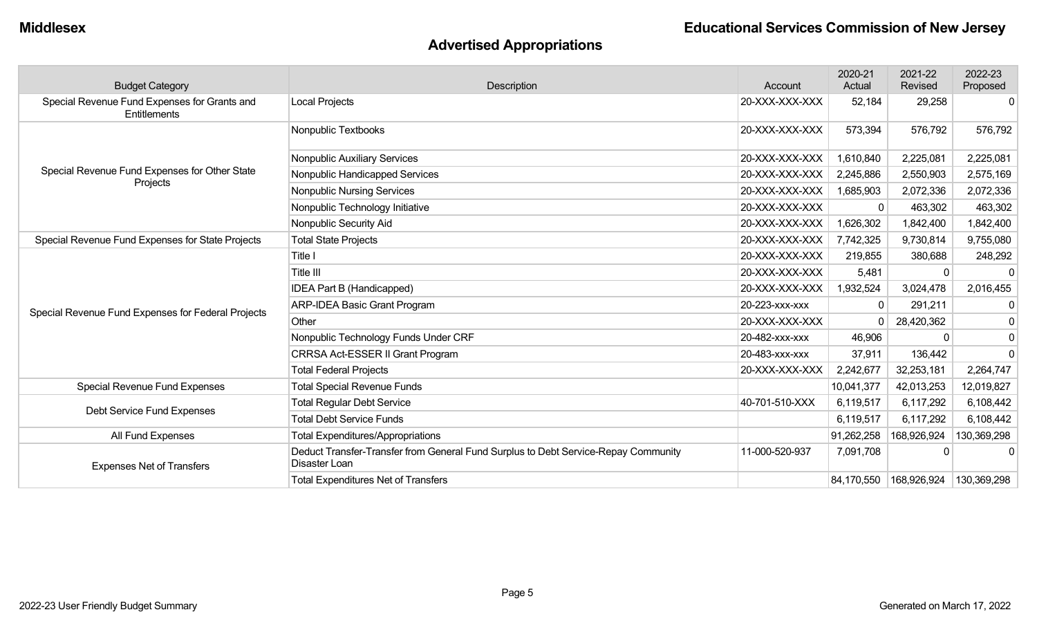## **Advertised Appropriations**

| <b>Budget Category</b>                                       | Description                                                                                         | Account        | 2020-21<br>Actual | 2021-22<br>Revised | 2022-23<br>Proposed |
|--------------------------------------------------------------|-----------------------------------------------------------------------------------------------------|----------------|-------------------|--------------------|---------------------|
| Special Revenue Fund Expenses for Grants and<br>Entitlements | <b>Local Projects</b>                                                                               | 20-XXX-XXX-XXX | 52,184            | 29,258             | $\mathbf{0}$        |
|                                                              | Nonpublic Textbooks                                                                                 | 20-XXX-XXX-XXX | 573,394           | 576,792            | 576,792             |
|                                                              | Nonpublic Auxiliary Services                                                                        | 20-XXX-XXX-XXX | 1,610,840         | 2,225,081          | 2,225,081           |
| Special Revenue Fund Expenses for Other State                | Nonpublic Handicapped Services                                                                      | 20-XXX-XXX-XXX | 2,245,886         | 2,550,903          | 2,575,169           |
| Projects                                                     | <b>Nonpublic Nursing Services</b>                                                                   | 20-XXX-XXX-XXX | 1,685,903         | 2,072,336          | 2,072,336           |
|                                                              | Nonpublic Technology Initiative                                                                     | 20-XXX-XXX-XXX | $\Omega$          | 463,302            | 463,302             |
|                                                              | Nonpublic Security Aid                                                                              | 20-XXX-XXX-XXX | 1,626,302         | 1,842,400          | 1,842,400           |
| Special Revenue Fund Expenses for State Projects             | <b>Total State Projects</b>                                                                         | 20-XXX-XXX-XXX | 7,742,325         | 9,730,814          | 9,755,080           |
|                                                              | Title I                                                                                             | 20-XXX-XXX-XXX | 219,855           | 380,688            | 248,292             |
|                                                              | Title III                                                                                           | 20-XXX-XXX-XXX | 5,481             | $\Omega$           | $\Omega$            |
|                                                              | IDEA Part B (Handicapped)                                                                           | 20-XXX-XXX-XXX | 1,932,524         | 3,024,478          | 2,016,455           |
| Special Revenue Fund Expenses for Federal Projects           | <b>ARP-IDEA Basic Grant Program</b>                                                                 | 20-223-XXX-XXX | 0                 | 291,211            | 0                   |
|                                                              | Other                                                                                               | 20-XXX-XXX-XXX | $\Omega$          | 28,420,362         | $\mathbf 0$         |
|                                                              | Nonpublic Technology Funds Under CRF                                                                | 20-482-xxx-xxx | 46,906            | $\mathbf{0}$       | $\mathbf 0$         |
|                                                              | CRRSA Act-ESSER II Grant Program                                                                    | 20-483-XXX-XXX | 37,911            | 136,442            | $\Omega$            |
|                                                              | <b>Total Federal Projects</b>                                                                       | 20-XXX-XXX-XXX | 2,242,677         | 32,253,181         | 2,264,747           |
| Special Revenue Fund Expenses                                | <b>Total Special Revenue Funds</b>                                                                  |                | 10,041,377        | 42,013,253         | 12,019,827          |
|                                                              | <b>Total Regular Debt Service</b>                                                                   | 40-701-510-XXX | 6,119,517         | 6,117,292          | 6,108,442           |
| Debt Service Fund Expenses                                   | <b>Total Debt Service Funds</b>                                                                     |                | 6,119,517         | 6,117,292          | 6,108,442           |
| All Fund Expenses                                            | <b>Total Expenditures/Appropriations</b>                                                            |                | 91,262,258        | 168,926,924        | 130,369,298         |
| <b>Expenses Net of Transfers</b>                             | Deduct Transfer-Transfer from General Fund Surplus to Debt Service-Repay Community<br>Disaster Loan | 11-000-520-937 | 7,091,708         |                    |                     |
|                                                              | <b>Total Expenditures Net of Transfers</b>                                                          |                | 84,170,550        | 168,926,924        | 130,369,298         |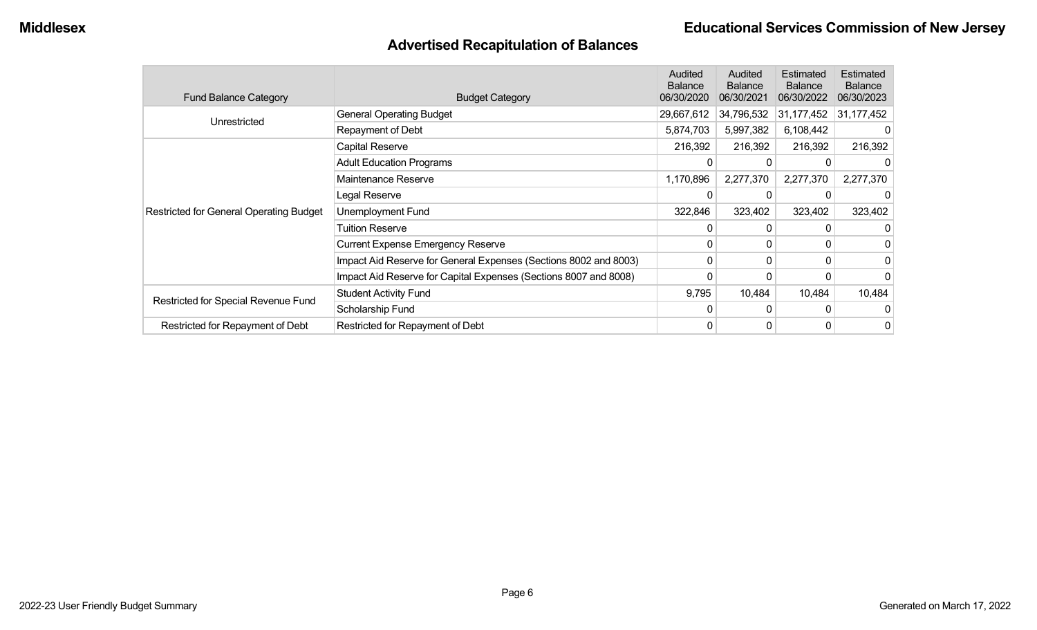### **Advertised Recapitulation of Balances**

| <b>Fund Balance Category</b>                   | <b>Budget Category</b>                                           | Audited<br><b>Balance</b><br>06/30/2020 | Audited<br><b>Balance</b><br>06/30/2021 | Estimated<br><b>Balance</b><br>06/30/2022 | Estimated<br><b>Balance</b><br>06/30/2023 |
|------------------------------------------------|------------------------------------------------------------------|-----------------------------------------|-----------------------------------------|-------------------------------------------|-------------------------------------------|
|                                                | <b>General Operating Budget</b>                                  | 29,667,612                              | 34,796,532                              | 31,177,452                                | 31,177,452                                |
| Unrestricted                                   | Repayment of Debt                                                | 5,874,703                               | 5,997,382                               | 6,108,442                                 |                                           |
|                                                | Capital Reserve                                                  | 216,392                                 | 216,392                                 | 216,392                                   | 216,392                                   |
|                                                | <b>Adult Education Programs</b>                                  | 0                                       |                                         |                                           | 0                                         |
|                                                | Maintenance Reserve                                              | 1,170,896                               | 2,277,370                               | 2,277,370                                 | 2,277,370                                 |
|                                                | Legal Reserve                                                    | 0                                       |                                         |                                           |                                           |
| <b>Restricted for General Operating Budget</b> | Unemployment Fund                                                | 322,846                                 | 323,402                                 | 323,402                                   | 323,402                                   |
|                                                | <b>Tuition Reserve</b>                                           | 0                                       | 0                                       |                                           | 0                                         |
|                                                | <b>Current Expense Emergency Reserve</b>                         | 0                                       | 0                                       |                                           | 0                                         |
|                                                | Impact Aid Reserve for General Expenses (Sections 8002 and 8003) | 0                                       | 0                                       |                                           | $\overline{0}$                            |
|                                                | Impact Aid Reserve for Capital Expenses (Sections 8007 and 8008) | 0                                       |                                         |                                           | $\overline{0}$                            |
| Restricted for Special Revenue Fund            | <b>Student Activity Fund</b>                                     | 9,795                                   | 10,484                                  | 10,484                                    | 10,484                                    |
|                                                | Scholarship Fund                                                 | 0                                       | 0                                       |                                           | 0                                         |
| Restricted for Repayment of Debt               | Restricted for Repayment of Debt                                 | 0                                       | 0                                       | 0                                         | $\overline{0}$                            |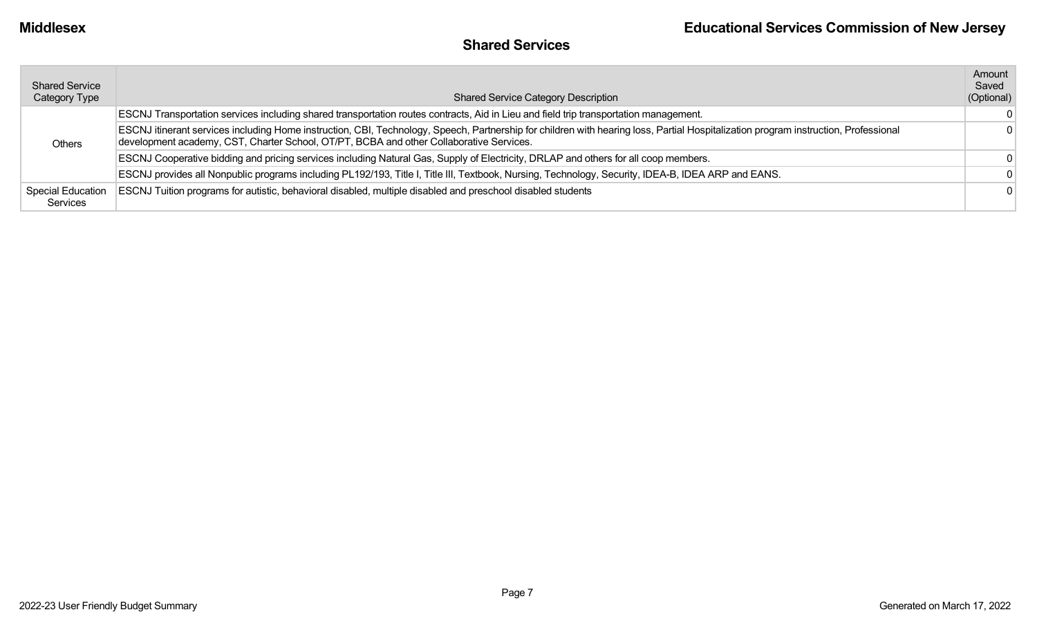## **Shared Services**

| <b>Shared Service</b><br>Category Type | <b>Shared Service Category Description</b>                                                                                                                                                                                                                                     | Amount<br>Saved<br>(Optional) |
|----------------------------------------|--------------------------------------------------------------------------------------------------------------------------------------------------------------------------------------------------------------------------------------------------------------------------------|-------------------------------|
|                                        | ESCNJ Transportation services including shared transportation routes contracts, Aid in Lieu and field trip transportation management.                                                                                                                                          | $\Omega$                      |
| Others                                 | ESCNJ itinerant services including Home instruction, CBI, Technology, Speech, Partnership for children with hearing loss, Partial Hospitalization program instruction, Professional<br>development academy, CST, Charter School, OT/PT, BCBA and other Collaborative Services. | $\Omega$                      |
|                                        | ESCNJ Cooperative bidding and pricing services including Natural Gas, Supply of Electricity, DRLAP and others for all coop members.                                                                                                                                            | $\Omega$                      |
|                                        | ESCNJ provides all Nonpublic programs including PL192/193, Title I, Title III, Textbook, Nursing, Technology, Security, IDEA-B, IDEA ARP and EANS.                                                                                                                             | $\Omega$                      |
| <b>Special Education</b><br>Services   | ESCNJ Tuition programs for autistic, behavioral disabled, multiple disabled and preschool disabled students                                                                                                                                                                    | $\Omega$                      |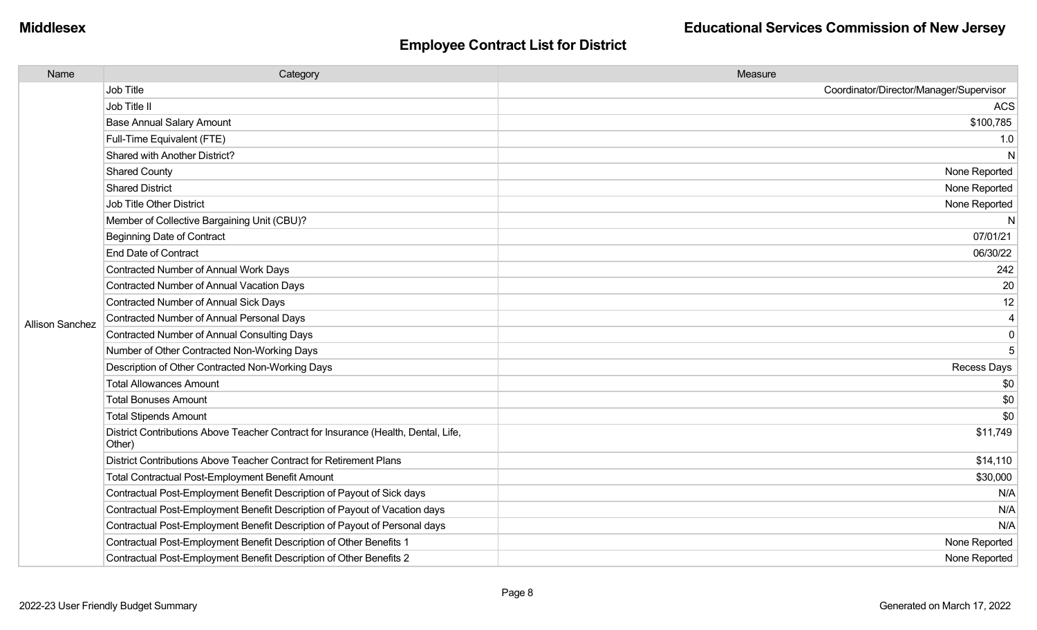| Name                   | Category                                                                                     | Measure                                 |
|------------------------|----------------------------------------------------------------------------------------------|-----------------------------------------|
|                        | Job Title                                                                                    | Coordinator/Director/Manager/Supervisor |
|                        | Job Title II                                                                                 | <b>ACS</b>                              |
|                        | <b>Base Annual Salary Amount</b>                                                             | \$100,785                               |
|                        | Full-Time Equivalent (FTE)                                                                   | 1.0                                     |
|                        | Shared with Another District?                                                                | N                                       |
|                        | <b>Shared County</b>                                                                         | None Reported                           |
|                        | <b>Shared District</b>                                                                       | None Reported                           |
|                        | <b>Job Title Other District</b>                                                              | None Reported                           |
|                        | Member of Collective Bargaining Unit (CBU)?                                                  | N                                       |
|                        | <b>Beginning Date of Contract</b>                                                            | 07/01/21                                |
|                        | <b>End Date of Contract</b>                                                                  | 06/30/22                                |
|                        | Contracted Number of Annual Work Days                                                        | 242                                     |
|                        | <b>Contracted Number of Annual Vacation Days</b>                                             | 20                                      |
| <b>Allison Sanchez</b> | Contracted Number of Annual Sick Days                                                        | 12                                      |
|                        | <b>Contracted Number of Annual Personal Days</b>                                             | 4                                       |
|                        | <b>Contracted Number of Annual Consulting Days</b>                                           | $\pmb{0}$                               |
|                        | Number of Other Contracted Non-Working Days                                                  | 5                                       |
|                        | Description of Other Contracted Non-Working Days                                             | Recess Days                             |
|                        | <b>Total Allowances Amount</b>                                                               | \$0                                     |
|                        | <b>Total Bonuses Amount</b>                                                                  | \$0                                     |
|                        | <b>Total Stipends Amount</b>                                                                 | \$0                                     |
|                        | District Contributions Above Teacher Contract for Insurance (Health, Dental, Life,<br>Other) | \$11,749                                |
|                        | District Contributions Above Teacher Contract for Retirement Plans                           | \$14,110                                |
|                        | <b>Total Contractual Post-Employment Benefit Amount</b>                                      | \$30,000                                |
|                        | Contractual Post-Employment Benefit Description of Payout of Sick days                       | N/A                                     |
|                        | Contractual Post-Employment Benefit Description of Payout of Vacation days                   | N/A                                     |
|                        | Contractual Post-Employment Benefit Description of Payout of Personal days                   | N/A                                     |
|                        | Contractual Post-Employment Benefit Description of Other Benefits 1                          | None Reported                           |
|                        | Contractual Post-Employment Benefit Description of Other Benefits 2                          | None Reported                           |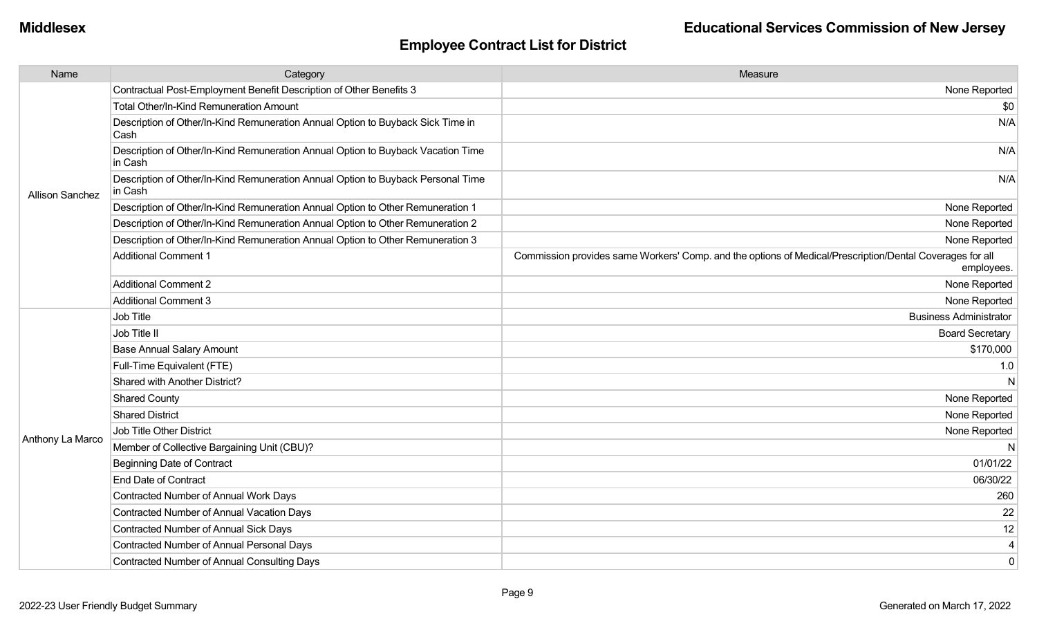| Name                   | Category                                                                                    | Measure                                                                                                                |
|------------------------|---------------------------------------------------------------------------------------------|------------------------------------------------------------------------------------------------------------------------|
|                        | Contractual Post-Employment Benefit Description of Other Benefits 3                         | None Reported                                                                                                          |
|                        | Total Other/In-Kind Remuneration Amount                                                     | \$0                                                                                                                    |
|                        | Description of Other/In-Kind Remuneration Annual Option to Buyback Sick Time in<br>Cash     | N/A                                                                                                                    |
|                        | Description of Other/In-Kind Remuneration Annual Option to Buyback Vacation Time<br>in Cash | N/A                                                                                                                    |
| <b>Allison Sanchez</b> | Description of Other/In-Kind Remuneration Annual Option to Buyback Personal Time<br>in Cash | N/A                                                                                                                    |
|                        | Description of Other/In-Kind Remuneration Annual Option to Other Remuneration 1             | None Reported                                                                                                          |
|                        | Description of Other/In-Kind Remuneration Annual Option to Other Remuneration 2             | None Reported                                                                                                          |
|                        | Description of Other/In-Kind Remuneration Annual Option to Other Remuneration 3             | None Reported                                                                                                          |
|                        | <b>Additional Comment 1</b>                                                                 | Commission provides same Workers' Comp. and the options of Medical/Prescription/Dental Coverages for all<br>employees. |
|                        | <b>Additional Comment 2</b>                                                                 | None Reported                                                                                                          |
|                        | <b>Additional Comment 3</b>                                                                 | None Reported                                                                                                          |
|                        | Job Title                                                                                   | <b>Business Administrator</b>                                                                                          |
|                        | Job Title II                                                                                | <b>Board Secretary</b>                                                                                                 |
|                        | <b>Base Annual Salary Amount</b>                                                            | \$170,000                                                                                                              |
|                        | Full-Time Equivalent (FTE)                                                                  | 1.0                                                                                                                    |
|                        | Shared with Another District?                                                               | N                                                                                                                      |
|                        | <b>Shared County</b>                                                                        | None Reported                                                                                                          |
|                        | <b>Shared District</b>                                                                      | None Reported                                                                                                          |
| Anthony La Marco       | Job Title Other District                                                                    | None Reported                                                                                                          |
|                        | Member of Collective Bargaining Unit (CBU)?                                                 | N                                                                                                                      |
|                        | <b>Beginning Date of Contract</b>                                                           | 01/01/22                                                                                                               |
|                        | <b>End Date of Contract</b>                                                                 | 06/30/22                                                                                                               |
|                        | Contracted Number of Annual Work Days                                                       | 260                                                                                                                    |
|                        | Contracted Number of Annual Vacation Days                                                   | 22                                                                                                                     |
|                        | Contracted Number of Annual Sick Days                                                       | 12                                                                                                                     |
|                        | Contracted Number of Annual Personal Days                                                   | $\overline{4}$                                                                                                         |
|                        | <b>Contracted Number of Annual Consulting Days</b>                                          | $\mathbf 0$                                                                                                            |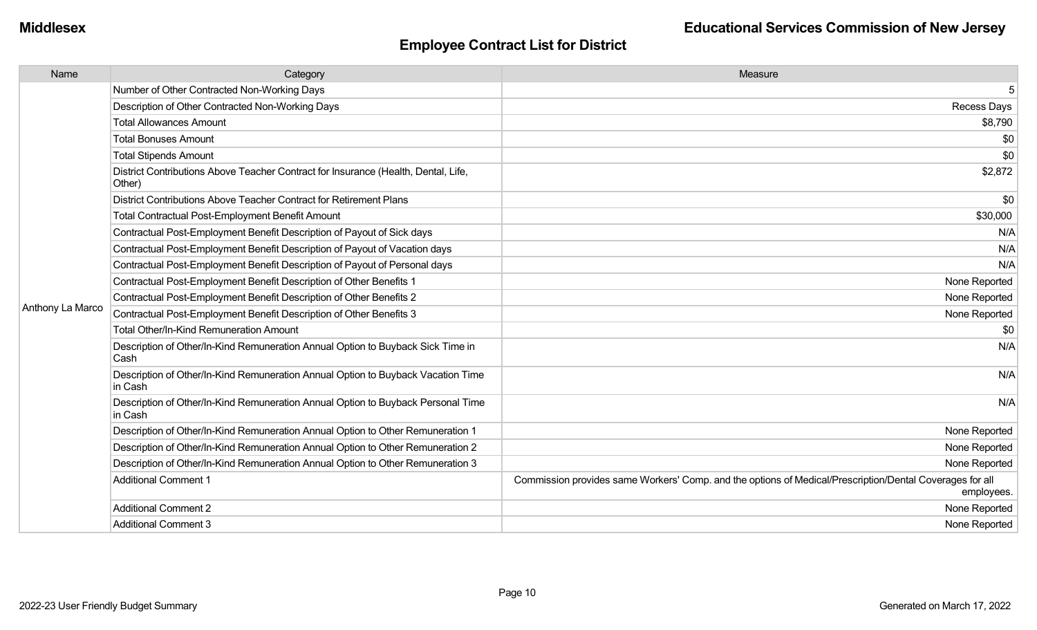| Name             | Category                                                                                     | Measure                                                                                                                |
|------------------|----------------------------------------------------------------------------------------------|------------------------------------------------------------------------------------------------------------------------|
|                  | Number of Other Contracted Non-Working Days                                                  | 5                                                                                                                      |
|                  | Description of Other Contracted Non-Working Days                                             | Recess Days                                                                                                            |
|                  | <b>Total Allowances Amount</b>                                                               | \$8,790                                                                                                                |
|                  | <b>Total Bonuses Amount</b>                                                                  | \$0                                                                                                                    |
|                  | <b>Total Stipends Amount</b>                                                                 | \$0                                                                                                                    |
|                  | District Contributions Above Teacher Contract for Insurance (Health, Dental, Life,<br>Other) | \$2,872                                                                                                                |
|                  | District Contributions Above Teacher Contract for Retirement Plans                           | \$0                                                                                                                    |
|                  | <b>Total Contractual Post-Employment Benefit Amount</b>                                      | \$30,000                                                                                                               |
|                  | Contractual Post-Employment Benefit Description of Payout of Sick days                       | N/A                                                                                                                    |
|                  | Contractual Post-Employment Benefit Description of Payout of Vacation days                   | N/A                                                                                                                    |
|                  | Contractual Post-Employment Benefit Description of Payout of Personal days                   | N/A                                                                                                                    |
|                  | Contractual Post-Employment Benefit Description of Other Benefits 1                          | None Reported                                                                                                          |
|                  | Contractual Post-Employment Benefit Description of Other Benefits 2                          | None Reported                                                                                                          |
| Anthony La Marco | Contractual Post-Employment Benefit Description of Other Benefits 3                          | None Reported                                                                                                          |
|                  | <b>Total Other/In-Kind Remuneration Amount</b>                                               | \$0                                                                                                                    |
|                  | Description of Other/In-Kind Remuneration Annual Option to Buyback Sick Time in<br>Cash      | N/A                                                                                                                    |
|                  | Description of Other/In-Kind Remuneration Annual Option to Buyback Vacation Time<br>in Cash  | N/A                                                                                                                    |
|                  | Description of Other/In-Kind Remuneration Annual Option to Buyback Personal Time<br>in Cash  | N/A                                                                                                                    |
|                  | Description of Other/In-Kind Remuneration Annual Option to Other Remuneration 1              | None Reported                                                                                                          |
|                  | Description of Other/In-Kind Remuneration Annual Option to Other Remuneration 2              | None Reported                                                                                                          |
|                  | Description of Other/In-Kind Remuneration Annual Option to Other Remuneration 3              | None Reported                                                                                                          |
|                  | <b>Additional Comment 1</b>                                                                  | Commission provides same Workers' Comp. and the options of Medical/Prescription/Dental Coverages for all<br>employees. |
|                  | <b>Additional Comment 2</b>                                                                  | None Reported                                                                                                          |
|                  | <b>Additional Comment 3</b>                                                                  | None Reported                                                                                                          |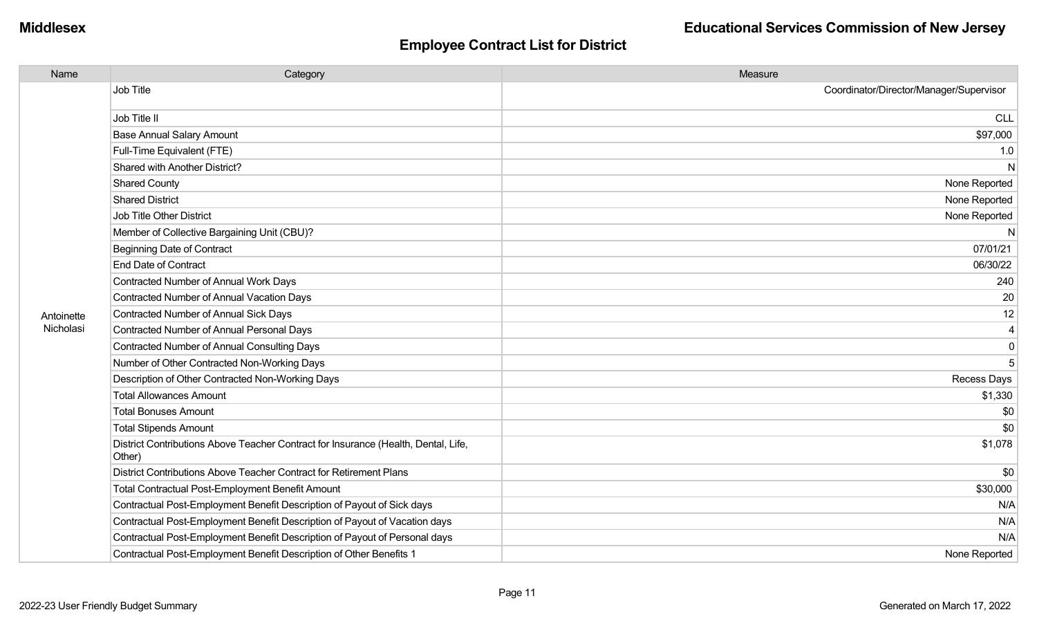| Name       | Category                                                                                     | Measure                                 |
|------------|----------------------------------------------------------------------------------------------|-----------------------------------------|
|            | Job Title                                                                                    | Coordinator/Director/Manager/Supervisor |
|            | Job Title II                                                                                 | <b>CLL</b>                              |
|            | <b>Base Annual Salary Amount</b>                                                             | \$97,000                                |
|            | Full-Time Equivalent (FTE)                                                                   | 1.0                                     |
|            | Shared with Another District?                                                                | N                                       |
|            | <b>Shared County</b>                                                                         | None Reported                           |
|            | <b>Shared District</b>                                                                       | None Reported                           |
|            | Job Title Other District                                                                     | None Reported                           |
|            | Member of Collective Bargaining Unit (CBU)?                                                  | N                                       |
|            | Beginning Date of Contract                                                                   | 07/01/21                                |
|            | <b>End Date of Contract</b>                                                                  | 06/30/22                                |
|            | Contracted Number of Annual Work Days                                                        | 240                                     |
|            | Contracted Number of Annual Vacation Days                                                    | 20                                      |
| Antoinette | <b>Contracted Number of Annual Sick Days</b>                                                 | 12                                      |
| Nicholasi  | Contracted Number of Annual Personal Days                                                    | $\overline{4}$                          |
|            | Contracted Number of Annual Consulting Days                                                  | $\mathbf 0$                             |
|            | Number of Other Contracted Non-Working Days                                                  | 5                                       |
|            | Description of Other Contracted Non-Working Days                                             | Recess Days                             |
|            | <b>Total Allowances Amount</b>                                                               | \$1,330                                 |
|            | <b>Total Bonuses Amount</b>                                                                  | \$0                                     |
|            | <b>Total Stipends Amount</b>                                                                 | \$0                                     |
|            | District Contributions Above Teacher Contract for Insurance (Health, Dental, Life,<br>Other) | \$1,078                                 |
|            | District Contributions Above Teacher Contract for Retirement Plans                           | \$0                                     |
|            | <b>Total Contractual Post-Employment Benefit Amount</b>                                      | \$30,000                                |
|            | Contractual Post-Employment Benefit Description of Payout of Sick days                       | N/A                                     |
|            | Contractual Post-Employment Benefit Description of Payout of Vacation days                   | N/A                                     |
|            | Contractual Post-Employment Benefit Description of Payout of Personal days                   | N/A                                     |
|            | Contractual Post-Employment Benefit Description of Other Benefits 1                          | None Reported                           |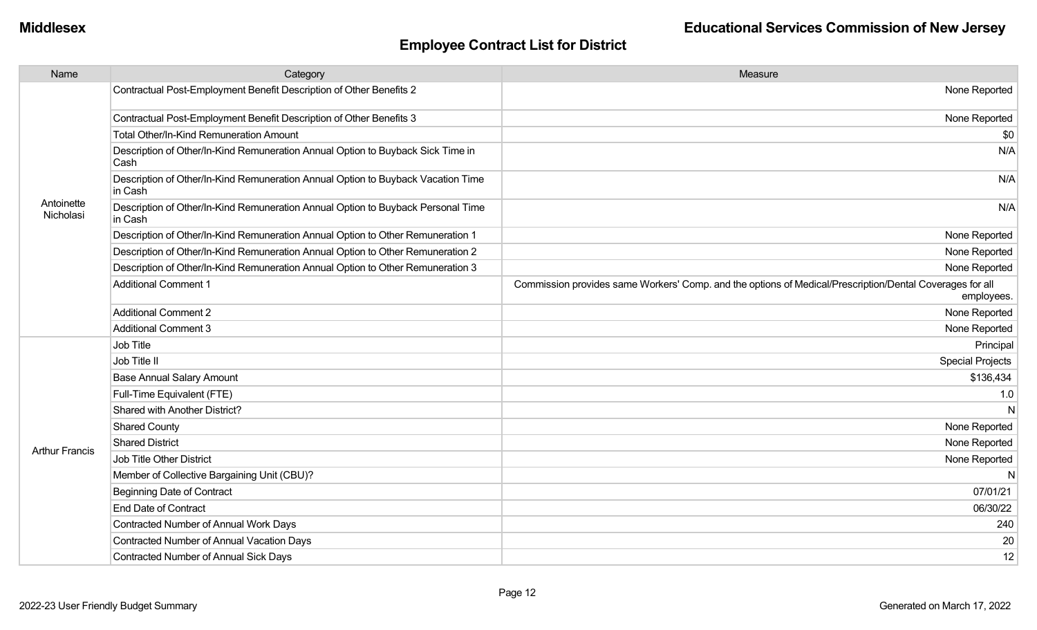| Name                    | Category                                                                                    | Measure                                                                                                                |
|-------------------------|---------------------------------------------------------------------------------------------|------------------------------------------------------------------------------------------------------------------------|
|                         | Contractual Post-Employment Benefit Description of Other Benefits 2                         | None Reported                                                                                                          |
|                         | Contractual Post-Employment Benefit Description of Other Benefits 3                         | None Reported                                                                                                          |
|                         | Total Other/In-Kind Remuneration Amount                                                     | \$0                                                                                                                    |
|                         | Description of Other/In-Kind Remuneration Annual Option to Buyback Sick Time in<br>Cash     | N/A                                                                                                                    |
|                         | Description of Other/In-Kind Remuneration Annual Option to Buyback Vacation Time<br>in Cash | N/A                                                                                                                    |
| Antoinette<br>Nicholasi | Description of Other/In-Kind Remuneration Annual Option to Buyback Personal Time<br>in Cash | N/A                                                                                                                    |
|                         | Description of Other/In-Kind Remuneration Annual Option to Other Remuneration 1             | None Reported                                                                                                          |
|                         | Description of Other/In-Kind Remuneration Annual Option to Other Remuneration 2             | None Reported                                                                                                          |
|                         | Description of Other/In-Kind Remuneration Annual Option to Other Remuneration 3             | None Reported                                                                                                          |
|                         | <b>Additional Comment 1</b>                                                                 | Commission provides same Workers' Comp. and the options of Medical/Prescription/Dental Coverages for all<br>employees. |
|                         | <b>Additional Comment 2</b>                                                                 | None Reported                                                                                                          |
|                         | <b>Additional Comment 3</b>                                                                 | None Reported                                                                                                          |
|                         | Job Title                                                                                   | Principal                                                                                                              |
|                         | Job Title II                                                                                | <b>Special Projects</b>                                                                                                |
|                         | <b>Base Annual Salary Amount</b>                                                            | \$136,434                                                                                                              |
|                         | Full-Time Equivalent (FTE)                                                                  | 1.0                                                                                                                    |
|                         | Shared with Another District?                                                               | N                                                                                                                      |
|                         | <b>Shared County</b>                                                                        | None Reported                                                                                                          |
| <b>Arthur Francis</b>   | <b>Shared District</b>                                                                      | None Reported                                                                                                          |
|                         | Job Title Other District                                                                    | None Reported                                                                                                          |
|                         | Member of Collective Bargaining Unit (CBU)?                                                 | N                                                                                                                      |
|                         | <b>Beginning Date of Contract</b>                                                           | 07/01/21                                                                                                               |
|                         | <b>End Date of Contract</b>                                                                 | 06/30/22                                                                                                               |
|                         | Contracted Number of Annual Work Days                                                       | 240                                                                                                                    |
|                         | <b>Contracted Number of Annual Vacation Days</b>                                            | 20                                                                                                                     |
|                         | Contracted Number of Annual Sick Days                                                       | 12                                                                                                                     |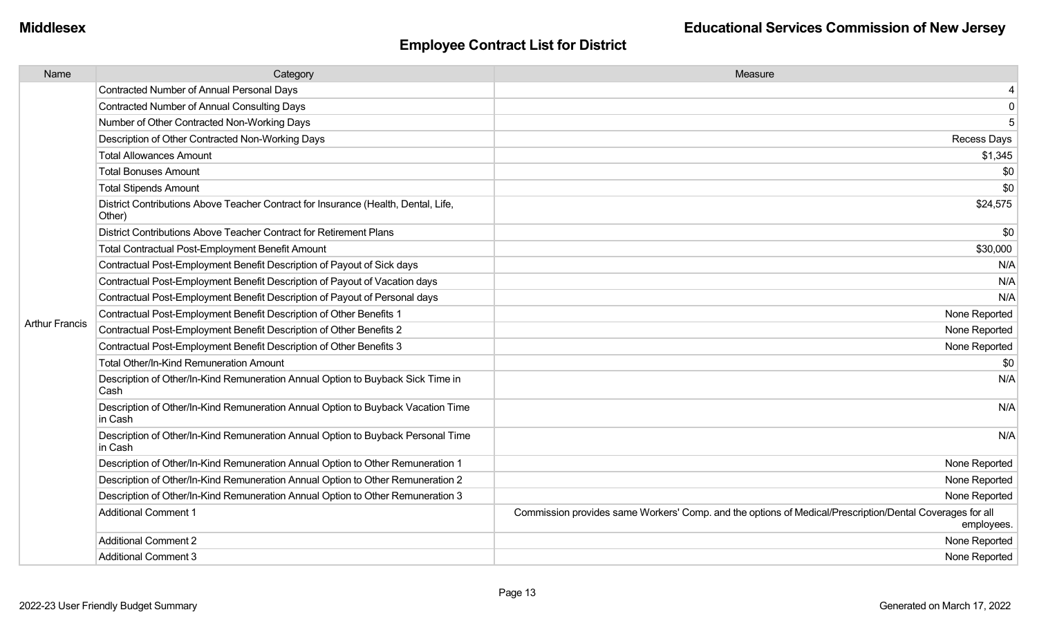| Name                  | Category                                                                                     | Measure                                                                                                                |
|-----------------------|----------------------------------------------------------------------------------------------|------------------------------------------------------------------------------------------------------------------------|
|                       | <b>Contracted Number of Annual Personal Days</b>                                             |                                                                                                                        |
|                       | <b>Contracted Number of Annual Consulting Days</b>                                           | $\mathbf 0$                                                                                                            |
|                       | Number of Other Contracted Non-Working Days                                                  | 5                                                                                                                      |
|                       | Description of Other Contracted Non-Working Days                                             | <b>Recess Days</b>                                                                                                     |
|                       | <b>Total Allowances Amount</b>                                                               | \$1,345                                                                                                                |
|                       | <b>Total Bonuses Amount</b>                                                                  | \$0                                                                                                                    |
|                       | <b>Total Stipends Amount</b>                                                                 | \$0                                                                                                                    |
|                       | District Contributions Above Teacher Contract for Insurance (Health, Dental, Life,<br>Other) | \$24,575                                                                                                               |
|                       | District Contributions Above Teacher Contract for Retirement Plans                           | \$0                                                                                                                    |
|                       | <b>Total Contractual Post-Employment Benefit Amount</b>                                      | \$30,000                                                                                                               |
|                       | Contractual Post-Employment Benefit Description of Payout of Sick days                       | N/A                                                                                                                    |
|                       | Contractual Post-Employment Benefit Description of Payout of Vacation days                   | N/A                                                                                                                    |
|                       | Contractual Post-Employment Benefit Description of Payout of Personal days                   | N/A                                                                                                                    |
|                       | Contractual Post-Employment Benefit Description of Other Benefits 1                          | None Reported                                                                                                          |
| <b>Arthur Francis</b> | Contractual Post-Employment Benefit Description of Other Benefits 2                          | None Reported                                                                                                          |
|                       | Contractual Post-Employment Benefit Description of Other Benefits 3                          | None Reported                                                                                                          |
|                       | <b>Total Other/In-Kind Remuneration Amount</b>                                               | \$0                                                                                                                    |
|                       | Description of Other/In-Kind Remuneration Annual Option to Buyback Sick Time in<br>Cash      | N/A                                                                                                                    |
|                       | Description of Other/In-Kind Remuneration Annual Option to Buyback Vacation Time<br>in Cash  | N/A                                                                                                                    |
|                       | Description of Other/In-Kind Remuneration Annual Option to Buyback Personal Time<br>in Cash  | N/A                                                                                                                    |
|                       | Description of Other/In-Kind Remuneration Annual Option to Other Remuneration 1              | None Reported                                                                                                          |
|                       | Description of Other/In-Kind Remuneration Annual Option to Other Remuneration 2              | None Reported                                                                                                          |
|                       | Description of Other/In-Kind Remuneration Annual Option to Other Remuneration 3              | None Reported                                                                                                          |
|                       | <b>Additional Comment 1</b>                                                                  | Commission provides same Workers' Comp. and the options of Medical/Prescription/Dental Coverages for all<br>employees. |
|                       | <b>Additional Comment 2</b>                                                                  | None Reported                                                                                                          |
|                       | <b>Additional Comment 3</b>                                                                  | None Reported                                                                                                          |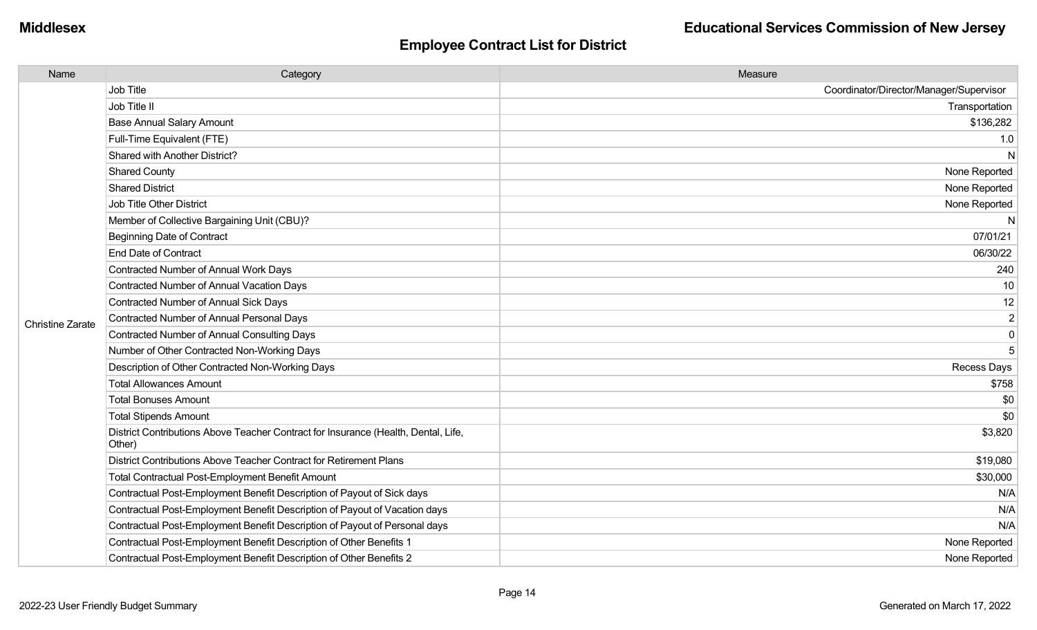| Name                    | Category                                                                                     | Measure                                 |
|-------------------------|----------------------------------------------------------------------------------------------|-----------------------------------------|
|                         | Job Title                                                                                    | Coordinator/Director/Manager/Supervisor |
|                         | Job Title II                                                                                 | Transportation                          |
|                         | <b>Base Annual Salary Amount</b>                                                             | \$136,282                               |
|                         | Full-Time Equivalent (FTE)                                                                   | 1.0                                     |
|                         | Shared with Another District?                                                                | N                                       |
|                         | <b>Shared County</b>                                                                         | None Reported                           |
|                         | <b>Shared District</b>                                                                       | None Reported                           |
|                         | <b>Job Title Other District</b>                                                              | None Reported                           |
|                         | Member of Collective Bargaining Unit (CBU)?                                                  | N                                       |
|                         | <b>Beginning Date of Contract</b>                                                            | 07/01/21                                |
|                         | <b>End Date of Contract</b>                                                                  | 06/30/22                                |
|                         | Contracted Number of Annual Work Days                                                        | 240                                     |
|                         | <b>Contracted Number of Annual Vacation Days</b>                                             | 10                                      |
|                         | Contracted Number of Annual Sick Days                                                        | 12                                      |
| <b>Christine Zarate</b> | <b>Contracted Number of Annual Personal Days</b>                                             | $\overline{2}$                          |
|                         | <b>Contracted Number of Annual Consulting Days</b>                                           | $\mathbf 0$                             |
|                         | Number of Other Contracted Non-Working Days                                                  | 5                                       |
|                         | Description of Other Contracted Non-Working Days                                             | Recess Days                             |
|                         | <b>Total Allowances Amount</b>                                                               | \$758                                   |
|                         | <b>Total Bonuses Amount</b>                                                                  | \$0                                     |
|                         | <b>Total Stipends Amount</b>                                                                 | \$0                                     |
|                         | District Contributions Above Teacher Contract for Insurance (Health, Dental, Life,<br>Other) | \$3,820                                 |
|                         | District Contributions Above Teacher Contract for Retirement Plans                           | \$19,080                                |
|                         | <b>Total Contractual Post-Employment Benefit Amount</b>                                      | \$30,000                                |
|                         | Contractual Post-Employment Benefit Description of Payout of Sick days                       | N/A                                     |
|                         | Contractual Post-Employment Benefit Description of Payout of Vacation days                   | N/A                                     |
|                         | Contractual Post-Employment Benefit Description of Payout of Personal days                   | N/A                                     |
|                         | Contractual Post-Employment Benefit Description of Other Benefits 1                          | None Reported                           |
|                         | Contractual Post-Employment Benefit Description of Other Benefits 2                          | None Reported                           |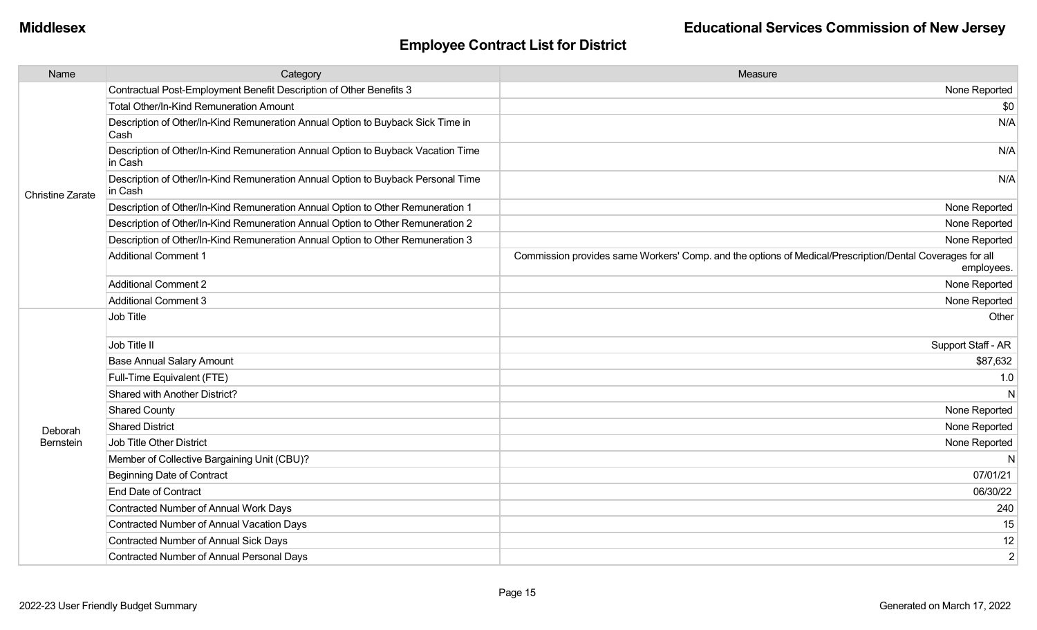| Name                    | Category                                                                                    | Measure                                                                                                                |
|-------------------------|---------------------------------------------------------------------------------------------|------------------------------------------------------------------------------------------------------------------------|
|                         | Contractual Post-Employment Benefit Description of Other Benefits 3                         | None Reported                                                                                                          |
|                         | <b>Total Other/In-Kind Remuneration Amount</b>                                              | \$0                                                                                                                    |
|                         | Description of Other/In-Kind Remuneration Annual Option to Buyback Sick Time in<br>Cash     | N/A                                                                                                                    |
|                         | Description of Other/In-Kind Remuneration Annual Option to Buyback Vacation Time<br>in Cash | N/A                                                                                                                    |
| <b>Christine Zarate</b> | Description of Other/In-Kind Remuneration Annual Option to Buyback Personal Time<br>in Cash | N/A                                                                                                                    |
|                         | Description of Other/In-Kind Remuneration Annual Option to Other Remuneration 1             | None Reported                                                                                                          |
|                         | Description of Other/In-Kind Remuneration Annual Option to Other Remuneration 2             | None Reported                                                                                                          |
|                         | Description of Other/In-Kind Remuneration Annual Option to Other Remuneration 3             | None Reported                                                                                                          |
|                         | Additional Comment 1                                                                        | Commission provides same Workers' Comp. and the options of Medical/Prescription/Dental Coverages for all<br>employees. |
|                         | Additional Comment 2                                                                        | None Reported                                                                                                          |
|                         | Additional Comment 3                                                                        | None Reported                                                                                                          |
|                         | Job Title                                                                                   | Other                                                                                                                  |
|                         | Job Title II                                                                                | Support Staff - AR                                                                                                     |
|                         | <b>Base Annual Salary Amount</b>                                                            | \$87,632                                                                                                               |
|                         | Full-Time Equivalent (FTE)                                                                  | 1.0                                                                                                                    |
|                         | Shared with Another District?                                                               | N                                                                                                                      |
|                         | <b>Shared County</b>                                                                        | None Reported                                                                                                          |
| Deborah                 | <b>Shared District</b>                                                                      | None Reported                                                                                                          |
| Bernstein               | Job Title Other District                                                                    | None Reported                                                                                                          |
|                         | Member of Collective Bargaining Unit (CBU)?                                                 | N                                                                                                                      |
|                         | <b>Beginning Date of Contract</b>                                                           | 07/01/21                                                                                                               |
|                         | <b>End Date of Contract</b>                                                                 | 06/30/22                                                                                                               |
|                         | Contracted Number of Annual Work Days                                                       | 240                                                                                                                    |
|                         | Contracted Number of Annual Vacation Days                                                   | 15                                                                                                                     |
|                         | Contracted Number of Annual Sick Days                                                       | 12                                                                                                                     |
|                         | Contracted Number of Annual Personal Days                                                   | $\overline{2}$                                                                                                         |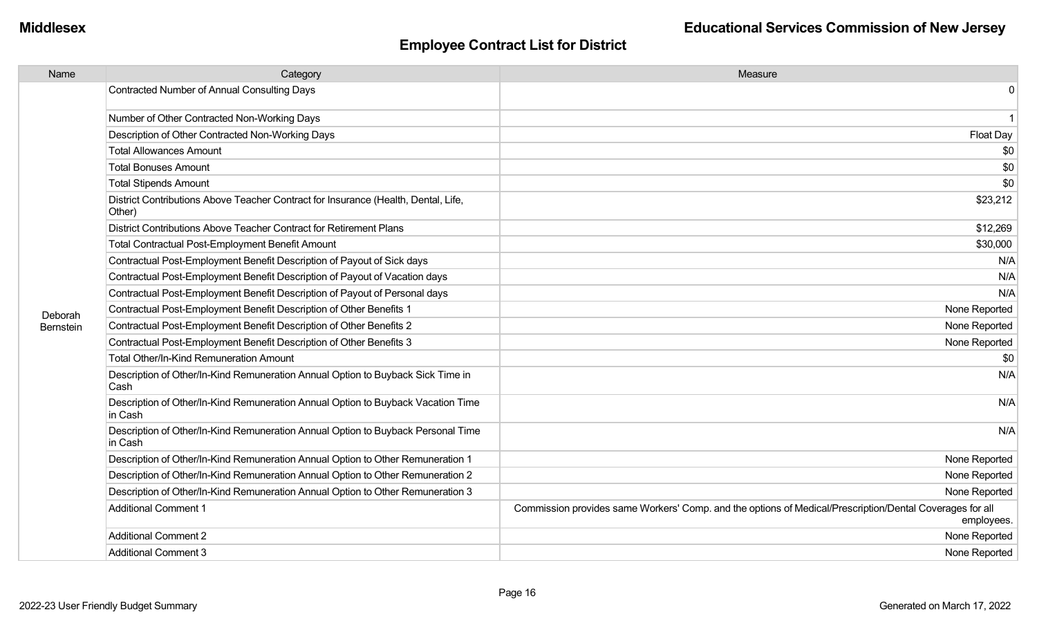| Name      | Category                                                                                     | Measure                                                                                                                |
|-----------|----------------------------------------------------------------------------------------------|------------------------------------------------------------------------------------------------------------------------|
|           | Contracted Number of Annual Consulting Days                                                  | 0                                                                                                                      |
|           | Number of Other Contracted Non-Working Days                                                  | $\overline{\mathbf{1}}$                                                                                                |
|           | Description of Other Contracted Non-Working Days                                             | <b>Float Day</b>                                                                                                       |
|           | <b>Total Allowances Amount</b>                                                               | \$0                                                                                                                    |
|           | <b>Total Bonuses Amount</b>                                                                  | \$0                                                                                                                    |
|           | <b>Total Stipends Amount</b>                                                                 | \$0                                                                                                                    |
|           | District Contributions Above Teacher Contract for Insurance (Health, Dental, Life,<br>Other) | \$23,212                                                                                                               |
|           | District Contributions Above Teacher Contract for Retirement Plans                           | \$12,269                                                                                                               |
|           | Total Contractual Post-Employment Benefit Amount                                             | \$30,000                                                                                                               |
|           | Contractual Post-Employment Benefit Description of Payout of Sick days                       | N/A                                                                                                                    |
|           | Contractual Post-Employment Benefit Description of Payout of Vacation days                   | N/A                                                                                                                    |
|           | Contractual Post-Employment Benefit Description of Payout of Personal days                   | N/A                                                                                                                    |
| Deborah   | Contractual Post-Employment Benefit Description of Other Benefits 1                          | None Reported                                                                                                          |
| Bernstein | Contractual Post-Employment Benefit Description of Other Benefits 2                          | None Reported                                                                                                          |
|           | Contractual Post-Employment Benefit Description of Other Benefits 3                          | None Reported                                                                                                          |
|           | <b>Total Other/In-Kind Remuneration Amount</b>                                               | \$0                                                                                                                    |
|           | Description of Other/In-Kind Remuneration Annual Option to Buyback Sick Time in<br>Cash      | N/A                                                                                                                    |
|           | Description of Other/In-Kind Remuneration Annual Option to Buyback Vacation Time<br>in Cash  | N/A                                                                                                                    |
|           | Description of Other/In-Kind Remuneration Annual Option to Buyback Personal Time<br>in Cash  | N/A                                                                                                                    |
|           | Description of Other/In-Kind Remuneration Annual Option to Other Remuneration 1              | None Reported                                                                                                          |
|           | Description of Other/In-Kind Remuneration Annual Option to Other Remuneration 2              | None Reported                                                                                                          |
|           | Description of Other/In-Kind Remuneration Annual Option to Other Remuneration 3              | None Reported                                                                                                          |
|           | <b>Additional Comment 1</b>                                                                  | Commission provides same Workers' Comp. and the options of Medical/Prescription/Dental Coverages for all<br>employees. |
|           | <b>Additional Comment 2</b>                                                                  | None Reported                                                                                                          |
|           | <b>Additional Comment 3</b>                                                                  | None Reported                                                                                                          |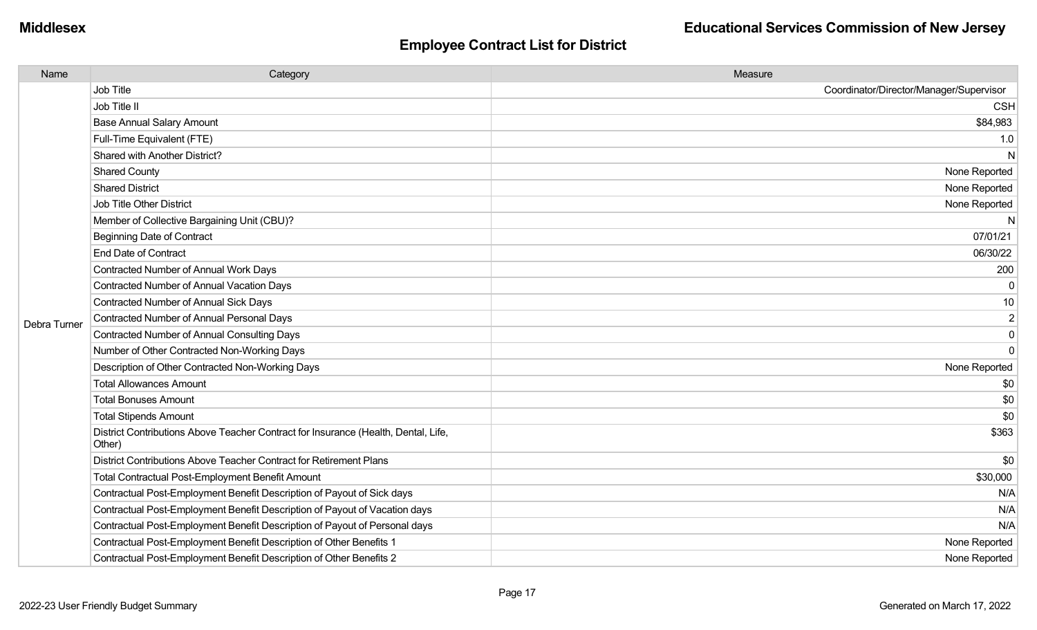| Name         | Category                                                                                     | Measure                                 |
|--------------|----------------------------------------------------------------------------------------------|-----------------------------------------|
|              | Job Title                                                                                    | Coordinator/Director/Manager/Supervisor |
|              | Job Title II                                                                                 | <b>CSH</b>                              |
|              | <b>Base Annual Salary Amount</b>                                                             | \$84,983                                |
|              | Full-Time Equivalent (FTE)                                                                   | 1.0                                     |
|              | Shared with Another District?                                                                | N                                       |
|              | <b>Shared County</b>                                                                         | None Reported                           |
|              | <b>Shared District</b>                                                                       | None Reported                           |
|              | <b>Job Title Other District</b>                                                              | None Reported                           |
|              | Member of Collective Bargaining Unit (CBU)?                                                  |                                         |
|              | <b>Beginning Date of Contract</b>                                                            | 07/01/21                                |
|              | <b>End Date of Contract</b>                                                                  | 06/30/22                                |
|              | Contracted Number of Annual Work Days                                                        | 200                                     |
|              | Contracted Number of Annual Vacation Days                                                    | $\Omega$                                |
|              | Contracted Number of Annual Sick Days                                                        | 10                                      |
| Debra Turner | Contracted Number of Annual Personal Days                                                    | $\mathbf 2$                             |
|              | <b>Contracted Number of Annual Consulting Days</b>                                           | $\mathbf 0$                             |
|              | Number of Other Contracted Non-Working Days                                                  | $\mathbf 0$                             |
|              | Description of Other Contracted Non-Working Days                                             | None Reported                           |
|              | <b>Total Allowances Amount</b>                                                               | \$0                                     |
|              | <b>Total Bonuses Amount</b>                                                                  | \$0                                     |
|              | <b>Total Stipends Amount</b>                                                                 | \$0                                     |
|              | District Contributions Above Teacher Contract for Insurance (Health, Dental, Life,<br>Other) | \$363                                   |
|              | District Contributions Above Teacher Contract for Retirement Plans                           | \$0                                     |
|              | <b>Total Contractual Post-Employment Benefit Amount</b>                                      | \$30,000                                |
|              | Contractual Post-Employment Benefit Description of Payout of Sick days                       | N/A                                     |
|              | Contractual Post-Employment Benefit Description of Payout of Vacation days                   | N/A                                     |
|              | Contractual Post-Employment Benefit Description of Payout of Personal days                   | N/A                                     |
|              | Contractual Post-Employment Benefit Description of Other Benefits 1                          | None Reported                           |
|              | Contractual Post-Employment Benefit Description of Other Benefits 2                          | None Reported                           |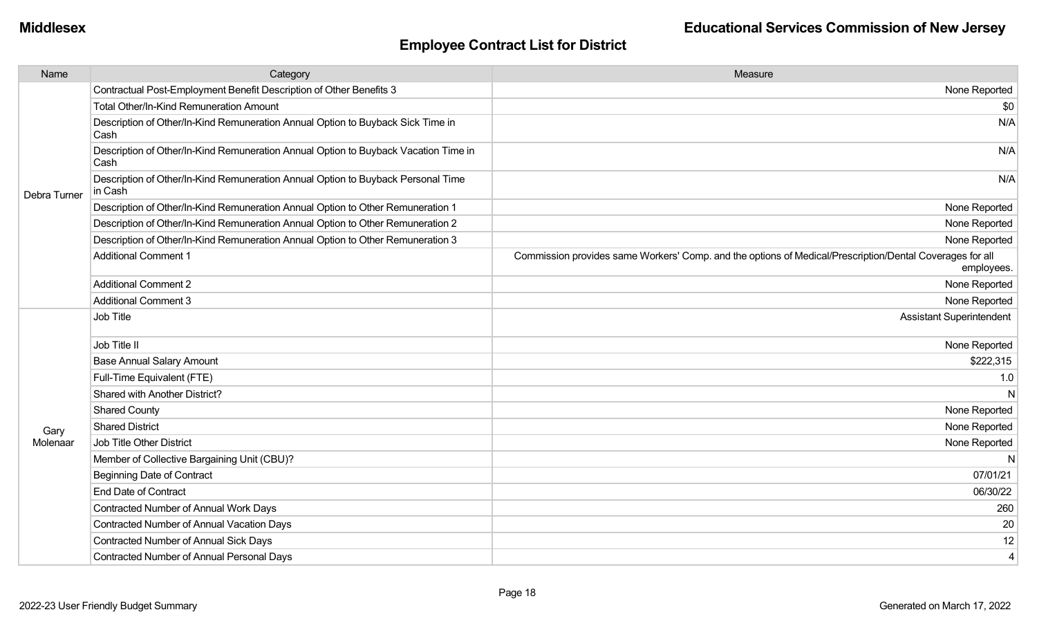| Name         | Category                                                                                    | Measure                                                                                                                |
|--------------|---------------------------------------------------------------------------------------------|------------------------------------------------------------------------------------------------------------------------|
| Debra Turner | Contractual Post-Employment Benefit Description of Other Benefits 3                         | None Reported                                                                                                          |
|              | <b>Total Other/In-Kind Remuneration Amount</b>                                              | \$0                                                                                                                    |
|              | Description of Other/In-Kind Remuneration Annual Option to Buyback Sick Time in<br>Cash     | N/A                                                                                                                    |
|              | Description of Other/In-Kind Remuneration Annual Option to Buyback Vacation Time in<br>Cash | N/A                                                                                                                    |
|              | Description of Other/In-Kind Remuneration Annual Option to Buyback Personal Time<br>in Cash | N/A                                                                                                                    |
|              | Description of Other/In-Kind Remuneration Annual Option to Other Remuneration 1             | None Reported                                                                                                          |
|              | Description of Other/In-Kind Remuneration Annual Option to Other Remuneration 2             | None Reported                                                                                                          |
|              | Description of Other/In-Kind Remuneration Annual Option to Other Remuneration 3             | None Reported                                                                                                          |
|              | <b>Additional Comment 1</b>                                                                 | Commission provides same Workers' Comp. and the options of Medical/Prescription/Dental Coverages for all<br>employees. |
|              | <b>Additional Comment 2</b>                                                                 | None Reported                                                                                                          |
|              | <b>Additional Comment 3</b>                                                                 | None Reported                                                                                                          |
|              | Job Title                                                                                   | <b>Assistant Superintendent</b>                                                                                        |
|              | Job Title II                                                                                | None Reported                                                                                                          |
|              | <b>Base Annual Salary Amount</b>                                                            | \$222,315                                                                                                              |
|              | Full-Time Equivalent (FTE)                                                                  | 1.0                                                                                                                    |
|              | Shared with Another District?                                                               | N                                                                                                                      |
|              | <b>Shared County</b>                                                                        | None Reported                                                                                                          |
| Gary         | <b>Shared District</b>                                                                      | None Reported                                                                                                          |
| Molenaar     | Job Title Other District                                                                    | None Reported                                                                                                          |
|              | Member of Collective Bargaining Unit (CBU)?                                                 | N                                                                                                                      |
|              | <b>Beginning Date of Contract</b>                                                           | 07/01/21                                                                                                               |
|              | <b>End Date of Contract</b>                                                                 | 06/30/22                                                                                                               |
|              | Contracted Number of Annual Work Days                                                       | 260                                                                                                                    |
|              | Contracted Number of Annual Vacation Days                                                   | 20                                                                                                                     |
|              | Contracted Number of Annual Sick Days                                                       | 12                                                                                                                     |
|              | Contracted Number of Annual Personal Days                                                   | $\overline{4}$                                                                                                         |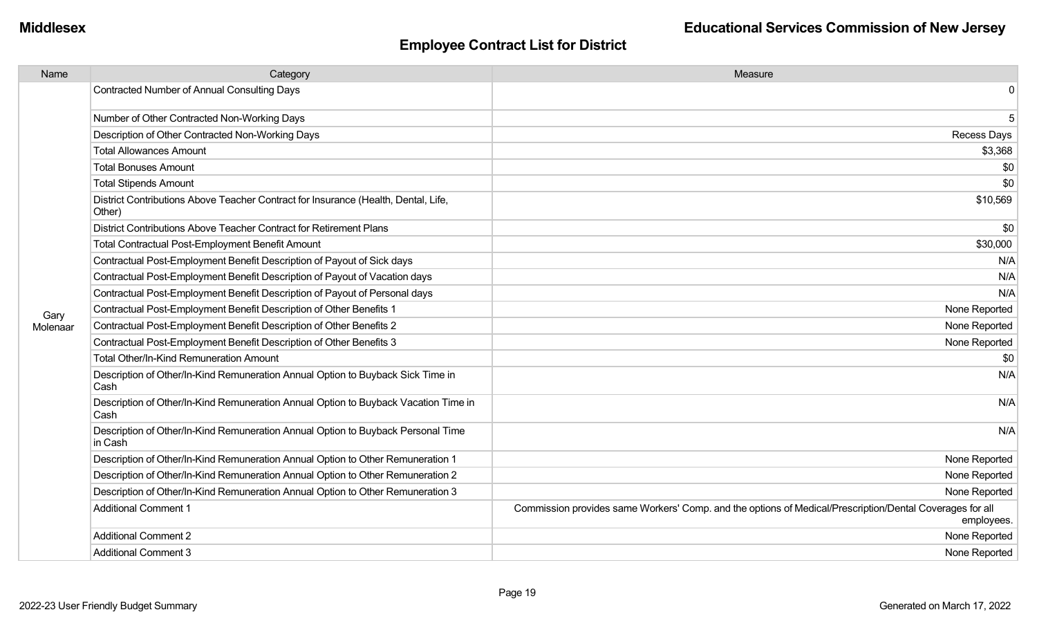| Name     | Category                                                                                     | Measure                                                                                                                |
|----------|----------------------------------------------------------------------------------------------|------------------------------------------------------------------------------------------------------------------------|
|          | <b>Contracted Number of Annual Consulting Days</b>                                           | 0                                                                                                                      |
|          | Number of Other Contracted Non-Working Days                                                  | 5                                                                                                                      |
|          | Description of Other Contracted Non-Working Days                                             | <b>Recess Days</b>                                                                                                     |
|          | <b>Total Allowances Amount</b>                                                               | \$3,368                                                                                                                |
|          | <b>Total Bonuses Amount</b>                                                                  | \$0                                                                                                                    |
|          | <b>Total Stipends Amount</b>                                                                 | \$0                                                                                                                    |
|          | District Contributions Above Teacher Contract for Insurance (Health, Dental, Life,<br>Other) | \$10,569                                                                                                               |
|          | District Contributions Above Teacher Contract for Retirement Plans                           | \$0                                                                                                                    |
|          | Total Contractual Post-Employment Benefit Amount                                             | \$30,000                                                                                                               |
|          | Contractual Post-Employment Benefit Description of Payout of Sick days                       | N/A                                                                                                                    |
|          | Contractual Post-Employment Benefit Description of Payout of Vacation days                   | N/A                                                                                                                    |
|          | Contractual Post-Employment Benefit Description of Payout of Personal days                   | N/A                                                                                                                    |
| Gary     | Contractual Post-Employment Benefit Description of Other Benefits 1                          | None Reported                                                                                                          |
| Molenaar | Contractual Post-Employment Benefit Description of Other Benefits 2                          | None Reported                                                                                                          |
|          | Contractual Post-Employment Benefit Description of Other Benefits 3                          | None Reported                                                                                                          |
|          | Total Other/In-Kind Remuneration Amount                                                      | \$0                                                                                                                    |
|          | Description of Other/In-Kind Remuneration Annual Option to Buyback Sick Time in<br>Cash      | N/A                                                                                                                    |
|          | Description of Other/In-Kind Remuneration Annual Option to Buyback Vacation Time in<br>Cash  | N/A                                                                                                                    |
|          | Description of Other/In-Kind Remuneration Annual Option to Buyback Personal Time<br>in Cash  | N/A                                                                                                                    |
|          | Description of Other/In-Kind Remuneration Annual Option to Other Remuneration 1              | None Reported                                                                                                          |
|          | Description of Other/In-Kind Remuneration Annual Option to Other Remuneration 2              | None Reported                                                                                                          |
|          | Description of Other/In-Kind Remuneration Annual Option to Other Remuneration 3              | None Reported                                                                                                          |
|          | <b>Additional Comment 1</b>                                                                  | Commission provides same Workers' Comp. and the options of Medical/Prescription/Dental Coverages for all<br>employees. |
|          | <b>Additional Comment 2</b>                                                                  | None Reported                                                                                                          |
|          | <b>Additional Comment 3</b>                                                                  | None Reported                                                                                                          |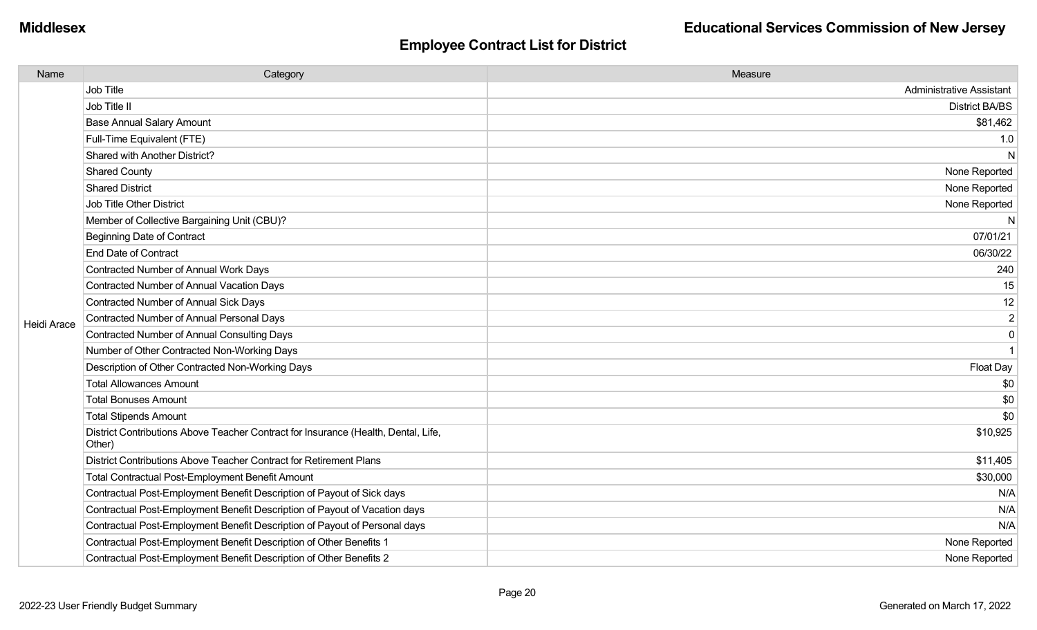| Name               | Category                                                                                     | Measure                         |
|--------------------|----------------------------------------------------------------------------------------------|---------------------------------|
|                    | Job Title                                                                                    | <b>Administrative Assistant</b> |
|                    | Job Title II                                                                                 | <b>District BA/BS</b>           |
|                    | <b>Base Annual Salary Amount</b>                                                             | \$81,462                        |
|                    | Full-Time Equivalent (FTE)                                                                   | 1.0                             |
|                    | Shared with Another District?                                                                | N                               |
|                    | <b>Shared County</b>                                                                         | None Reported                   |
|                    | <b>Shared District</b>                                                                       | None Reported                   |
|                    | <b>Job Title Other District</b>                                                              | None Reported                   |
|                    | Member of Collective Bargaining Unit (CBU)?                                                  | N                               |
|                    | Beginning Date of Contract                                                                   | 07/01/21                        |
|                    | <b>End Date of Contract</b>                                                                  | 06/30/22                        |
|                    | Contracted Number of Annual Work Days                                                        | 240                             |
|                    | Contracted Number of Annual Vacation Days                                                    | 15                              |
|                    | Contracted Number of Annual Sick Days                                                        | 12                              |
| <b>Heidi Arace</b> | <b>Contracted Number of Annual Personal Days</b>                                             | $\overline{2}$                  |
|                    | Contracted Number of Annual Consulting Days                                                  | $\mathbf 0$                     |
|                    | Number of Other Contracted Non-Working Days                                                  | $\overline{1}$                  |
|                    | Description of Other Contracted Non-Working Days                                             | Float Day                       |
|                    | <b>Total Allowances Amount</b>                                                               | \$0                             |
|                    | <b>Total Bonuses Amount</b>                                                                  | \$0                             |
|                    | <b>Total Stipends Amount</b>                                                                 | \$0                             |
|                    | District Contributions Above Teacher Contract for Insurance (Health, Dental, Life,<br>Other) | \$10,925                        |
|                    | District Contributions Above Teacher Contract for Retirement Plans                           | \$11,405                        |
|                    | <b>Total Contractual Post-Employment Benefit Amount</b>                                      | \$30,000                        |
|                    | Contractual Post-Employment Benefit Description of Payout of Sick days                       | N/A                             |
|                    | Contractual Post-Employment Benefit Description of Payout of Vacation days                   | N/A                             |
|                    | Contractual Post-Employment Benefit Description of Payout of Personal days                   | N/A                             |
|                    | Contractual Post-Employment Benefit Description of Other Benefits 1                          | None Reported                   |
|                    | Contractual Post-Employment Benefit Description of Other Benefits 2                          | None Reported                   |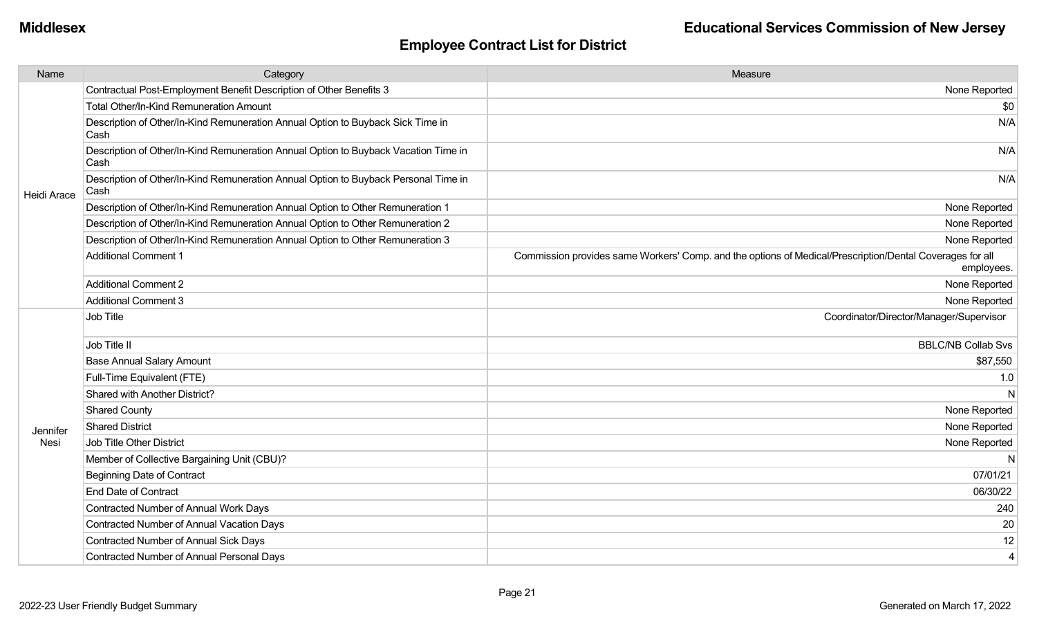| Name        | Category                                                                                    | Measure                                                                                                                |
|-------------|---------------------------------------------------------------------------------------------|------------------------------------------------------------------------------------------------------------------------|
| Heidi Arace | Contractual Post-Employment Benefit Description of Other Benefits 3                         | None Reported                                                                                                          |
|             | <b>Total Other/In-Kind Remuneration Amount</b>                                              | \$0                                                                                                                    |
|             | Description of Other/In-Kind Remuneration Annual Option to Buyback Sick Time in<br>Cash     | N/A                                                                                                                    |
|             | Description of Other/In-Kind Remuneration Annual Option to Buyback Vacation Time in<br>Cash | N/A                                                                                                                    |
|             | Description of Other/In-Kind Remuneration Annual Option to Buyback Personal Time in<br>Cash | N/A                                                                                                                    |
|             | Description of Other/In-Kind Remuneration Annual Option to Other Remuneration 1             | None Reported                                                                                                          |
|             | Description of Other/In-Kind Remuneration Annual Option to Other Remuneration 2             | None Reported                                                                                                          |
|             | Description of Other/In-Kind Remuneration Annual Option to Other Remuneration 3             | None Reported                                                                                                          |
|             | <b>Additional Comment 1</b>                                                                 | Commission provides same Workers' Comp. and the options of Medical/Prescription/Dental Coverages for all<br>employees. |
|             | <b>Additional Comment 2</b>                                                                 | None Reported                                                                                                          |
|             | <b>Additional Comment 3</b>                                                                 | None Reported                                                                                                          |
|             | Job Title                                                                                   | Coordinator/Director/Manager/Supervisor                                                                                |
|             | Job Title II                                                                                | <b>BBLC/NB Collab Svs</b>                                                                                              |
|             | <b>Base Annual Salary Amount</b>                                                            | \$87,550                                                                                                               |
|             | Full-Time Equivalent (FTE)                                                                  | 1.0                                                                                                                    |
|             | Shared with Another District?                                                               | N                                                                                                                      |
|             | <b>Shared County</b>                                                                        | None Reported                                                                                                          |
| Jennifer    | <b>Shared District</b>                                                                      | None Reported                                                                                                          |
| Nesi        | Job Title Other District                                                                    | None Reported                                                                                                          |
|             | Member of Collective Bargaining Unit (CBU)?                                                 | N                                                                                                                      |
|             | <b>Beginning Date of Contract</b>                                                           | 07/01/21                                                                                                               |
|             | <b>End Date of Contract</b>                                                                 | 06/30/22                                                                                                               |
|             | Contracted Number of Annual Work Days                                                       | 240                                                                                                                    |
|             | Contracted Number of Annual Vacation Days                                                   | 20                                                                                                                     |
|             | <b>Contracted Number of Annual Sick Days</b>                                                | 12                                                                                                                     |
|             | Contracted Number of Annual Personal Days                                                   | $\overline{4}$                                                                                                         |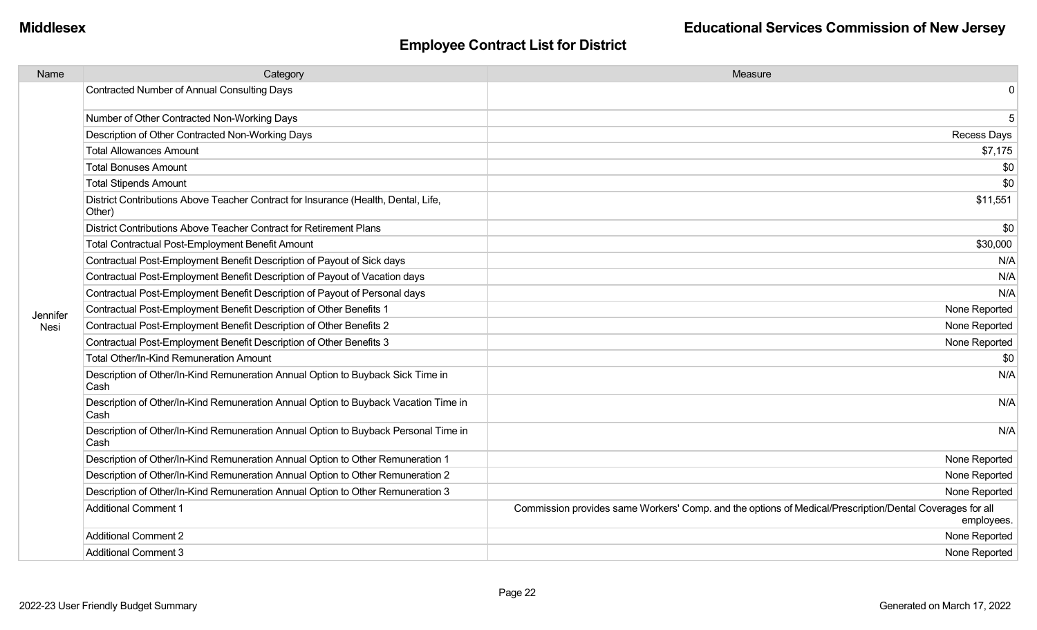| Name     | Category                                                                                     | Measure                                                                                                                |
|----------|----------------------------------------------------------------------------------------------|------------------------------------------------------------------------------------------------------------------------|
|          | <b>Contracted Number of Annual Consulting Days</b>                                           | 0                                                                                                                      |
|          | Number of Other Contracted Non-Working Days                                                  | 5                                                                                                                      |
|          | Description of Other Contracted Non-Working Days                                             | <b>Recess Days</b>                                                                                                     |
|          | <b>Total Allowances Amount</b>                                                               | \$7,175                                                                                                                |
|          | <b>Total Bonuses Amount</b>                                                                  | \$0                                                                                                                    |
|          | <b>Total Stipends Amount</b>                                                                 | \$0                                                                                                                    |
|          | District Contributions Above Teacher Contract for Insurance (Health, Dental, Life,<br>Other) | \$11,551                                                                                                               |
|          | District Contributions Above Teacher Contract for Retirement Plans                           | \$0                                                                                                                    |
|          | <b>Total Contractual Post-Employment Benefit Amount</b>                                      | \$30,000                                                                                                               |
|          | Contractual Post-Employment Benefit Description of Payout of Sick days                       | N/A                                                                                                                    |
|          | Contractual Post-Employment Benefit Description of Payout of Vacation days                   | N/A                                                                                                                    |
|          | Contractual Post-Employment Benefit Description of Payout of Personal days                   | N/A                                                                                                                    |
| Jennifer | Contractual Post-Employment Benefit Description of Other Benefits 1                          | None Reported                                                                                                          |
| Nesi     | Contractual Post-Employment Benefit Description of Other Benefits 2                          | None Reported                                                                                                          |
|          | Contractual Post-Employment Benefit Description of Other Benefits 3                          | None Reported                                                                                                          |
|          | <b>Total Other/In-Kind Remuneration Amount</b>                                               | \$0                                                                                                                    |
|          | Description of Other/In-Kind Remuneration Annual Option to Buyback Sick Time in<br>Cash      | N/A                                                                                                                    |
|          | Description of Other/In-Kind Remuneration Annual Option to Buyback Vacation Time in<br>Cash  | N/A                                                                                                                    |
|          | Description of Other/In-Kind Remuneration Annual Option to Buyback Personal Time in<br>Cash  | N/A                                                                                                                    |
|          | Description of Other/In-Kind Remuneration Annual Option to Other Remuneration 1              | None Reported                                                                                                          |
|          | Description of Other/In-Kind Remuneration Annual Option to Other Remuneration 2              | None Reported                                                                                                          |
|          | Description of Other/In-Kind Remuneration Annual Option to Other Remuneration 3              | None Reported                                                                                                          |
|          | <b>Additional Comment 1</b>                                                                  | Commission provides same Workers' Comp. and the options of Medical/Prescription/Dental Coverages for all<br>employees. |
|          | <b>Additional Comment 2</b>                                                                  | None Reported                                                                                                          |
|          | <b>Additional Comment 3</b>                                                                  | None Reported                                                                                                          |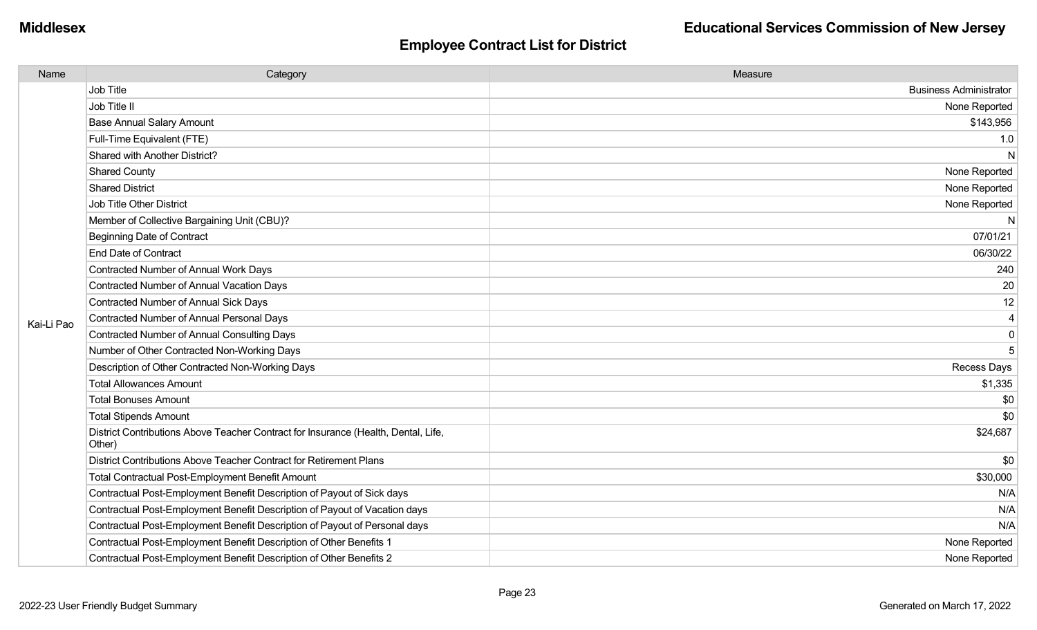| Name       | Category                                                                                     | Measure                       |
|------------|----------------------------------------------------------------------------------------------|-------------------------------|
|            | Job Title                                                                                    | <b>Business Administrator</b> |
|            | Job Title II                                                                                 | None Reported                 |
|            | <b>Base Annual Salary Amount</b>                                                             | \$143,956                     |
|            | Full-Time Equivalent (FTE)                                                                   | 1.0                           |
|            | Shared with Another District?                                                                | N                             |
|            | <b>Shared County</b>                                                                         | None Reported                 |
|            | <b>Shared District</b>                                                                       | None Reported                 |
|            | Job Title Other District                                                                     | None Reported                 |
|            | Member of Collective Bargaining Unit (CBU)?                                                  | N                             |
|            | Beginning Date of Contract                                                                   | 07/01/21                      |
|            | <b>End Date of Contract</b>                                                                  | 06/30/22                      |
|            | Contracted Number of Annual Work Days                                                        | 240                           |
|            | <b>Contracted Number of Annual Vacation Days</b>                                             | 20                            |
|            | Contracted Number of Annual Sick Days                                                        | 12                            |
| Kai-Li Pao | Contracted Number of Annual Personal Days                                                    | $\overline{4}$                |
|            | <b>Contracted Number of Annual Consulting Days</b>                                           | 0                             |
|            | Number of Other Contracted Non-Working Days                                                  | 5                             |
|            | Description of Other Contracted Non-Working Days                                             | Recess Days                   |
|            | <b>Total Allowances Amount</b>                                                               | \$1,335                       |
|            | <b>Total Bonuses Amount</b>                                                                  | \$0                           |
|            | <b>Total Stipends Amount</b>                                                                 | \$0                           |
|            | District Contributions Above Teacher Contract for Insurance (Health, Dental, Life,<br>Other) | \$24,687                      |
|            | District Contributions Above Teacher Contract for Retirement Plans                           | \$0                           |
|            | Total Contractual Post-Employment Benefit Amount                                             | \$30,000                      |
|            | Contractual Post-Employment Benefit Description of Payout of Sick days                       | N/A                           |
|            | Contractual Post-Employment Benefit Description of Payout of Vacation days                   | N/A                           |
|            | Contractual Post-Employment Benefit Description of Payout of Personal days                   | N/A                           |
|            | Contractual Post-Employment Benefit Description of Other Benefits 1                          | None Reported                 |
|            | Contractual Post-Employment Benefit Description of Other Benefits 2                          | None Reported                 |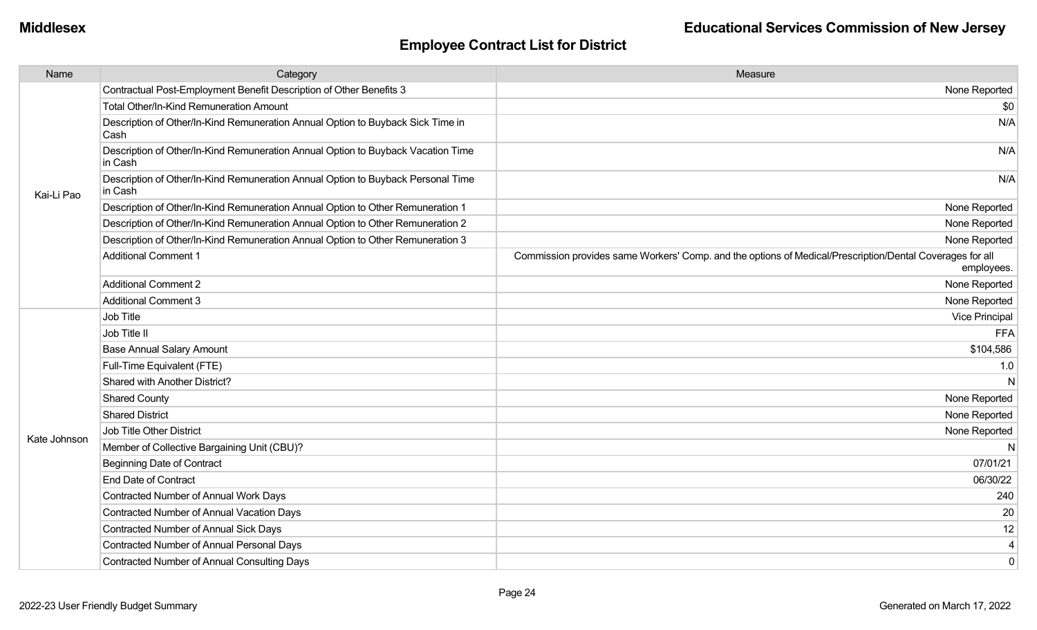| Name         | Category                                                                                    | Measure                                                                                                                |
|--------------|---------------------------------------------------------------------------------------------|------------------------------------------------------------------------------------------------------------------------|
|              | Contractual Post-Employment Benefit Description of Other Benefits 3                         | None Reported                                                                                                          |
|              | Total Other/In-Kind Remuneration Amount                                                     | \$0                                                                                                                    |
|              | Description of Other/In-Kind Remuneration Annual Option to Buyback Sick Time in<br>Cash     | N/A                                                                                                                    |
|              | Description of Other/In-Kind Remuneration Annual Option to Buyback Vacation Time<br>in Cash | N/A                                                                                                                    |
| Kai-Li Pao   | Description of Other/In-Kind Remuneration Annual Option to Buyback Personal Time<br>in Cash | N/A                                                                                                                    |
|              | Description of Other/In-Kind Remuneration Annual Option to Other Remuneration 1             | None Reported                                                                                                          |
|              | Description of Other/In-Kind Remuneration Annual Option to Other Remuneration 2             | None Reported                                                                                                          |
|              | Description of Other/In-Kind Remuneration Annual Option to Other Remuneration 3             | None Reported                                                                                                          |
|              | <b>Additional Comment 1</b>                                                                 | Commission provides same Workers' Comp. and the options of Medical/Prescription/Dental Coverages for all<br>employees. |
|              | <b>Additional Comment 2</b>                                                                 | None Reported                                                                                                          |
|              | Additional Comment 3                                                                        | None Reported                                                                                                          |
|              | Job Title                                                                                   | Vice Principal                                                                                                         |
|              | Job Title II                                                                                | <b>FFA</b>                                                                                                             |
|              | <b>Base Annual Salary Amount</b>                                                            | \$104,586                                                                                                              |
|              | Full-Time Equivalent (FTE)                                                                  | 1.0                                                                                                                    |
|              | Shared with Another District?                                                               | N                                                                                                                      |
|              | <b>Shared County</b>                                                                        | None Reported                                                                                                          |
|              | <b>Shared District</b>                                                                      | None Reported                                                                                                          |
| Kate Johnson | Job Title Other District                                                                    | None Reported                                                                                                          |
|              | Member of Collective Bargaining Unit (CBU)?                                                 | N                                                                                                                      |
|              | <b>Beginning Date of Contract</b>                                                           | 07/01/21                                                                                                               |
|              | <b>End Date of Contract</b>                                                                 | 06/30/22                                                                                                               |
|              | Contracted Number of Annual Work Days                                                       | 240                                                                                                                    |
|              | Contracted Number of Annual Vacation Days                                                   | 20                                                                                                                     |
|              | <b>Contracted Number of Annual Sick Days</b>                                                | 12                                                                                                                     |
|              | Contracted Number of Annual Personal Days                                                   | 4                                                                                                                      |
|              | <b>Contracted Number of Annual Consulting Days</b>                                          | $\mathbf 0$                                                                                                            |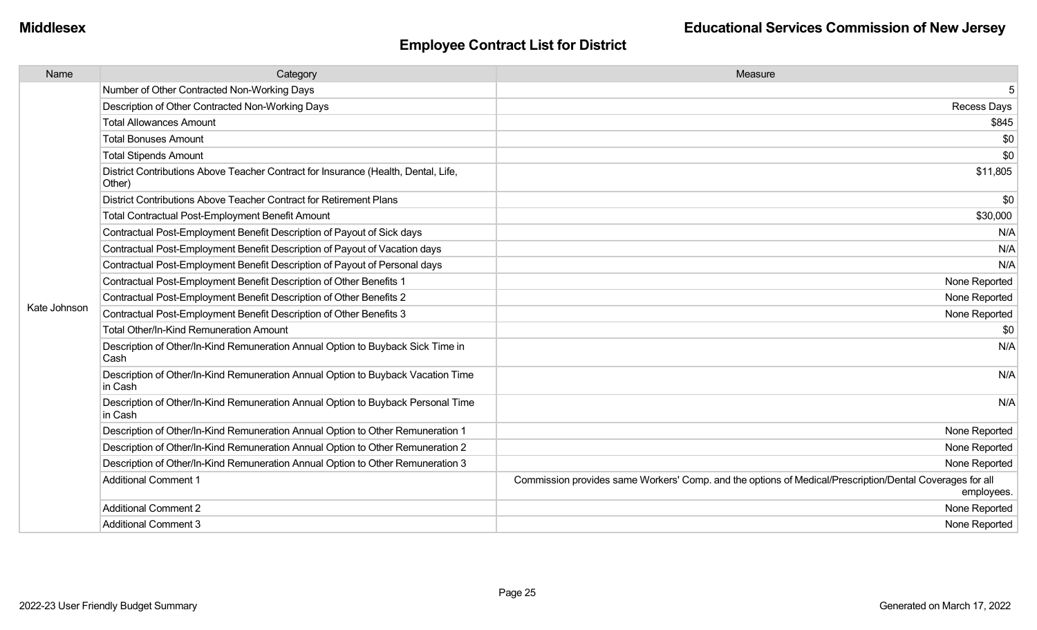| Name         | Category                                                                                     | Measure                                                                                                                |
|--------------|----------------------------------------------------------------------------------------------|------------------------------------------------------------------------------------------------------------------------|
|              | Number of Other Contracted Non-Working Days                                                  | 5                                                                                                                      |
|              | Description of Other Contracted Non-Working Days                                             | Recess Days                                                                                                            |
|              | <b>Total Allowances Amount</b>                                                               | \$845                                                                                                                  |
|              | <b>Total Bonuses Amount</b>                                                                  | \$0                                                                                                                    |
|              | <b>Total Stipends Amount</b>                                                                 | \$0                                                                                                                    |
|              | District Contributions Above Teacher Contract for Insurance (Health, Dental, Life,<br>Other) | \$11,805                                                                                                               |
|              | District Contributions Above Teacher Contract for Retirement Plans                           | \$0                                                                                                                    |
|              | <b>Total Contractual Post-Employment Benefit Amount</b>                                      | \$30,000                                                                                                               |
|              | Contractual Post-Employment Benefit Description of Payout of Sick days                       | N/A                                                                                                                    |
|              | Contractual Post-Employment Benefit Description of Payout of Vacation days                   | N/A                                                                                                                    |
|              | Contractual Post-Employment Benefit Description of Payout of Personal days                   | N/A                                                                                                                    |
|              | Contractual Post-Employment Benefit Description of Other Benefits 1                          | None Reported                                                                                                          |
|              | Contractual Post-Employment Benefit Description of Other Benefits 2                          | None Reported                                                                                                          |
| Kate Johnson | Contractual Post-Employment Benefit Description of Other Benefits 3                          | None Reported                                                                                                          |
|              | <b>Total Other/In-Kind Remuneration Amount</b>                                               | \$0                                                                                                                    |
|              | Description of Other/In-Kind Remuneration Annual Option to Buyback Sick Time in<br>Cash      | N/A                                                                                                                    |
|              | Description of Other/In-Kind Remuneration Annual Option to Buyback Vacation Time<br>in Cash  | N/A                                                                                                                    |
|              | Description of Other/In-Kind Remuneration Annual Option to Buyback Personal Time<br>in Cash  | N/A                                                                                                                    |
|              | Description of Other/In-Kind Remuneration Annual Option to Other Remuneration 1              | None Reported                                                                                                          |
|              | Description of Other/In-Kind Remuneration Annual Option to Other Remuneration 2              | None Reported                                                                                                          |
|              | Description of Other/In-Kind Remuneration Annual Option to Other Remuneration 3              | None Reported                                                                                                          |
|              | <b>Additional Comment 1</b>                                                                  | Commission provides same Workers' Comp. and the options of Medical/Prescription/Dental Coverages for all<br>employees. |
|              | <b>Additional Comment 2</b>                                                                  | None Reported                                                                                                          |
|              | <b>Additional Comment 3</b>                                                                  | None Reported                                                                                                          |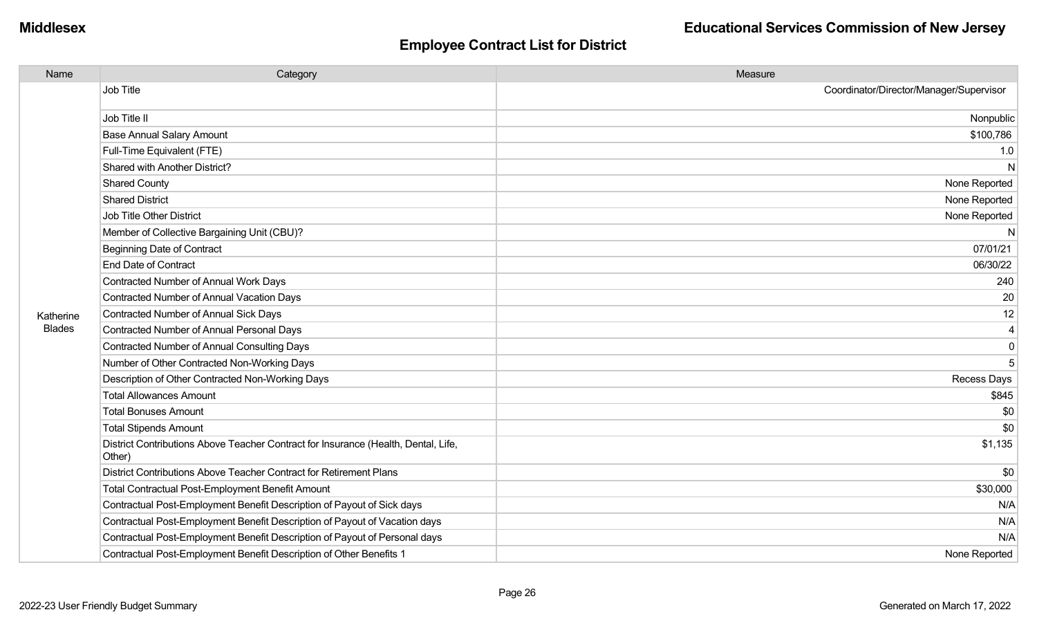| Name          | Category                                                                                     | Measure                                 |
|---------------|----------------------------------------------------------------------------------------------|-----------------------------------------|
|               | <b>Job Title</b>                                                                             | Coordinator/Director/Manager/Supervisor |
|               | Job Title II                                                                                 | Nonpublic                               |
|               | <b>Base Annual Salary Amount</b>                                                             | \$100,786                               |
|               | Full-Time Equivalent (FTE)                                                                   | 1.0                                     |
|               | Shared with Another District?                                                                | N                                       |
|               | <b>Shared County</b>                                                                         | None Reported                           |
|               | <b>Shared District</b>                                                                       | None Reported                           |
|               | <b>Job Title Other District</b>                                                              | None Reported                           |
|               | Member of Collective Bargaining Unit (CBU)?                                                  | N                                       |
|               | <b>Beginning Date of Contract</b>                                                            | 07/01/21                                |
|               | <b>End Date of Contract</b>                                                                  | 06/30/22                                |
|               | Contracted Number of Annual Work Days                                                        | 240                                     |
|               | Contracted Number of Annual Vacation Days                                                    | 20                                      |
| Katherine     | Contracted Number of Annual Sick Days                                                        | 12                                      |
| <b>Blades</b> | Contracted Number of Annual Personal Days                                                    | 4                                       |
|               | <b>Contracted Number of Annual Consulting Days</b>                                           | 0                                       |
|               | Number of Other Contracted Non-Working Days                                                  | 5                                       |
|               | Description of Other Contracted Non-Working Days                                             | Recess Days                             |
|               | <b>Total Allowances Amount</b>                                                               | \$845                                   |
|               | <b>Total Bonuses Amount</b>                                                                  | \$0                                     |
|               | <b>Total Stipends Amount</b>                                                                 | \$0                                     |
|               | District Contributions Above Teacher Contract for Insurance (Health, Dental, Life,<br>Other) | \$1,135                                 |
|               | District Contributions Above Teacher Contract for Retirement Plans                           | \$0                                     |
|               | Total Contractual Post-Employment Benefit Amount                                             | \$30,000                                |
|               | Contractual Post-Employment Benefit Description of Payout of Sick days                       | N/A                                     |
|               | Contractual Post-Employment Benefit Description of Payout of Vacation days                   | N/A                                     |
|               | Contractual Post-Employment Benefit Description of Payout of Personal days                   | N/A                                     |
|               | Contractual Post-Employment Benefit Description of Other Benefits 1                          | None Reported                           |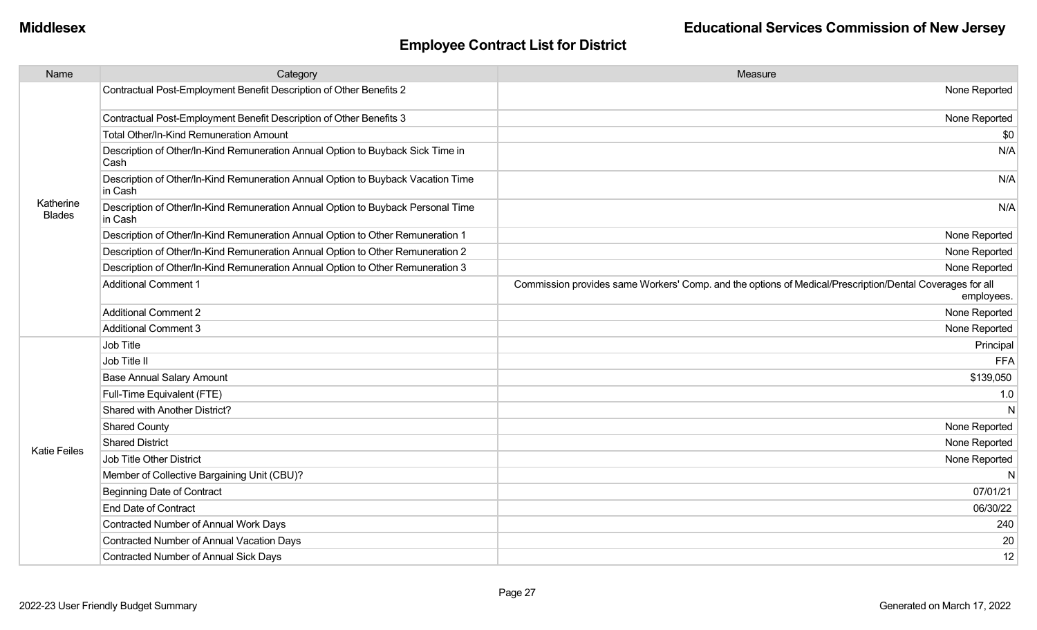| Name                       | Category                                                                                    | Measure                                                                                                                |
|----------------------------|---------------------------------------------------------------------------------------------|------------------------------------------------------------------------------------------------------------------------|
|                            | Contractual Post-Employment Benefit Description of Other Benefits 2                         | None Reported                                                                                                          |
|                            | Contractual Post-Employment Benefit Description of Other Benefits 3                         | None Reported                                                                                                          |
|                            | Total Other/In-Kind Remuneration Amount                                                     | \$0                                                                                                                    |
|                            | Description of Other/In-Kind Remuneration Annual Option to Buyback Sick Time in<br>Cash     | N/A                                                                                                                    |
|                            | Description of Other/In-Kind Remuneration Annual Option to Buyback Vacation Time<br>in Cash | N/A                                                                                                                    |
| Katherine<br><b>Blades</b> | Description of Other/In-Kind Remuneration Annual Option to Buyback Personal Time<br>in Cash | N/A                                                                                                                    |
|                            | Description of Other/In-Kind Remuneration Annual Option to Other Remuneration 1             | None Reported                                                                                                          |
|                            | Description of Other/In-Kind Remuneration Annual Option to Other Remuneration 2             | None Reported                                                                                                          |
|                            | Description of Other/In-Kind Remuneration Annual Option to Other Remuneration 3             | None Reported                                                                                                          |
|                            | <b>Additional Comment 1</b>                                                                 | Commission provides same Workers' Comp. and the options of Medical/Prescription/Dental Coverages for all<br>employees. |
|                            | <b>Additional Comment 2</b>                                                                 | None Reported                                                                                                          |
|                            | <b>Additional Comment 3</b>                                                                 | None Reported                                                                                                          |
|                            | Job Title                                                                                   | Principal                                                                                                              |
|                            | Job Title II                                                                                | <b>FFA</b>                                                                                                             |
|                            | <b>Base Annual Salary Amount</b>                                                            | \$139,050                                                                                                              |
|                            | Full-Time Equivalent (FTE)                                                                  | 1.0                                                                                                                    |
|                            | Shared with Another District?                                                               | N                                                                                                                      |
|                            | <b>Shared County</b>                                                                        | None Reported                                                                                                          |
| <b>Katie Feiles</b>        | <b>Shared District</b>                                                                      | None Reported                                                                                                          |
|                            | Job Title Other District                                                                    | None Reported                                                                                                          |
|                            | Member of Collective Bargaining Unit (CBU)?                                                 | N                                                                                                                      |
|                            | <b>Beginning Date of Contract</b>                                                           | 07/01/21                                                                                                               |
|                            | <b>End Date of Contract</b>                                                                 | 06/30/22                                                                                                               |
|                            | Contracted Number of Annual Work Days                                                       | 240                                                                                                                    |
|                            | Contracted Number of Annual Vacation Days                                                   | 20                                                                                                                     |
|                            | Contracted Number of Annual Sick Days                                                       | 12                                                                                                                     |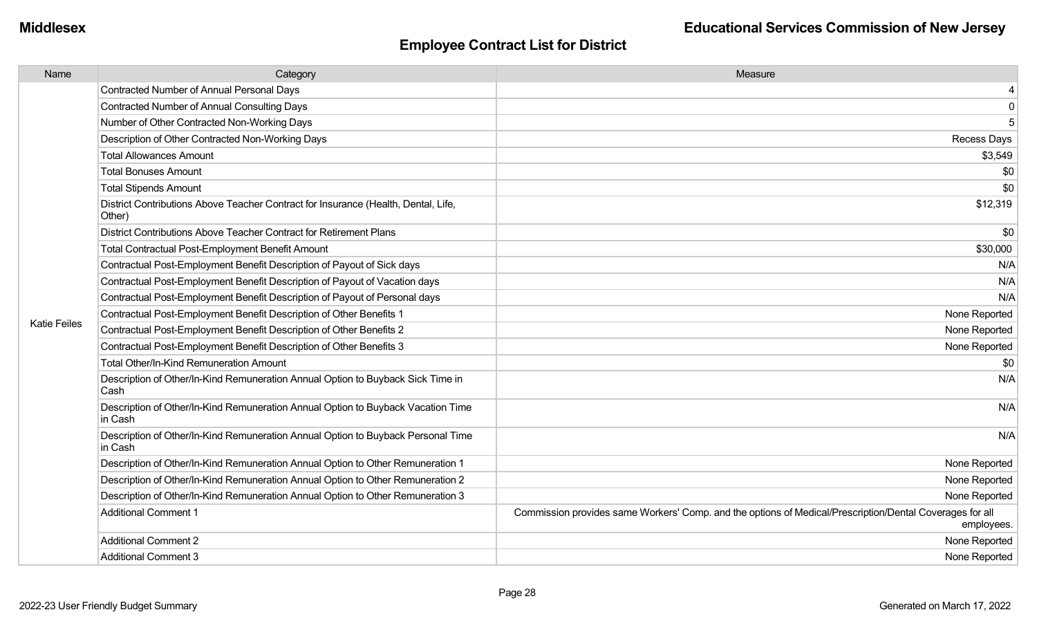| Name                | Category                                                                                     | Measure                                                                                                                |
|---------------------|----------------------------------------------------------------------------------------------|------------------------------------------------------------------------------------------------------------------------|
|                     | Contracted Number of Annual Personal Days                                                    |                                                                                                                        |
|                     | <b>Contracted Number of Annual Consulting Days</b>                                           | 0                                                                                                                      |
|                     | Number of Other Contracted Non-Working Days                                                  | 5                                                                                                                      |
|                     | Description of Other Contracted Non-Working Days                                             | Recess Days                                                                                                            |
|                     | <b>Total Allowances Amount</b>                                                               | \$3,549                                                                                                                |
|                     | <b>Total Bonuses Amount</b>                                                                  | \$0                                                                                                                    |
|                     | <b>Total Stipends Amount</b>                                                                 | \$0                                                                                                                    |
|                     | District Contributions Above Teacher Contract for Insurance (Health, Dental, Life,<br>Other) | \$12,319                                                                                                               |
|                     | District Contributions Above Teacher Contract for Retirement Plans                           | \$0                                                                                                                    |
|                     | <b>Total Contractual Post-Employment Benefit Amount</b>                                      | \$30,000                                                                                                               |
|                     | Contractual Post-Employment Benefit Description of Payout of Sick days                       | N/A                                                                                                                    |
|                     | Contractual Post-Employment Benefit Description of Payout of Vacation days                   | N/A                                                                                                                    |
|                     | Contractual Post-Employment Benefit Description of Payout of Personal days                   | N/A                                                                                                                    |
|                     | Contractual Post-Employment Benefit Description of Other Benefits 1                          | None Reported                                                                                                          |
| <b>Katie Feiles</b> | Contractual Post-Employment Benefit Description of Other Benefits 2                          | None Reported                                                                                                          |
|                     | Contractual Post-Employment Benefit Description of Other Benefits 3                          | None Reported                                                                                                          |
|                     | Total Other/In-Kind Remuneration Amount                                                      | \$0                                                                                                                    |
|                     | Description of Other/In-Kind Remuneration Annual Option to Buyback Sick Time in<br>Cash      | N/A                                                                                                                    |
|                     | Description of Other/In-Kind Remuneration Annual Option to Buyback Vacation Time<br>in Cash  | N/A                                                                                                                    |
|                     | Description of Other/In-Kind Remuneration Annual Option to Buyback Personal Time<br>in Cash  | N/A                                                                                                                    |
|                     | Description of Other/In-Kind Remuneration Annual Option to Other Remuneration 1              | None Reported                                                                                                          |
|                     | Description of Other/In-Kind Remuneration Annual Option to Other Remuneration 2              | None Reported                                                                                                          |
|                     | Description of Other/In-Kind Remuneration Annual Option to Other Remuneration 3              | None Reported                                                                                                          |
|                     | <b>Additional Comment 1</b>                                                                  | Commission provides same Workers' Comp. and the options of Medical/Prescription/Dental Coverages for all<br>employees. |
|                     | <b>Additional Comment 2</b>                                                                  | None Reported                                                                                                          |
|                     | <b>Additional Comment 3</b>                                                                  | None Reported                                                                                                          |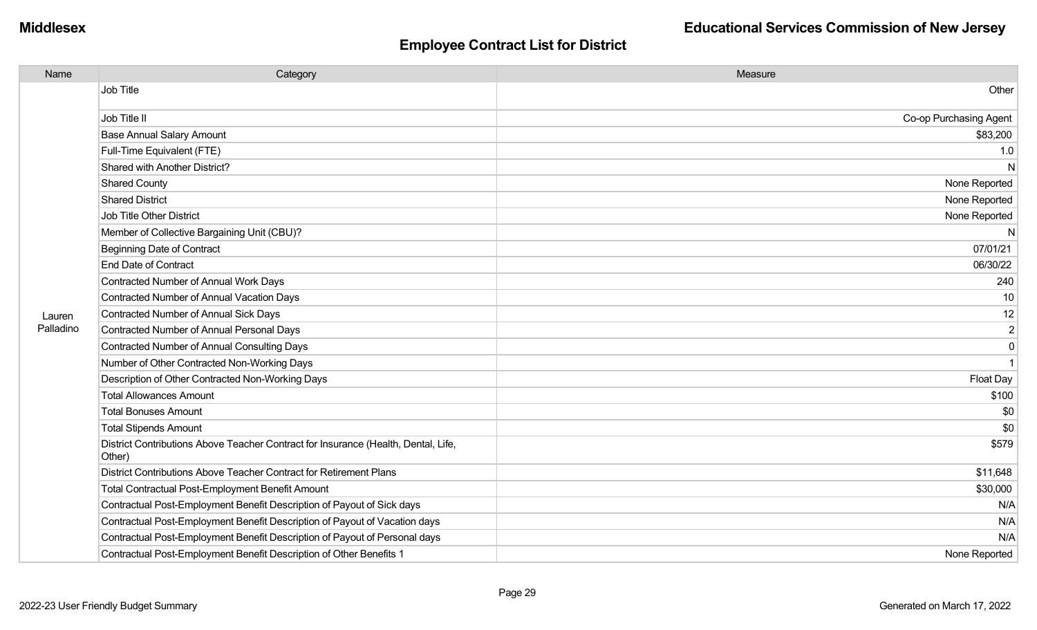| Name      | Category                                                                                     | Measure                |
|-----------|----------------------------------------------------------------------------------------------|------------------------|
|           | Job Title                                                                                    | Other                  |
|           | Job Title II                                                                                 | Co-op Purchasing Agent |
|           | <b>Base Annual Salary Amount</b>                                                             | \$83,200               |
|           | Full-Time Equivalent (FTE)                                                                   | 1.0                    |
|           | Shared with Another District?                                                                | N                      |
|           | <b>Shared County</b>                                                                         | None Reported          |
|           | <b>Shared District</b>                                                                       | None Reported          |
|           | Job Title Other District                                                                     | None Reported          |
|           | Member of Collective Bargaining Unit (CBU)?                                                  | N                      |
|           | <b>Beginning Date of Contract</b>                                                            | 07/01/21               |
|           | <b>End Date of Contract</b>                                                                  | 06/30/22               |
|           | Contracted Number of Annual Work Days                                                        | 240                    |
|           | <b>Contracted Number of Annual Vacation Days</b>                                             | 10                     |
| Lauren    | <b>Contracted Number of Annual Sick Days</b>                                                 | 12                     |
| Palladino | Contracted Number of Annual Personal Days                                                    | $\overline{2}$         |
|           | <b>Contracted Number of Annual Consulting Days</b>                                           | $\overline{0}$         |
|           | Number of Other Contracted Non-Working Days                                                  | $\overline{1}$         |
|           | Description of Other Contracted Non-Working Days                                             | Float Day              |
|           | <b>Total Allowances Amount</b>                                                               | \$100                  |
|           | <b>Total Bonuses Amount</b>                                                                  | \$0                    |
|           | <b>Total Stipends Amount</b>                                                                 | \$0                    |
|           | District Contributions Above Teacher Contract for Insurance (Health, Dental, Life,<br>Other) | \$579                  |
|           | District Contributions Above Teacher Contract for Retirement Plans                           | \$11,648               |
|           | <b>Total Contractual Post-Employment Benefit Amount</b>                                      | \$30,000               |
|           | Contractual Post-Employment Benefit Description of Payout of Sick days                       | N/A                    |
|           | Contractual Post-Employment Benefit Description of Payout of Vacation days                   | N/A                    |
|           | Contractual Post-Employment Benefit Description of Payout of Personal days                   | N/A                    |
|           | Contractual Post-Employment Benefit Description of Other Benefits 1                          | None Reported          |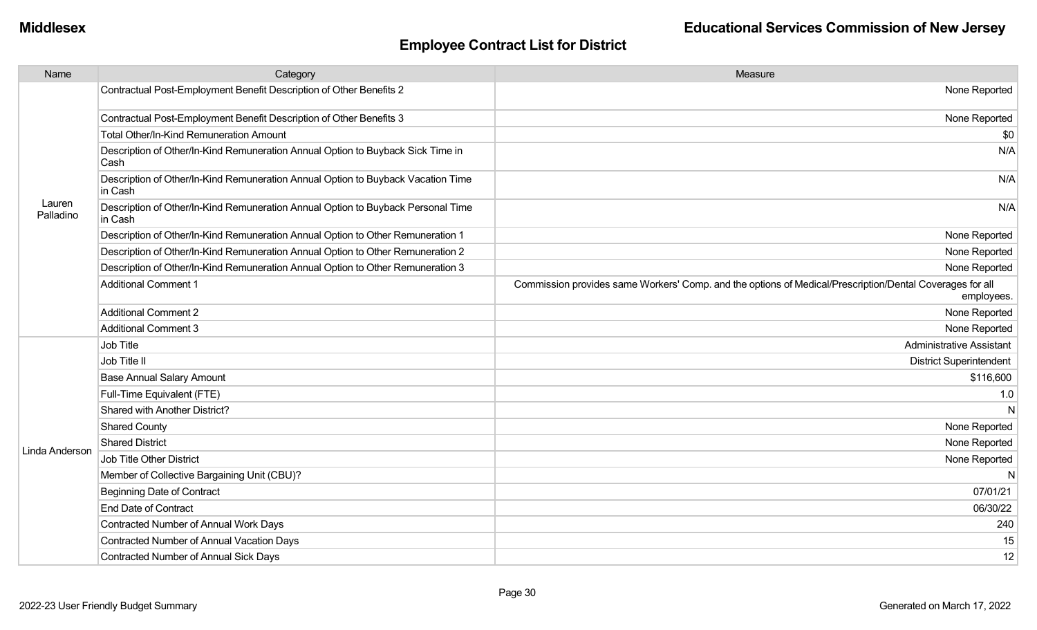| Name                | Category                                                                                    | Measure                                                                                                                |
|---------------------|---------------------------------------------------------------------------------------------|------------------------------------------------------------------------------------------------------------------------|
|                     | Contractual Post-Employment Benefit Description of Other Benefits 2                         | None Reported                                                                                                          |
|                     | Contractual Post-Employment Benefit Description of Other Benefits 3                         | None Reported                                                                                                          |
|                     | Total Other/In-Kind Remuneration Amount                                                     | \$0                                                                                                                    |
|                     | Description of Other/In-Kind Remuneration Annual Option to Buyback Sick Time in<br>Cash     | N/A                                                                                                                    |
|                     | Description of Other/In-Kind Remuneration Annual Option to Buyback Vacation Time<br>in Cash | N/A                                                                                                                    |
| Lauren<br>Palladino | Description of Other/In-Kind Remuneration Annual Option to Buyback Personal Time<br>in Cash | N/A                                                                                                                    |
|                     | Description of Other/In-Kind Remuneration Annual Option to Other Remuneration 1             | None Reported                                                                                                          |
|                     | Description of Other/In-Kind Remuneration Annual Option to Other Remuneration 2             | None Reported                                                                                                          |
|                     | Description of Other/In-Kind Remuneration Annual Option to Other Remuneration 3             | None Reported                                                                                                          |
|                     | <b>Additional Comment 1</b>                                                                 | Commission provides same Workers' Comp. and the options of Medical/Prescription/Dental Coverages for all<br>employees. |
|                     | <b>Additional Comment 2</b>                                                                 | None Reported                                                                                                          |
|                     | <b>Additional Comment 3</b>                                                                 | None Reported                                                                                                          |
|                     | Job Title                                                                                   | <b>Administrative Assistant</b>                                                                                        |
|                     | Job Title II                                                                                | <b>District Superintendent</b>                                                                                         |
|                     | <b>Base Annual Salary Amount</b>                                                            | \$116,600                                                                                                              |
|                     | Full-Time Equivalent (FTE)                                                                  | 1.0                                                                                                                    |
|                     | Shared with Another District?                                                               | $\mathsf{N}$                                                                                                           |
|                     | <b>Shared County</b>                                                                        | None Reported                                                                                                          |
|                     | <b>Shared District</b>                                                                      | None Reported                                                                                                          |
| Linda Anderson      | <b>Job Title Other District</b>                                                             | None Reported                                                                                                          |
|                     | Member of Collective Bargaining Unit (CBU)?                                                 | $\mathsf{N}$                                                                                                           |
|                     | <b>Beginning Date of Contract</b>                                                           | 07/01/21                                                                                                               |
|                     | <b>End Date of Contract</b>                                                                 | 06/30/22                                                                                                               |
|                     | Contracted Number of Annual Work Days                                                       | 240                                                                                                                    |
|                     | <b>Contracted Number of Annual Vacation Days</b>                                            | 15                                                                                                                     |
|                     | <b>Contracted Number of Annual Sick Days</b>                                                | 12                                                                                                                     |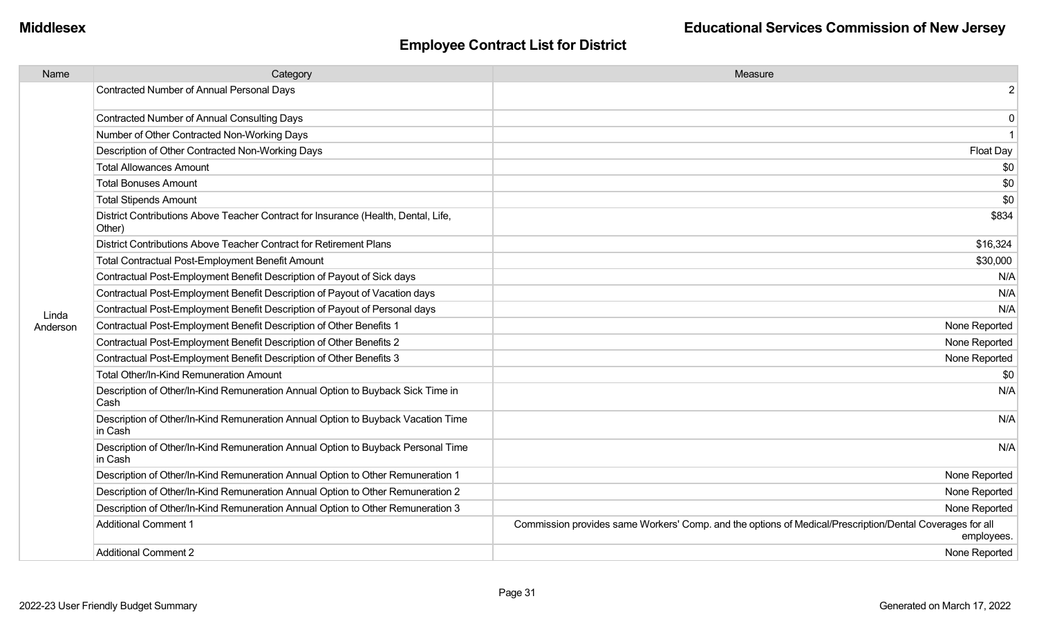| Name     | Category                                                                                     | Measure                                                                                                                |
|----------|----------------------------------------------------------------------------------------------|------------------------------------------------------------------------------------------------------------------------|
|          | <b>Contracted Number of Annual Personal Days</b>                                             | $\overline{2}$                                                                                                         |
|          | <b>Contracted Number of Annual Consulting Days</b>                                           | $\mathbf 0$                                                                                                            |
|          | Number of Other Contracted Non-Working Days                                                  | $\mathbf{1}$                                                                                                           |
|          | Description of Other Contracted Non-Working Days                                             | Float Day                                                                                                              |
|          | <b>Total Allowances Amount</b>                                                               | \$0                                                                                                                    |
|          | <b>Total Bonuses Amount</b>                                                                  | \$0                                                                                                                    |
|          | <b>Total Stipends Amount</b>                                                                 | \$0                                                                                                                    |
|          | District Contributions Above Teacher Contract for Insurance (Health, Dental, Life,<br>Other) | \$834                                                                                                                  |
|          | District Contributions Above Teacher Contract for Retirement Plans                           | \$16,324                                                                                                               |
|          | <b>Total Contractual Post-Employment Benefit Amount</b>                                      | \$30,000                                                                                                               |
|          | Contractual Post-Employment Benefit Description of Payout of Sick days                       | N/A                                                                                                                    |
|          | Contractual Post-Employment Benefit Description of Payout of Vacation days                   | N/A                                                                                                                    |
| Linda    | Contractual Post-Employment Benefit Description of Payout of Personal days                   | N/A                                                                                                                    |
| Anderson | Contractual Post-Employment Benefit Description of Other Benefits 1                          | None Reported                                                                                                          |
|          | Contractual Post-Employment Benefit Description of Other Benefits 2                          | None Reported                                                                                                          |
|          | Contractual Post-Employment Benefit Description of Other Benefits 3                          | None Reported                                                                                                          |
|          | Total Other/In-Kind Remuneration Amount                                                      | \$0                                                                                                                    |
|          | Description of Other/In-Kind Remuneration Annual Option to Buyback Sick Time in<br>Cash      | N/A                                                                                                                    |
|          | Description of Other/In-Kind Remuneration Annual Option to Buyback Vacation Time<br>in Cash  | N/A                                                                                                                    |
|          | Description of Other/In-Kind Remuneration Annual Option to Buyback Personal Time<br>in Cash  | N/A                                                                                                                    |
|          | Description of Other/In-Kind Remuneration Annual Option to Other Remuneration 1              | None Reported                                                                                                          |
|          | Description of Other/In-Kind Remuneration Annual Option to Other Remuneration 2              | None Reported                                                                                                          |
|          | Description of Other/In-Kind Remuneration Annual Option to Other Remuneration 3              | None Reported                                                                                                          |
|          | <b>Additional Comment 1</b>                                                                  | Commission provides same Workers' Comp. and the options of Medical/Prescription/Dental Coverages for all<br>employees. |
|          | <b>Additional Comment 2</b>                                                                  | None Reported                                                                                                          |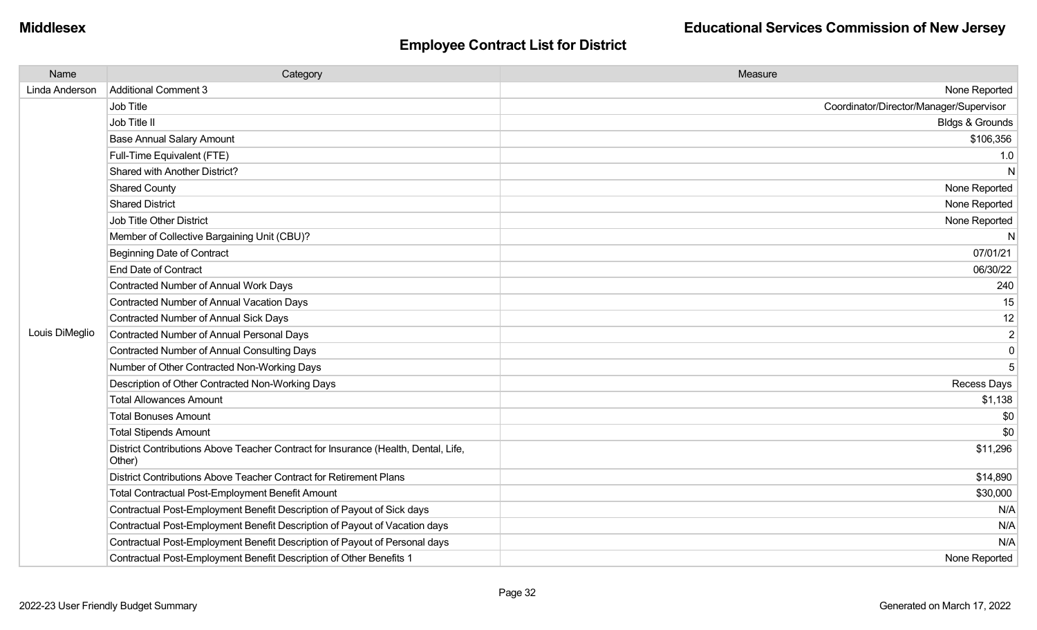### **Middlesex Educational Services Commission of New Jersey**

| Name           | Category                                                                                     | Measure                                 |
|----------------|----------------------------------------------------------------------------------------------|-----------------------------------------|
| Linda Anderson | Additional Comment 3                                                                         | None Reported                           |
|                | Job Title                                                                                    | Coordinator/Director/Manager/Supervisor |
|                | Job Title II                                                                                 | <b>Bldgs &amp; Grounds</b>              |
|                | <b>Base Annual Salary Amount</b>                                                             | \$106,356                               |
|                | Full-Time Equivalent (FTE)                                                                   | 1.0                                     |
|                | Shared with Another District?                                                                | N                                       |
|                | <b>Shared County</b>                                                                         | None Reported                           |
|                | <b>Shared District</b>                                                                       | None Reported                           |
|                | Job Title Other District                                                                     | None Reported                           |
|                | Member of Collective Bargaining Unit (CBU)?                                                  | N                                       |
|                | <b>Beginning Date of Contract</b>                                                            | 07/01/21                                |
|                | <b>End Date of Contract</b>                                                                  | 06/30/22                                |
|                | Contracted Number of Annual Work Days                                                        | 240                                     |
|                | Contracted Number of Annual Vacation Days                                                    | 15                                      |
|                | Contracted Number of Annual Sick Days                                                        | 12                                      |
| Louis DiMeglio | Contracted Number of Annual Personal Days                                                    | $\overline{2}$                          |
|                | Contracted Number of Annual Consulting Days                                                  | $\mathbf 0$                             |
|                | Number of Other Contracted Non-Working Days                                                  | 5                                       |
|                | Description of Other Contracted Non-Working Days                                             | Recess Days                             |
|                | <b>Total Allowances Amount</b>                                                               | \$1,138                                 |
|                | <b>Total Bonuses Amount</b>                                                                  | \$0                                     |
|                | <b>Total Stipends Amount</b>                                                                 | \$0                                     |
|                | District Contributions Above Teacher Contract for Insurance (Health, Dental, Life,<br>Other) | \$11,296                                |
|                | District Contributions Above Teacher Contract for Retirement Plans                           | \$14,890                                |
|                | Total Contractual Post-Employment Benefit Amount                                             | \$30,000                                |
|                | Contractual Post-Employment Benefit Description of Payout of Sick days                       | N/A                                     |
|                | Contractual Post-Employment Benefit Description of Payout of Vacation days                   | N/A                                     |
|                | Contractual Post-Employment Benefit Description of Payout of Personal days                   | N/A                                     |
|                | Contractual Post-Employment Benefit Description of Other Benefits 1                          | None Reported                           |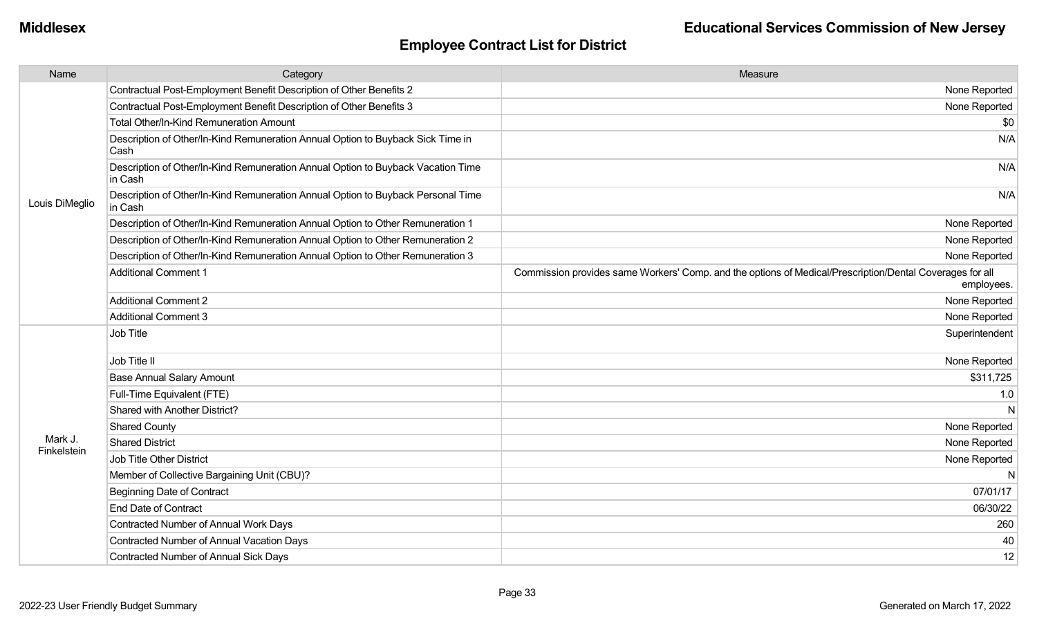| Name                   | Category                                                                                    | Measure                                                                                                                |
|------------------------|---------------------------------------------------------------------------------------------|------------------------------------------------------------------------------------------------------------------------|
|                        | Contractual Post-Employment Benefit Description of Other Benefits 2                         | None Reported                                                                                                          |
|                        | Contractual Post-Employment Benefit Description of Other Benefits 3                         | None Reported                                                                                                          |
|                        | Total Other/In-Kind Remuneration Amount                                                     | \$0                                                                                                                    |
|                        | Description of Other/In-Kind Remuneration Annual Option to Buyback Sick Time in<br>Cash     | N/A                                                                                                                    |
|                        | Description of Other/In-Kind Remuneration Annual Option to Buyback Vacation Time<br>in Cash | N/A                                                                                                                    |
| Louis DiMeglio         | Description of Other/In-Kind Remuneration Annual Option to Buyback Personal Time<br>in Cash | N/A                                                                                                                    |
|                        | Description of Other/In-Kind Remuneration Annual Option to Other Remuneration 1             | None Reported                                                                                                          |
|                        | Description of Other/In-Kind Remuneration Annual Option to Other Remuneration 2             | None Reported                                                                                                          |
|                        | Description of Other/In-Kind Remuneration Annual Option to Other Remuneration 3             | None Reported                                                                                                          |
|                        | <b>Additional Comment 1</b>                                                                 | Commission provides same Workers' Comp. and the options of Medical/Prescription/Dental Coverages for all<br>employees. |
|                        | <b>Additional Comment 2</b>                                                                 | None Reported                                                                                                          |
|                        | <b>Additional Comment 3</b>                                                                 | None Reported                                                                                                          |
|                        | Job Title                                                                                   | Superintendent                                                                                                         |
|                        | Job Title II                                                                                | None Reported                                                                                                          |
|                        | <b>Base Annual Salary Amount</b>                                                            | \$311,725                                                                                                              |
|                        | Full-Time Equivalent (FTE)                                                                  | 1.0                                                                                                                    |
|                        | Shared with Another District?                                                               | N                                                                                                                      |
|                        | <b>Shared County</b>                                                                        | None Reported                                                                                                          |
| Mark J.<br>Finkelstein | <b>Shared District</b>                                                                      | None Reported                                                                                                          |
|                        | Job Title Other District                                                                    | None Reported                                                                                                          |
|                        | Member of Collective Bargaining Unit (CBU)?                                                 | N                                                                                                                      |
|                        | <b>Beginning Date of Contract</b>                                                           | 07/01/17                                                                                                               |
|                        | <b>End Date of Contract</b>                                                                 | 06/30/22                                                                                                               |
|                        | Contracted Number of Annual Work Days                                                       | 260                                                                                                                    |
|                        | Contracted Number of Annual Vacation Days                                                   | 40                                                                                                                     |
|                        | <b>Contracted Number of Annual Sick Days</b>                                                | 12                                                                                                                     |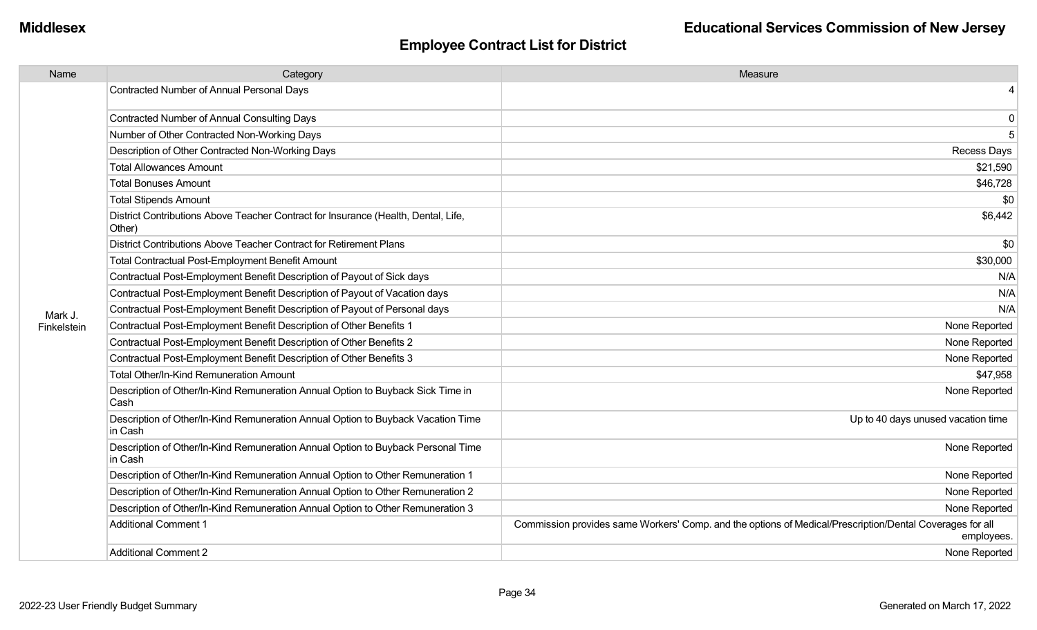| Contracted Number of Annual Personal Days<br>4<br><b>Contracted Number of Annual Consulting Days</b><br>0<br>5<br>Number of Other Contracted Non-Working Days<br>Description of Other Contracted Non-Working Days<br>Recess Days<br><b>Total Allowances Amount</b><br>\$21,590<br>\$46,728<br><b>Total Bonuses Amount</b><br><b>Total Stipends Amount</b><br>\$0<br>District Contributions Above Teacher Contract for Insurance (Health, Dental, Life,<br>\$6,442<br>Other)<br>District Contributions Above Teacher Contract for Retirement Plans<br>\$0<br><b>Total Contractual Post-Employment Benefit Amount</b><br>\$30,000<br>N/A<br>Contractual Post-Employment Benefit Description of Payout of Sick days<br>Contractual Post-Employment Benefit Description of Payout of Vacation days<br>N/A<br>Contractual Post-Employment Benefit Description of Payout of Personal days<br>N/A<br>Mark J.<br>Contractual Post-Employment Benefit Description of Other Benefits 1<br>None Reported<br>Finkelstein<br>Contractual Post-Employment Benefit Description of Other Benefits 2<br>None Reported<br>Contractual Post-Employment Benefit Description of Other Benefits 3<br>None Reported<br>Total Other/In-Kind Remuneration Amount<br>\$47,958<br>Description of Other/In-Kind Remuneration Annual Option to Buyback Sick Time in<br>None Reported<br>Cash<br>Description of Other/In-Kind Remuneration Annual Option to Buyback Vacation Time<br>Up to 40 days unused vacation time<br>in Cash<br>Description of Other/In-Kind Remuneration Annual Option to Buyback Personal Time<br>None Reported<br>in Cash<br>Description of Other/In-Kind Remuneration Annual Option to Other Remuneration 1<br>None Reported<br>Description of Other/In-Kind Remuneration Annual Option to Other Remuneration 2<br>None Reported<br>Description of Other/In-Kind Remuneration Annual Option to Other Remuneration 3<br>None Reported<br><b>Additional Comment 1</b><br>Commission provides same Workers' Comp. and the options of Medical/Prescription/Dental Coverages for all<br>employees. | Name | Category | Measure |
|-------------------------------------------------------------------------------------------------------------------------------------------------------------------------------------------------------------------------------------------------------------------------------------------------------------------------------------------------------------------------------------------------------------------------------------------------------------------------------------------------------------------------------------------------------------------------------------------------------------------------------------------------------------------------------------------------------------------------------------------------------------------------------------------------------------------------------------------------------------------------------------------------------------------------------------------------------------------------------------------------------------------------------------------------------------------------------------------------------------------------------------------------------------------------------------------------------------------------------------------------------------------------------------------------------------------------------------------------------------------------------------------------------------------------------------------------------------------------------------------------------------------------------------------------------------------------------------------------------------------------------------------------------------------------------------------------------------------------------------------------------------------------------------------------------------------------------------------------------------------------------------------------------------------------------------------------------------------------------------------------------------------------------------------------------------------------------------------|------|----------|---------|
|                                                                                                                                                                                                                                                                                                                                                                                                                                                                                                                                                                                                                                                                                                                                                                                                                                                                                                                                                                                                                                                                                                                                                                                                                                                                                                                                                                                                                                                                                                                                                                                                                                                                                                                                                                                                                                                                                                                                                                                                                                                                                           |      |          |         |
|                                                                                                                                                                                                                                                                                                                                                                                                                                                                                                                                                                                                                                                                                                                                                                                                                                                                                                                                                                                                                                                                                                                                                                                                                                                                                                                                                                                                                                                                                                                                                                                                                                                                                                                                                                                                                                                                                                                                                                                                                                                                                           |      |          |         |
|                                                                                                                                                                                                                                                                                                                                                                                                                                                                                                                                                                                                                                                                                                                                                                                                                                                                                                                                                                                                                                                                                                                                                                                                                                                                                                                                                                                                                                                                                                                                                                                                                                                                                                                                                                                                                                                                                                                                                                                                                                                                                           |      |          |         |
|                                                                                                                                                                                                                                                                                                                                                                                                                                                                                                                                                                                                                                                                                                                                                                                                                                                                                                                                                                                                                                                                                                                                                                                                                                                                                                                                                                                                                                                                                                                                                                                                                                                                                                                                                                                                                                                                                                                                                                                                                                                                                           |      |          |         |
|                                                                                                                                                                                                                                                                                                                                                                                                                                                                                                                                                                                                                                                                                                                                                                                                                                                                                                                                                                                                                                                                                                                                                                                                                                                                                                                                                                                                                                                                                                                                                                                                                                                                                                                                                                                                                                                                                                                                                                                                                                                                                           |      |          |         |
|                                                                                                                                                                                                                                                                                                                                                                                                                                                                                                                                                                                                                                                                                                                                                                                                                                                                                                                                                                                                                                                                                                                                                                                                                                                                                                                                                                                                                                                                                                                                                                                                                                                                                                                                                                                                                                                                                                                                                                                                                                                                                           |      |          |         |
|                                                                                                                                                                                                                                                                                                                                                                                                                                                                                                                                                                                                                                                                                                                                                                                                                                                                                                                                                                                                                                                                                                                                                                                                                                                                                                                                                                                                                                                                                                                                                                                                                                                                                                                                                                                                                                                                                                                                                                                                                                                                                           |      |          |         |
|                                                                                                                                                                                                                                                                                                                                                                                                                                                                                                                                                                                                                                                                                                                                                                                                                                                                                                                                                                                                                                                                                                                                                                                                                                                                                                                                                                                                                                                                                                                                                                                                                                                                                                                                                                                                                                                                                                                                                                                                                                                                                           |      |          |         |
|                                                                                                                                                                                                                                                                                                                                                                                                                                                                                                                                                                                                                                                                                                                                                                                                                                                                                                                                                                                                                                                                                                                                                                                                                                                                                                                                                                                                                                                                                                                                                                                                                                                                                                                                                                                                                                                                                                                                                                                                                                                                                           |      |          |         |
|                                                                                                                                                                                                                                                                                                                                                                                                                                                                                                                                                                                                                                                                                                                                                                                                                                                                                                                                                                                                                                                                                                                                                                                                                                                                                                                                                                                                                                                                                                                                                                                                                                                                                                                                                                                                                                                                                                                                                                                                                                                                                           |      |          |         |
|                                                                                                                                                                                                                                                                                                                                                                                                                                                                                                                                                                                                                                                                                                                                                                                                                                                                                                                                                                                                                                                                                                                                                                                                                                                                                                                                                                                                                                                                                                                                                                                                                                                                                                                                                                                                                                                                                                                                                                                                                                                                                           |      |          |         |
|                                                                                                                                                                                                                                                                                                                                                                                                                                                                                                                                                                                                                                                                                                                                                                                                                                                                                                                                                                                                                                                                                                                                                                                                                                                                                                                                                                                                                                                                                                                                                                                                                                                                                                                                                                                                                                                                                                                                                                                                                                                                                           |      |          |         |
|                                                                                                                                                                                                                                                                                                                                                                                                                                                                                                                                                                                                                                                                                                                                                                                                                                                                                                                                                                                                                                                                                                                                                                                                                                                                                                                                                                                                                                                                                                                                                                                                                                                                                                                                                                                                                                                                                                                                                                                                                                                                                           |      |          |         |
|                                                                                                                                                                                                                                                                                                                                                                                                                                                                                                                                                                                                                                                                                                                                                                                                                                                                                                                                                                                                                                                                                                                                                                                                                                                                                                                                                                                                                                                                                                                                                                                                                                                                                                                                                                                                                                                                                                                                                                                                                                                                                           |      |          |         |
|                                                                                                                                                                                                                                                                                                                                                                                                                                                                                                                                                                                                                                                                                                                                                                                                                                                                                                                                                                                                                                                                                                                                                                                                                                                                                                                                                                                                                                                                                                                                                                                                                                                                                                                                                                                                                                                                                                                                                                                                                                                                                           |      |          |         |
|                                                                                                                                                                                                                                                                                                                                                                                                                                                                                                                                                                                                                                                                                                                                                                                                                                                                                                                                                                                                                                                                                                                                                                                                                                                                                                                                                                                                                                                                                                                                                                                                                                                                                                                                                                                                                                                                                                                                                                                                                                                                                           |      |          |         |
|                                                                                                                                                                                                                                                                                                                                                                                                                                                                                                                                                                                                                                                                                                                                                                                                                                                                                                                                                                                                                                                                                                                                                                                                                                                                                                                                                                                                                                                                                                                                                                                                                                                                                                                                                                                                                                                                                                                                                                                                                                                                                           |      |          |         |
|                                                                                                                                                                                                                                                                                                                                                                                                                                                                                                                                                                                                                                                                                                                                                                                                                                                                                                                                                                                                                                                                                                                                                                                                                                                                                                                                                                                                                                                                                                                                                                                                                                                                                                                                                                                                                                                                                                                                                                                                                                                                                           |      |          |         |
|                                                                                                                                                                                                                                                                                                                                                                                                                                                                                                                                                                                                                                                                                                                                                                                                                                                                                                                                                                                                                                                                                                                                                                                                                                                                                                                                                                                                                                                                                                                                                                                                                                                                                                                                                                                                                                                                                                                                                                                                                                                                                           |      |          |         |
|                                                                                                                                                                                                                                                                                                                                                                                                                                                                                                                                                                                                                                                                                                                                                                                                                                                                                                                                                                                                                                                                                                                                                                                                                                                                                                                                                                                                                                                                                                                                                                                                                                                                                                                                                                                                                                                                                                                                                                                                                                                                                           |      |          |         |
|                                                                                                                                                                                                                                                                                                                                                                                                                                                                                                                                                                                                                                                                                                                                                                                                                                                                                                                                                                                                                                                                                                                                                                                                                                                                                                                                                                                                                                                                                                                                                                                                                                                                                                                                                                                                                                                                                                                                                                                                                                                                                           |      |          |         |
|                                                                                                                                                                                                                                                                                                                                                                                                                                                                                                                                                                                                                                                                                                                                                                                                                                                                                                                                                                                                                                                                                                                                                                                                                                                                                                                                                                                                                                                                                                                                                                                                                                                                                                                                                                                                                                                                                                                                                                                                                                                                                           |      |          |         |
|                                                                                                                                                                                                                                                                                                                                                                                                                                                                                                                                                                                                                                                                                                                                                                                                                                                                                                                                                                                                                                                                                                                                                                                                                                                                                                                                                                                                                                                                                                                                                                                                                                                                                                                                                                                                                                                                                                                                                                                                                                                                                           |      |          |         |
|                                                                                                                                                                                                                                                                                                                                                                                                                                                                                                                                                                                                                                                                                                                                                                                                                                                                                                                                                                                                                                                                                                                                                                                                                                                                                                                                                                                                                                                                                                                                                                                                                                                                                                                                                                                                                                                                                                                                                                                                                                                                                           |      |          |         |
| Additional Comment 2<br>None Reported                                                                                                                                                                                                                                                                                                                                                                                                                                                                                                                                                                                                                                                                                                                                                                                                                                                                                                                                                                                                                                                                                                                                                                                                                                                                                                                                                                                                                                                                                                                                                                                                                                                                                                                                                                                                                                                                                                                                                                                                                                                     |      |          |         |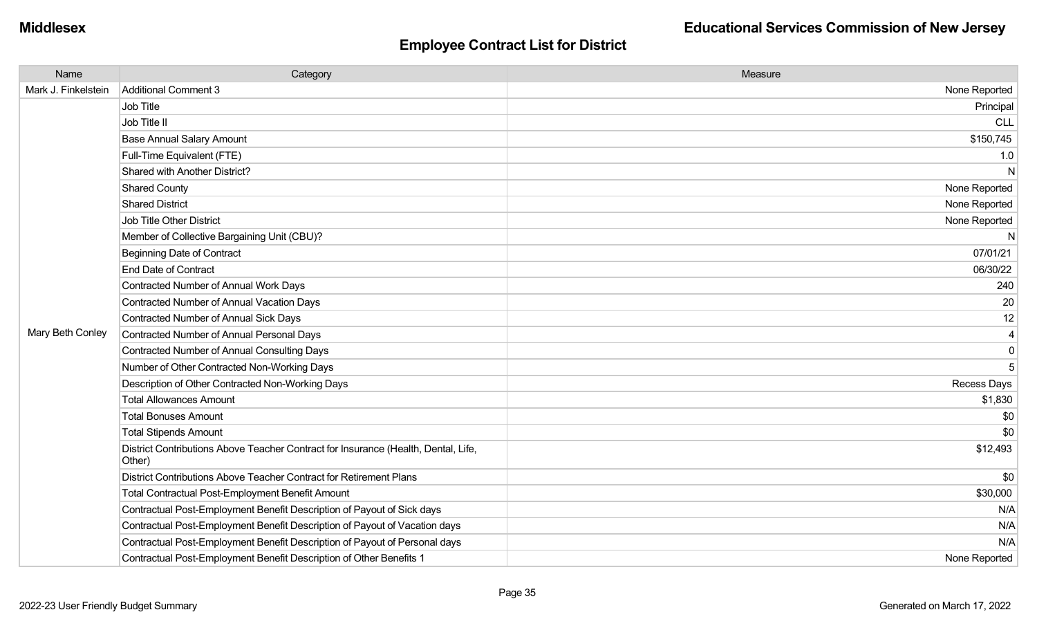| Name                | Category                                                                                     | Measure       |
|---------------------|----------------------------------------------------------------------------------------------|---------------|
| Mark J. Finkelstein | Additional Comment 3                                                                         | None Reported |
|                     | Job Title                                                                                    | Principal     |
|                     | Job Title II                                                                                 | <b>CLL</b>    |
|                     | <b>Base Annual Salary Amount</b>                                                             | \$150,745     |
|                     | Full-Time Equivalent (FTE)                                                                   | 1.0           |
|                     | Shared with Another District?                                                                | N             |
|                     | <b>Shared County</b>                                                                         | None Reported |
|                     | <b>Shared District</b>                                                                       | None Reported |
|                     | <b>Job Title Other District</b>                                                              | None Reported |
|                     | Member of Collective Bargaining Unit (CBU)?                                                  | N             |
|                     | <b>Beginning Date of Contract</b>                                                            | 07/01/21      |
|                     | <b>End Date of Contract</b>                                                                  | 06/30/22      |
|                     | Contracted Number of Annual Work Days                                                        | 240           |
|                     | Contracted Number of Annual Vacation Days                                                    | 20            |
|                     | <b>Contracted Number of Annual Sick Days</b>                                                 | 12            |
| Mary Beth Conley    | <b>Contracted Number of Annual Personal Days</b>                                             | 4             |
|                     | <b>Contracted Number of Annual Consulting Days</b>                                           | $\mathbf 0$   |
|                     | Number of Other Contracted Non-Working Days                                                  | 5             |
|                     | Description of Other Contracted Non-Working Days                                             | Recess Days   |
|                     | <b>Total Allowances Amount</b>                                                               | \$1,830       |
|                     | <b>Total Bonuses Amount</b>                                                                  | \$0           |
|                     | <b>Total Stipends Amount</b>                                                                 | \$0           |
|                     | District Contributions Above Teacher Contract for Insurance (Health, Dental, Life,<br>Other) | \$12,493      |
|                     | District Contributions Above Teacher Contract for Retirement Plans                           | \$0           |
|                     | <b>Total Contractual Post-Employment Benefit Amount</b>                                      | \$30,000      |
|                     | Contractual Post-Employment Benefit Description of Payout of Sick days                       | N/A           |
|                     | Contractual Post-Employment Benefit Description of Payout of Vacation days                   | N/A           |
|                     | Contractual Post-Employment Benefit Description of Payout of Personal days                   | N/A           |
|                     | Contractual Post-Employment Benefit Description of Other Benefits 1                          | None Reported |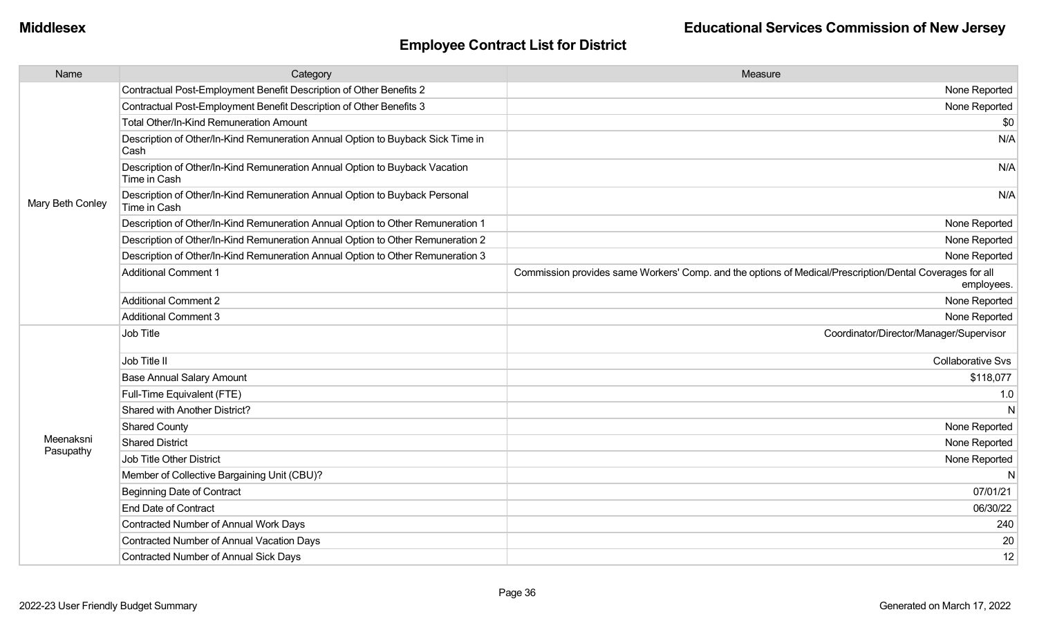| Name             | Category                                                                                    | Measure                                                                                                                |
|------------------|---------------------------------------------------------------------------------------------|------------------------------------------------------------------------------------------------------------------------|
|                  | Contractual Post-Employment Benefit Description of Other Benefits 2                         | None Reported                                                                                                          |
|                  | Contractual Post-Employment Benefit Description of Other Benefits 3                         | None Reported                                                                                                          |
|                  | Total Other/In-Kind Remuneration Amount                                                     | \$0                                                                                                                    |
|                  | Description of Other/In-Kind Remuneration Annual Option to Buyback Sick Time in<br>Cash     | N/A                                                                                                                    |
|                  | Description of Other/In-Kind Remuneration Annual Option to Buyback Vacation<br>Time in Cash | N/A                                                                                                                    |
| Mary Beth Conley | Description of Other/In-Kind Remuneration Annual Option to Buyback Personal<br>Time in Cash | N/A                                                                                                                    |
|                  | Description of Other/In-Kind Remuneration Annual Option to Other Remuneration 1             | None Reported                                                                                                          |
|                  | Description of Other/In-Kind Remuneration Annual Option to Other Remuneration 2             | None Reported                                                                                                          |
|                  | Description of Other/In-Kind Remuneration Annual Option to Other Remuneration 3             | None Reported                                                                                                          |
|                  | <b>Additional Comment 1</b>                                                                 | Commission provides same Workers' Comp. and the options of Medical/Prescription/Dental Coverages for all<br>employees. |
|                  | <b>Additional Comment 2</b>                                                                 | None Reported                                                                                                          |
|                  | <b>Additional Comment 3</b>                                                                 | None Reported                                                                                                          |
|                  | Job Title                                                                                   | Coordinator/Director/Manager/Supervisor                                                                                |
|                  | Job Title II                                                                                | <b>Collaborative Svs</b>                                                                                               |
|                  | <b>Base Annual Salary Amount</b>                                                            | \$118,077                                                                                                              |
|                  | Full-Time Equivalent (FTE)                                                                  | 1.0                                                                                                                    |
|                  | Shared with Another District?                                                               | N                                                                                                                      |
|                  | Shared County                                                                               | None Reported                                                                                                          |
| Meenaksni        | <b>Shared District</b>                                                                      | None Reported                                                                                                          |
| Pasupathy        | Job Title Other District                                                                    | None Reported                                                                                                          |
|                  | Member of Collective Bargaining Unit (CBU)?                                                 | N                                                                                                                      |
|                  | <b>Beginning Date of Contract</b>                                                           | 07/01/21                                                                                                               |
|                  | <b>End Date of Contract</b>                                                                 | 06/30/22                                                                                                               |
|                  | Contracted Number of Annual Work Days                                                       | 240                                                                                                                    |
|                  | Contracted Number of Annual Vacation Days                                                   | 20                                                                                                                     |
|                  | <b>Contracted Number of Annual Sick Days</b>                                                | 12                                                                                                                     |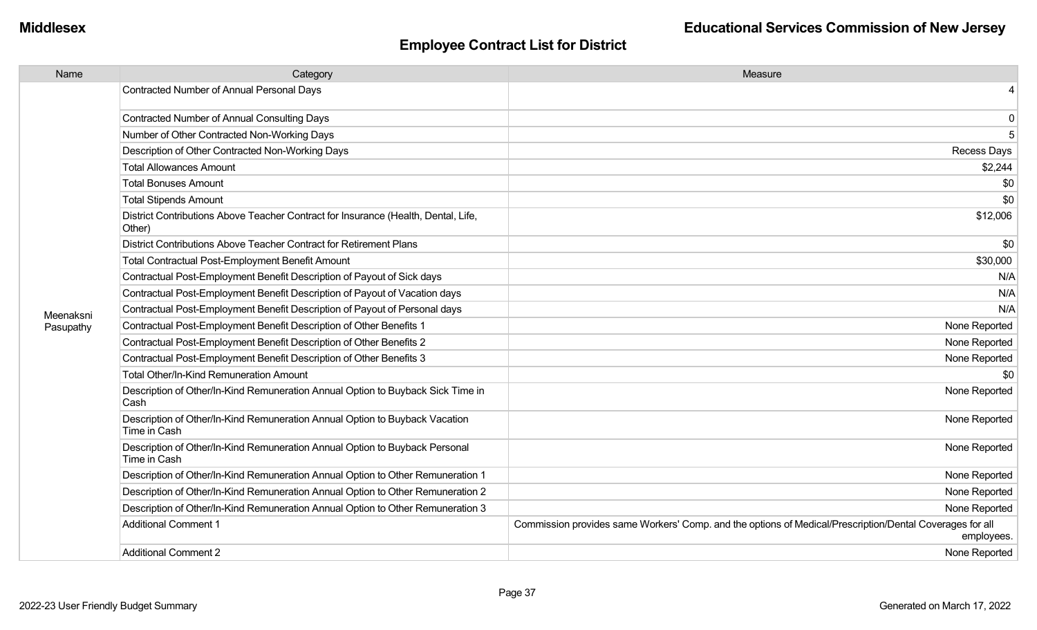| Name      | Category                                                                                     | Measure                                                                                                                |
|-----------|----------------------------------------------------------------------------------------------|------------------------------------------------------------------------------------------------------------------------|
|           | Contracted Number of Annual Personal Days                                                    |                                                                                                                        |
|           | <b>Contracted Number of Annual Consulting Days</b>                                           | 0                                                                                                                      |
|           | Number of Other Contracted Non-Working Days                                                  | 5                                                                                                                      |
|           | Description of Other Contracted Non-Working Days                                             | Recess Days                                                                                                            |
|           | <b>Total Allowances Amount</b>                                                               | \$2,244                                                                                                                |
|           | <b>Total Bonuses Amount</b>                                                                  | \$0                                                                                                                    |
|           | <b>Total Stipends Amount</b>                                                                 | \$0                                                                                                                    |
|           | District Contributions Above Teacher Contract for Insurance (Health, Dental, Life,<br>Other) | \$12,006                                                                                                               |
|           | District Contributions Above Teacher Contract for Retirement Plans                           | \$0                                                                                                                    |
|           | Total Contractual Post-Employment Benefit Amount                                             | \$30,000                                                                                                               |
|           | Contractual Post-Employment Benefit Description of Payout of Sick days                       | N/A                                                                                                                    |
|           | Contractual Post-Employment Benefit Description of Payout of Vacation days                   | N/A                                                                                                                    |
| Meenaksni | Contractual Post-Employment Benefit Description of Payout of Personal days                   | N/A                                                                                                                    |
| Pasupathy | Contractual Post-Employment Benefit Description of Other Benefits 1                          | None Reported                                                                                                          |
|           | Contractual Post-Employment Benefit Description of Other Benefits 2                          | None Reported                                                                                                          |
|           | Contractual Post-Employment Benefit Description of Other Benefits 3                          | None Reported                                                                                                          |
|           | <b>Total Other/In-Kind Remuneration Amount</b>                                               | \$0                                                                                                                    |
|           | Description of Other/In-Kind Remuneration Annual Option to Buyback Sick Time in<br>Cash      | None Reported                                                                                                          |
|           | Description of Other/In-Kind Remuneration Annual Option to Buyback Vacation<br>Time in Cash  | None Reported                                                                                                          |
|           | Description of Other/In-Kind Remuneration Annual Option to Buyback Personal<br>Time in Cash  | None Reported                                                                                                          |
|           | Description of Other/In-Kind Remuneration Annual Option to Other Remuneration 1              | None Reported                                                                                                          |
|           | Description of Other/In-Kind Remuneration Annual Option to Other Remuneration 2              | None Reported                                                                                                          |
|           | Description of Other/In-Kind Remuneration Annual Option to Other Remuneration 3              | None Reported                                                                                                          |
|           | <b>Additional Comment 1</b>                                                                  | Commission provides same Workers' Comp. and the options of Medical/Prescription/Dental Coverages for all<br>employees. |
|           | <b>Additional Comment 2</b>                                                                  | None Reported                                                                                                          |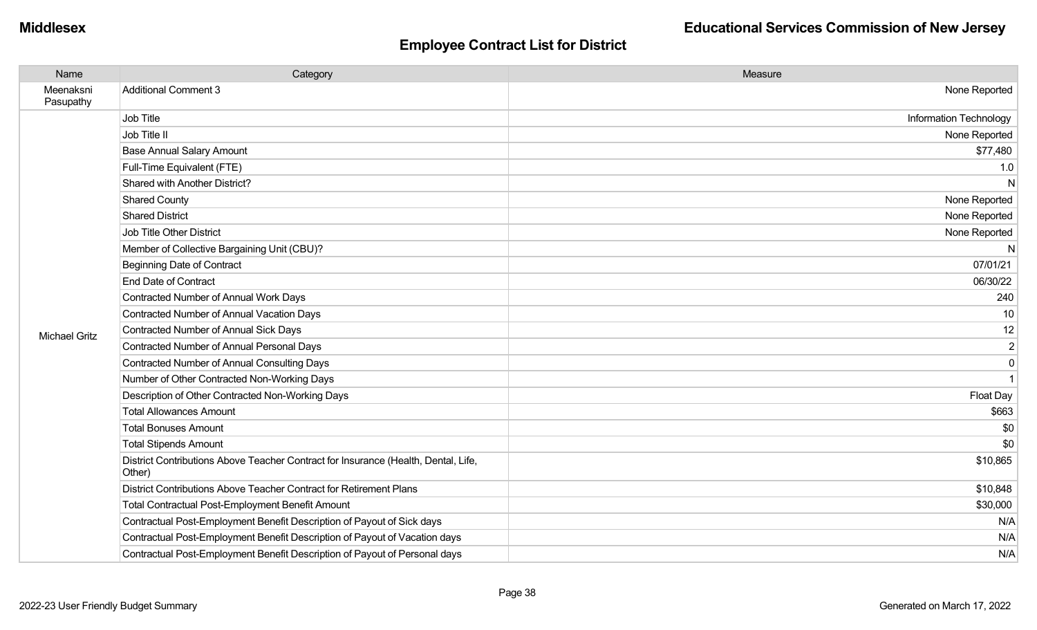| Name                   | Category                                                                                     | Measure                       |
|------------------------|----------------------------------------------------------------------------------------------|-------------------------------|
| Meenaksni<br>Pasupathy | <b>Additional Comment 3</b>                                                                  | None Reported                 |
|                        | Job Title                                                                                    | <b>Information Technology</b> |
|                        | Job Title II                                                                                 | None Reported                 |
|                        | <b>Base Annual Salary Amount</b>                                                             | \$77,480                      |
|                        | Full-Time Equivalent (FTE)                                                                   | 1.0                           |
|                        | Shared with Another District?                                                                | N                             |
|                        | <b>Shared County</b>                                                                         | None Reported                 |
|                        | <b>Shared District</b>                                                                       | None Reported                 |
|                        | <b>Job Title Other District</b>                                                              | None Reported                 |
|                        | Member of Collective Bargaining Unit (CBU)?                                                  | N                             |
|                        | <b>Beginning Date of Contract</b>                                                            | 07/01/21                      |
|                        | <b>End Date of Contract</b>                                                                  | 06/30/22                      |
|                        | Contracted Number of Annual Work Days                                                        | 240                           |
|                        | Contracted Number of Annual Vacation Days                                                    | 10                            |
| <b>Michael Gritz</b>   | Contracted Number of Annual Sick Days                                                        | 12                            |
|                        | Contracted Number of Annual Personal Days                                                    | $\overline{2}$                |
|                        | <b>Contracted Number of Annual Consulting Days</b>                                           | $\mathbf 0$                   |
|                        | Number of Other Contracted Non-Working Days                                                  |                               |
|                        | Description of Other Contracted Non-Working Days                                             | Float Day                     |
|                        | <b>Total Allowances Amount</b>                                                               | \$663                         |
|                        | <b>Total Bonuses Amount</b>                                                                  | \$0                           |
|                        | <b>Total Stipends Amount</b>                                                                 | \$0                           |
|                        | District Contributions Above Teacher Contract for Insurance (Health, Dental, Life,<br>Other) | \$10,865                      |
|                        | District Contributions Above Teacher Contract for Retirement Plans                           | \$10,848                      |
|                        | <b>Total Contractual Post-Employment Benefit Amount</b>                                      | \$30,000                      |
|                        | Contractual Post-Employment Benefit Description of Payout of Sick days                       | N/A                           |
|                        | Contractual Post-Employment Benefit Description of Payout of Vacation days                   | N/A                           |
|                        | Contractual Post-Employment Benefit Description of Payout of Personal days                   | N/A                           |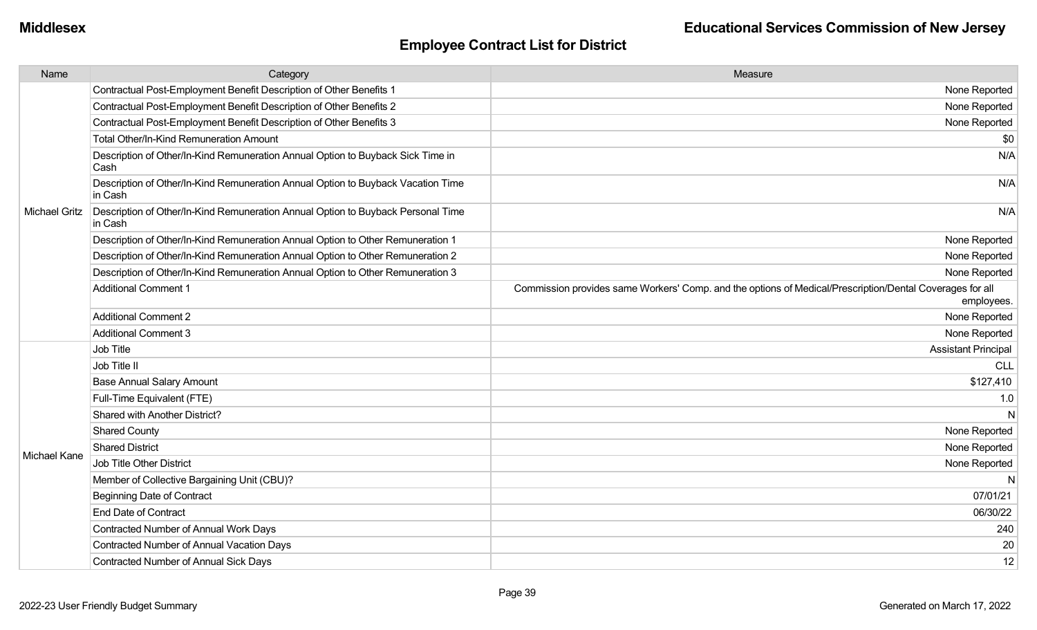| Name                 | Category                                                                                    | Measure                                                                                                                |
|----------------------|---------------------------------------------------------------------------------------------|------------------------------------------------------------------------------------------------------------------------|
|                      | Contractual Post-Employment Benefit Description of Other Benefits 1                         | None Reported                                                                                                          |
|                      | Contractual Post-Employment Benefit Description of Other Benefits 2                         | None Reported                                                                                                          |
|                      | Contractual Post-Employment Benefit Description of Other Benefits 3                         | None Reported                                                                                                          |
|                      | Total Other/In-Kind Remuneration Amount                                                     | \$0                                                                                                                    |
|                      | Description of Other/In-Kind Remuneration Annual Option to Buyback Sick Time in<br>Cash     | N/A                                                                                                                    |
|                      | Description of Other/In-Kind Remuneration Annual Option to Buyback Vacation Time<br>in Cash | N/A                                                                                                                    |
| <b>Michael Gritz</b> | Description of Other/In-Kind Remuneration Annual Option to Buyback Personal Time<br>in Cash | N/A                                                                                                                    |
|                      | Description of Other/In-Kind Remuneration Annual Option to Other Remuneration 1             | None Reported                                                                                                          |
|                      | Description of Other/In-Kind Remuneration Annual Option to Other Remuneration 2             | None Reported                                                                                                          |
|                      | Description of Other/In-Kind Remuneration Annual Option to Other Remuneration 3             | None Reported                                                                                                          |
|                      | <b>Additional Comment 1</b>                                                                 | Commission provides same Workers' Comp. and the options of Medical/Prescription/Dental Coverages for all<br>employees. |
|                      | <b>Additional Comment 2</b>                                                                 | None Reported                                                                                                          |
|                      | <b>Additional Comment 3</b>                                                                 | None Reported                                                                                                          |
|                      | Job Title                                                                                   | <b>Assistant Principal</b>                                                                                             |
|                      | Job Title II                                                                                | <b>CLL</b>                                                                                                             |
|                      | <b>Base Annual Salary Amount</b>                                                            | \$127,410                                                                                                              |
|                      | Full-Time Equivalent (FTE)                                                                  | 1.0                                                                                                                    |
|                      | Shared with Another District?                                                               | $\mathsf{N}$                                                                                                           |
|                      | <b>Shared County</b>                                                                        | None Reported                                                                                                          |
| Michael Kane         | <b>Shared District</b>                                                                      | None Reported                                                                                                          |
|                      | Job Title Other District                                                                    | None Reported                                                                                                          |
|                      | Member of Collective Bargaining Unit (CBU)?                                                 | N                                                                                                                      |
|                      | <b>Beginning Date of Contract</b>                                                           | 07/01/21                                                                                                               |
|                      | <b>End Date of Contract</b>                                                                 | 06/30/22                                                                                                               |
|                      | Contracted Number of Annual Work Days                                                       | 240                                                                                                                    |
|                      | <b>Contracted Number of Annual Vacation Days</b>                                            | 20                                                                                                                     |
|                      | <b>Contracted Number of Annual Sick Days</b>                                                | 12                                                                                                                     |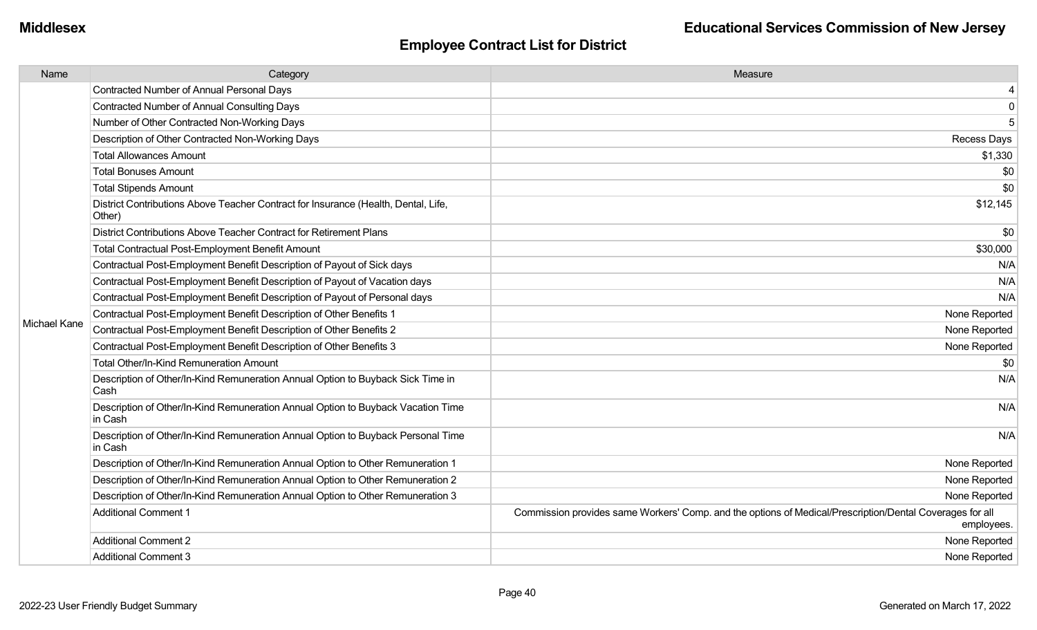| Name         | Category                                                                                     | Measure                                                                                                                |
|--------------|----------------------------------------------------------------------------------------------|------------------------------------------------------------------------------------------------------------------------|
|              | <b>Contracted Number of Annual Personal Days</b>                                             | 4                                                                                                                      |
|              | <b>Contracted Number of Annual Consulting Days</b>                                           | $\mathbf 0$                                                                                                            |
|              | Number of Other Contracted Non-Working Days                                                  | 5                                                                                                                      |
|              | Description of Other Contracted Non-Working Days                                             | <b>Recess Days</b>                                                                                                     |
|              | <b>Total Allowances Amount</b>                                                               | \$1,330                                                                                                                |
|              | <b>Total Bonuses Amount</b>                                                                  | \$0                                                                                                                    |
|              | <b>Total Stipends Amount</b>                                                                 | \$0                                                                                                                    |
|              | District Contributions Above Teacher Contract for Insurance (Health, Dental, Life,<br>Other) | \$12,145                                                                                                               |
|              | District Contributions Above Teacher Contract for Retirement Plans                           | \$0                                                                                                                    |
|              | Total Contractual Post-Employment Benefit Amount                                             | \$30,000                                                                                                               |
|              | Contractual Post-Employment Benefit Description of Payout of Sick days                       | N/A                                                                                                                    |
|              | Contractual Post-Employment Benefit Description of Payout of Vacation days                   | N/A                                                                                                                    |
|              | Contractual Post-Employment Benefit Description of Payout of Personal days                   | N/A                                                                                                                    |
|              | Contractual Post-Employment Benefit Description of Other Benefits 1                          | None Reported                                                                                                          |
| Michael Kane | Contractual Post-Employment Benefit Description of Other Benefits 2                          | None Reported                                                                                                          |
|              | Contractual Post-Employment Benefit Description of Other Benefits 3                          | None Reported                                                                                                          |
|              | Total Other/In-Kind Remuneration Amount                                                      | \$0                                                                                                                    |
|              | Description of Other/In-Kind Remuneration Annual Option to Buyback Sick Time in<br>Cash      | N/A                                                                                                                    |
|              | Description of Other/In-Kind Remuneration Annual Option to Buyback Vacation Time<br>in Cash  | N/A                                                                                                                    |
|              | Description of Other/In-Kind Remuneration Annual Option to Buyback Personal Time<br>in Cash  | N/A                                                                                                                    |
|              | Description of Other/In-Kind Remuneration Annual Option to Other Remuneration 1              | None Reported                                                                                                          |
|              | Description of Other/In-Kind Remuneration Annual Option to Other Remuneration 2              | None Reported                                                                                                          |
|              | Description of Other/In-Kind Remuneration Annual Option to Other Remuneration 3              | None Reported                                                                                                          |
|              | <b>Additional Comment 1</b>                                                                  | Commission provides same Workers' Comp. and the options of Medical/Prescription/Dental Coverages for all<br>employees. |
|              | <b>Additional Comment 2</b>                                                                  | None Reported                                                                                                          |
|              | <b>Additional Comment 3</b>                                                                  | None Reported                                                                                                          |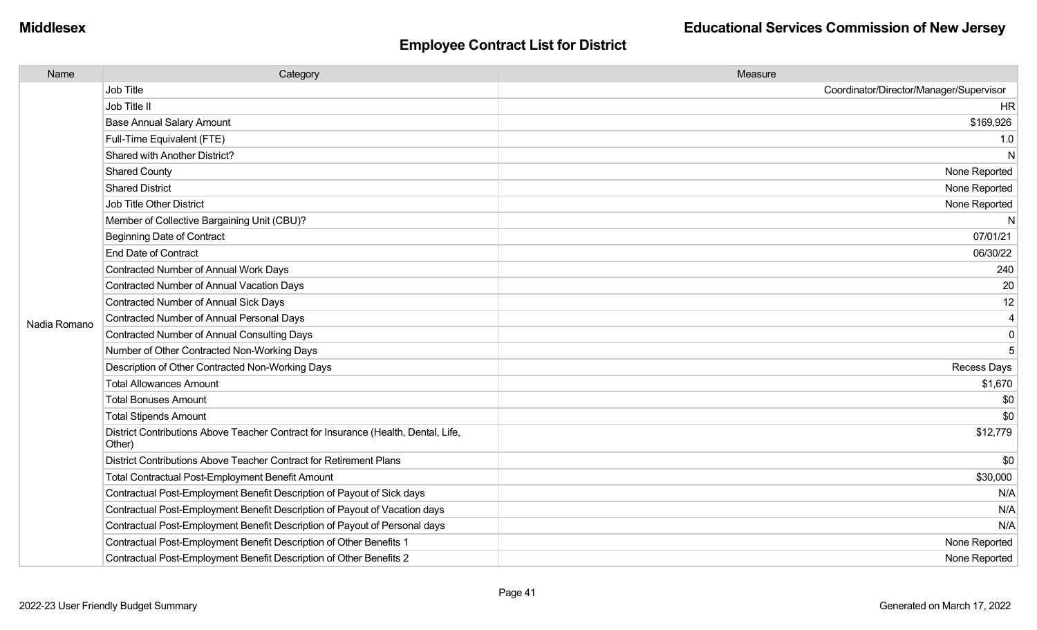| Name         | Category                                                                                     | Measure                                 |
|--------------|----------------------------------------------------------------------------------------------|-----------------------------------------|
|              | Job Title                                                                                    | Coordinator/Director/Manager/Supervisor |
|              | Job Title II                                                                                 | <b>HR</b>                               |
|              | <b>Base Annual Salary Amount</b>                                                             | \$169,926                               |
|              | Full-Time Equivalent (FTE)                                                                   | 1.0                                     |
|              | Shared with Another District?                                                                | N                                       |
|              | <b>Shared County</b>                                                                         | None Reported                           |
|              | <b>Shared District</b>                                                                       | None Reported                           |
|              | Job Title Other District                                                                     | None Reported                           |
|              | Member of Collective Bargaining Unit (CBU)?                                                  | N                                       |
|              | Beginning Date of Contract                                                                   | 07/01/21                                |
|              | <b>End Date of Contract</b>                                                                  | 06/30/22                                |
|              | <b>Contracted Number of Annual Work Days</b>                                                 | 240                                     |
|              | Contracted Number of Annual Vacation Days                                                    | 20                                      |
|              | <b>Contracted Number of Annual Sick Days</b>                                                 | 12                                      |
| Nadia Romano | <b>Contracted Number of Annual Personal Days</b>                                             | $\overline{4}$                          |
|              | <b>Contracted Number of Annual Consulting Days</b>                                           | $\pmb{0}$                               |
|              | Number of Other Contracted Non-Working Days                                                  | 5                                       |
|              | Description of Other Contracted Non-Working Days                                             | Recess Days                             |
|              | <b>Total Allowances Amount</b>                                                               | \$1,670                                 |
|              | <b>Total Bonuses Amount</b>                                                                  | \$0                                     |
|              | <b>Total Stipends Amount</b>                                                                 | \$0                                     |
|              | District Contributions Above Teacher Contract for Insurance (Health, Dental, Life,<br>Other) | \$12,779                                |
|              | District Contributions Above Teacher Contract for Retirement Plans                           | \$0                                     |
|              | <b>Total Contractual Post-Employment Benefit Amount</b>                                      | \$30,000                                |
|              | Contractual Post-Employment Benefit Description of Payout of Sick days                       | N/A                                     |
|              | Contractual Post-Employment Benefit Description of Payout of Vacation days                   | N/A                                     |
|              | Contractual Post-Employment Benefit Description of Payout of Personal days                   | N/A                                     |
|              | Contractual Post-Employment Benefit Description of Other Benefits 1                          | None Reported                           |
|              | Contractual Post-Employment Benefit Description of Other Benefits 2                          | None Reported                           |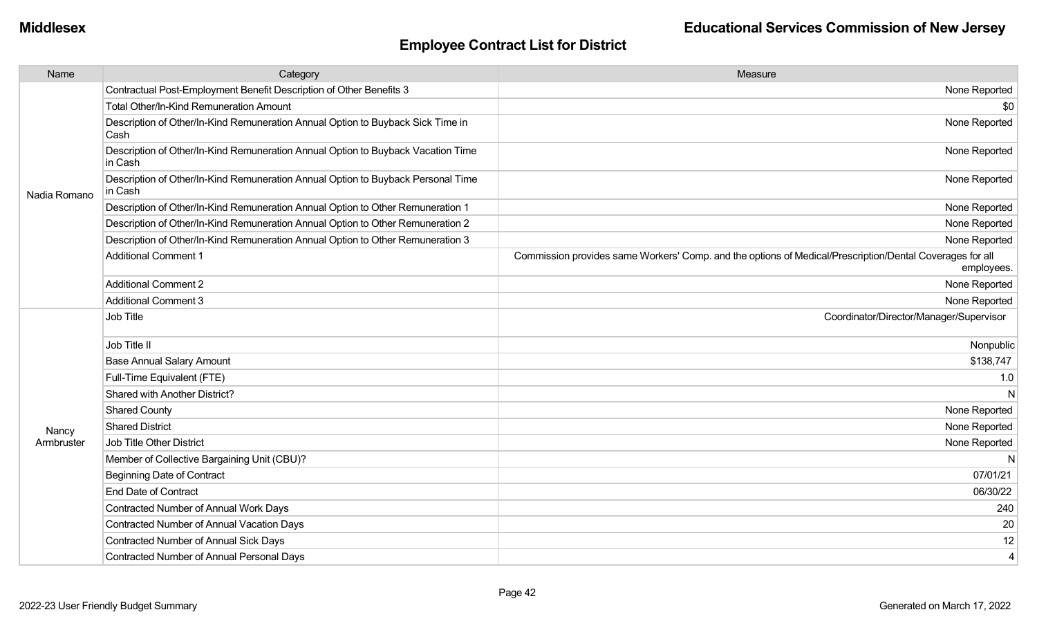| Contractual Post-Employment Benefit Description of Other Benefits 3<br><b>Total Other/In-Kind Remuneration Amount</b><br>Description of Other/In-Kind Remuneration Annual Option to Buyback Sick Time in<br>Cash | None Reported<br>\$0<br>None Reported<br>None Reported<br>None Reported |
|------------------------------------------------------------------------------------------------------------------------------------------------------------------------------------------------------------------|-------------------------------------------------------------------------|
|                                                                                                                                                                                                                  |                                                                         |
|                                                                                                                                                                                                                  |                                                                         |
|                                                                                                                                                                                                                  |                                                                         |
| Description of Other/In-Kind Remuneration Annual Option to Buyback Vacation Time<br>in Cash                                                                                                                      |                                                                         |
| Description of Other/In-Kind Remuneration Annual Option to Buyback Personal Time<br>in Cash<br>Nadia Romano                                                                                                      |                                                                         |
| Description of Other/In-Kind Remuneration Annual Option to Other Remuneration 1                                                                                                                                  | None Reported                                                           |
| Description of Other/In-Kind Remuneration Annual Option to Other Remuneration 2                                                                                                                                  | None Reported                                                           |
| Description of Other/In-Kind Remuneration Annual Option to Other Remuneration 3                                                                                                                                  | None Reported                                                           |
| <b>Additional Comment 1</b><br>Commission provides same Workers' Comp. and the options of Medical/Prescription/Dental Coverages for all                                                                          | employees.                                                              |
| <b>Additional Comment 2</b>                                                                                                                                                                                      | None Reported                                                           |
| <b>Additional Comment 3</b>                                                                                                                                                                                      | None Reported                                                           |
| Job Title<br>Coordinator/Director/Manager/Supervisor                                                                                                                                                             |                                                                         |
| Job Title II                                                                                                                                                                                                     | Nonpublic                                                               |
| <b>Base Annual Salary Amount</b>                                                                                                                                                                                 | \$138,747                                                               |
| Full-Time Equivalent (FTE)                                                                                                                                                                                       | 1.0                                                                     |
| Shared with Another District?                                                                                                                                                                                    | N                                                                       |
| <b>Shared County</b>                                                                                                                                                                                             | None Reported                                                           |
| <b>Shared District</b><br>Nancy                                                                                                                                                                                  | None Reported                                                           |
| <b>Job Title Other District</b><br>Armbruster                                                                                                                                                                    | None Reported                                                           |
| Member of Collective Bargaining Unit (CBU)?                                                                                                                                                                      | N                                                                       |
| <b>Beginning Date of Contract</b>                                                                                                                                                                                | 07/01/21                                                                |
| <b>End Date of Contract</b>                                                                                                                                                                                      | 06/30/22                                                                |
| Contracted Number of Annual Work Days                                                                                                                                                                            | 240                                                                     |
| Contracted Number of Annual Vacation Days                                                                                                                                                                        | 20                                                                      |
| <b>Contracted Number of Annual Sick Days</b>                                                                                                                                                                     | 12                                                                      |
| Contracted Number of Annual Personal Days                                                                                                                                                                        | 4                                                                       |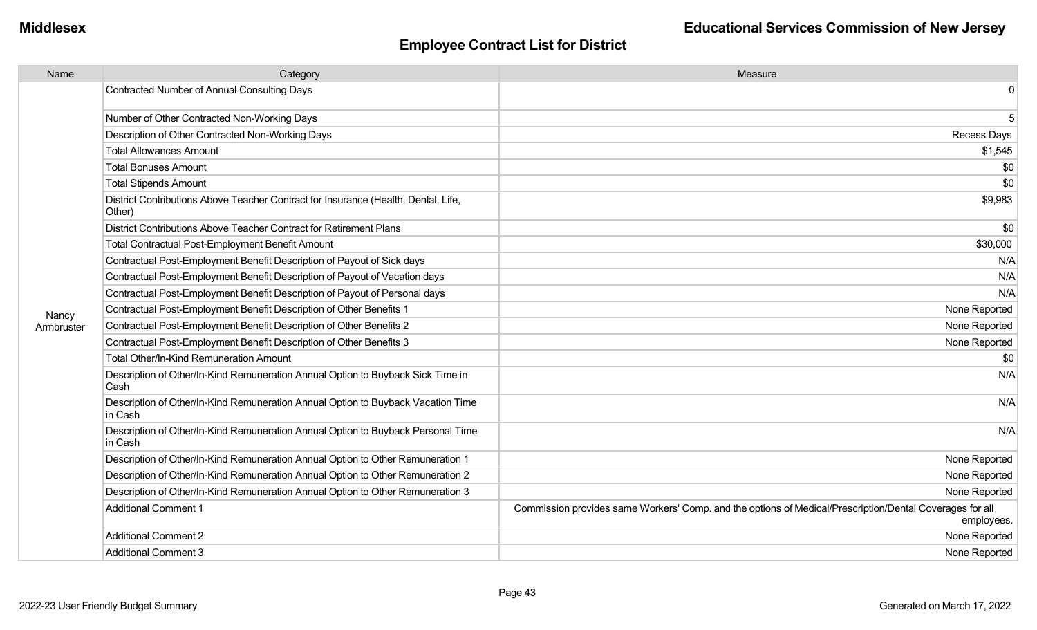| Name       | Category                                                                                     | Measure                                                                                                                |
|------------|----------------------------------------------------------------------------------------------|------------------------------------------------------------------------------------------------------------------------|
|            | Contracted Number of Annual Consulting Days                                                  | 0                                                                                                                      |
|            | Number of Other Contracted Non-Working Days                                                  | 5                                                                                                                      |
|            | Description of Other Contracted Non-Working Days                                             | <b>Recess Days</b>                                                                                                     |
|            | <b>Total Allowances Amount</b>                                                               | \$1,545                                                                                                                |
|            | <b>Total Bonuses Amount</b>                                                                  | \$0                                                                                                                    |
|            | <b>Total Stipends Amount</b>                                                                 | \$0                                                                                                                    |
|            | District Contributions Above Teacher Contract for Insurance (Health, Dental, Life,<br>Other) | \$9,983                                                                                                                |
|            | District Contributions Above Teacher Contract for Retirement Plans                           | \$0                                                                                                                    |
|            | <b>Total Contractual Post-Employment Benefit Amount</b>                                      | \$30,000                                                                                                               |
|            | Contractual Post-Employment Benefit Description of Payout of Sick days                       | N/A                                                                                                                    |
|            | Contractual Post-Employment Benefit Description of Payout of Vacation days                   | N/A                                                                                                                    |
|            | Contractual Post-Employment Benefit Description of Payout of Personal days                   | N/A                                                                                                                    |
| Nancy      | Contractual Post-Employment Benefit Description of Other Benefits 1                          | None Reported                                                                                                          |
| Armbruster | Contractual Post-Employment Benefit Description of Other Benefits 2                          | None Reported                                                                                                          |
|            | Contractual Post-Employment Benefit Description of Other Benefits 3                          | None Reported                                                                                                          |
|            | <b>Total Other/In-Kind Remuneration Amount</b>                                               | \$0                                                                                                                    |
|            | Description of Other/In-Kind Remuneration Annual Option to Buyback Sick Time in<br>Cash      | N/A                                                                                                                    |
|            | Description of Other/In-Kind Remuneration Annual Option to Buyback Vacation Time<br>in Cash  | N/A                                                                                                                    |
|            | Description of Other/In-Kind Remuneration Annual Option to Buyback Personal Time<br>in Cash  | N/A                                                                                                                    |
|            | Description of Other/In-Kind Remuneration Annual Option to Other Remuneration 1              | None Reported                                                                                                          |
|            | Description of Other/In-Kind Remuneration Annual Option to Other Remuneration 2              | None Reported                                                                                                          |
|            | Description of Other/In-Kind Remuneration Annual Option to Other Remuneration 3              | None Reported                                                                                                          |
|            | <b>Additional Comment 1</b>                                                                  | Commission provides same Workers' Comp. and the options of Medical/Prescription/Dental Coverages for all<br>employees. |
|            | <b>Additional Comment 2</b>                                                                  | None Reported                                                                                                          |
|            | <b>Additional Comment 3</b>                                                                  | None Reported                                                                                                          |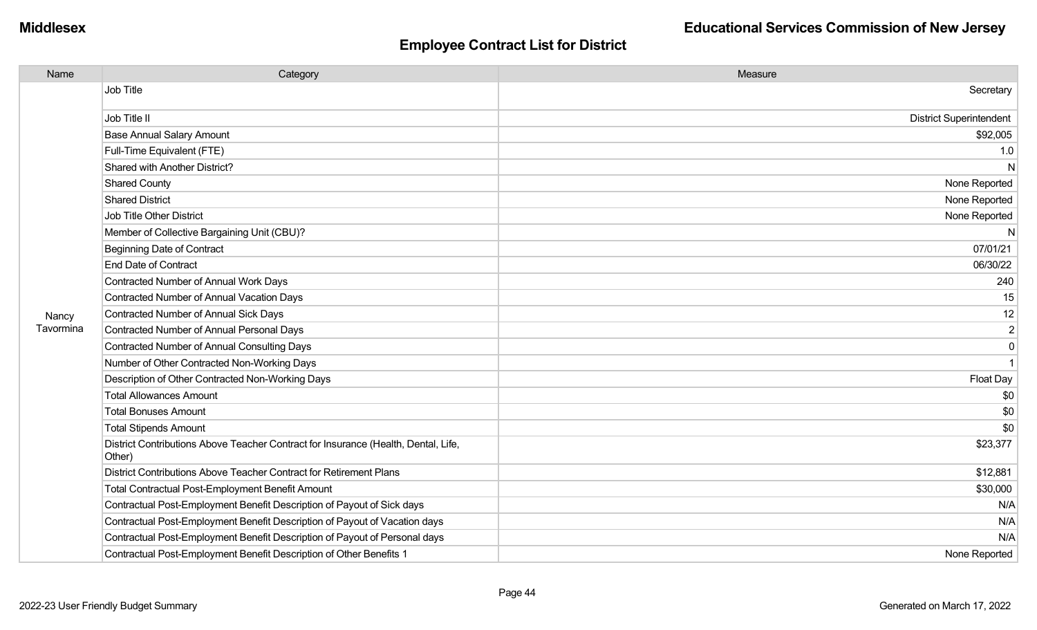| Name      | Category                                                                                     | Measure                        |
|-----------|----------------------------------------------------------------------------------------------|--------------------------------|
|           | Job Title                                                                                    | Secretary                      |
|           | Job Title II                                                                                 | <b>District Superintendent</b> |
|           | <b>Base Annual Salary Amount</b>                                                             | \$92,005                       |
|           | Full-Time Equivalent (FTE)                                                                   | 1.0                            |
|           | Shared with Another District?                                                                | N                              |
|           | <b>Shared County</b>                                                                         | None Reported                  |
|           | <b>Shared District</b>                                                                       | None Reported                  |
|           | Job Title Other District                                                                     | None Reported                  |
|           | Member of Collective Bargaining Unit (CBU)?                                                  | N                              |
|           | <b>Beginning Date of Contract</b>                                                            | 07/01/21                       |
|           | <b>End Date of Contract</b>                                                                  | 06/30/22                       |
|           | Contracted Number of Annual Work Days                                                        | 240                            |
|           | <b>Contracted Number of Annual Vacation Days</b>                                             | 15                             |
| Nancy     | Contracted Number of Annual Sick Days                                                        | 12                             |
| Tavormina | <b>Contracted Number of Annual Personal Days</b>                                             | $\overline{2}$                 |
|           | <b>Contracted Number of Annual Consulting Days</b>                                           | $\mathbf 0$                    |
|           | Number of Other Contracted Non-Working Days                                                  | $\mathbf{1}$                   |
|           | Description of Other Contracted Non-Working Days                                             | Float Day                      |
|           | <b>Total Allowances Amount</b>                                                               | \$0                            |
|           | <b>Total Bonuses Amount</b>                                                                  | \$0                            |
|           | <b>Total Stipends Amount</b>                                                                 | \$0                            |
|           | District Contributions Above Teacher Contract for Insurance (Health, Dental, Life,<br>Other) | \$23,377                       |
|           | District Contributions Above Teacher Contract for Retirement Plans                           | \$12,881                       |
|           | <b>Total Contractual Post-Employment Benefit Amount</b>                                      | \$30,000                       |
|           | Contractual Post-Employment Benefit Description of Payout of Sick days                       | N/A                            |
|           | Contractual Post-Employment Benefit Description of Payout of Vacation days                   | N/A                            |
|           | Contractual Post-Employment Benefit Description of Payout of Personal days                   | N/A                            |
|           | Contractual Post-Employment Benefit Description of Other Benefits 1                          | None Reported                  |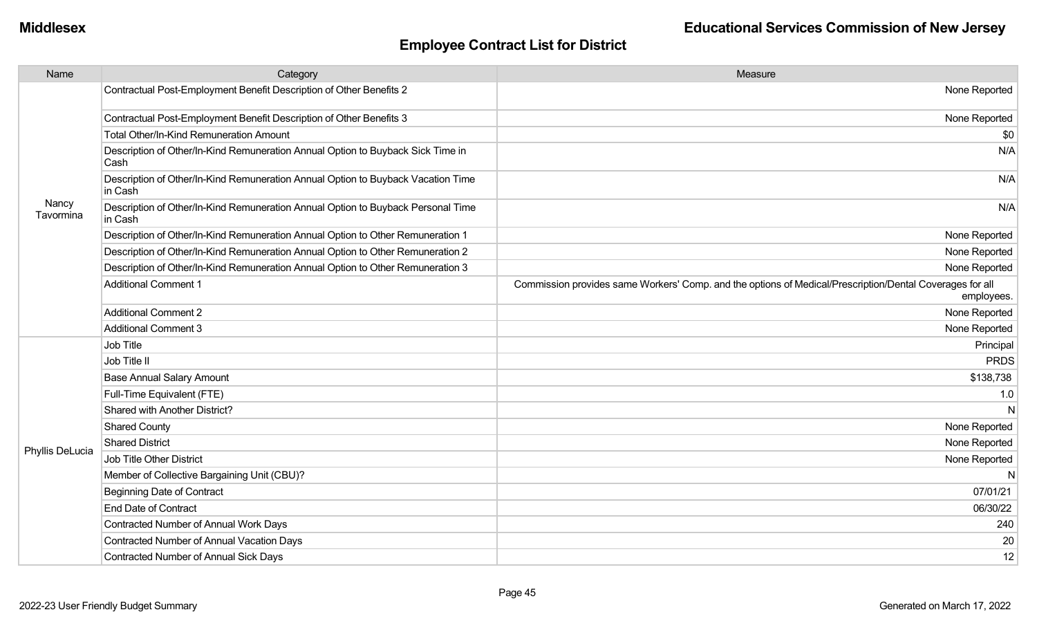| Name               | Category                                                                                    | Measure                                                                                                                |
|--------------------|---------------------------------------------------------------------------------------------|------------------------------------------------------------------------------------------------------------------------|
|                    | Contractual Post-Employment Benefit Description of Other Benefits 2                         | None Reported                                                                                                          |
|                    | Contractual Post-Employment Benefit Description of Other Benefits 3                         | None Reported                                                                                                          |
|                    | Total Other/In-Kind Remuneration Amount                                                     | \$0                                                                                                                    |
|                    | Description of Other/In-Kind Remuneration Annual Option to Buyback Sick Time in<br>Cash     | N/A                                                                                                                    |
|                    | Description of Other/In-Kind Remuneration Annual Option to Buyback Vacation Time<br>in Cash | N/A                                                                                                                    |
| Nancy<br>Tavormina | Description of Other/In-Kind Remuneration Annual Option to Buyback Personal Time<br>in Cash | N/A                                                                                                                    |
|                    | Description of Other/In-Kind Remuneration Annual Option to Other Remuneration 1             | None Reported                                                                                                          |
|                    | Description of Other/In-Kind Remuneration Annual Option to Other Remuneration 2             | None Reported                                                                                                          |
|                    | Description of Other/In-Kind Remuneration Annual Option to Other Remuneration 3             | None Reported                                                                                                          |
|                    | <b>Additional Comment 1</b>                                                                 | Commission provides same Workers' Comp. and the options of Medical/Prescription/Dental Coverages for all<br>employees. |
|                    | <b>Additional Comment 2</b>                                                                 | None Reported                                                                                                          |
|                    | <b>Additional Comment 3</b>                                                                 | None Reported                                                                                                          |
|                    | Job Title                                                                                   | Principal                                                                                                              |
|                    | Job Title II                                                                                | <b>PRDS</b>                                                                                                            |
|                    | <b>Base Annual Salary Amount</b>                                                            | \$138,738                                                                                                              |
|                    | Full-Time Equivalent (FTE)                                                                  | 1.0                                                                                                                    |
|                    | <b>Shared with Another District?</b>                                                        | $\mathsf{N}$                                                                                                           |
|                    | <b>Shared County</b>                                                                        | None Reported                                                                                                          |
| Phyllis DeLucia    | <b>Shared District</b>                                                                      | None Reported                                                                                                          |
|                    | <b>Job Title Other District</b>                                                             | None Reported                                                                                                          |
|                    | Member of Collective Bargaining Unit (CBU)?                                                 | N                                                                                                                      |
|                    | <b>Beginning Date of Contract</b>                                                           | 07/01/21                                                                                                               |
|                    | <b>End Date of Contract</b>                                                                 | 06/30/22                                                                                                               |
|                    | Contracted Number of Annual Work Days                                                       | 240                                                                                                                    |
|                    | <b>Contracted Number of Annual Vacation Days</b>                                            | 20                                                                                                                     |
|                    | Contracted Number of Annual Sick Days                                                       | 12                                                                                                                     |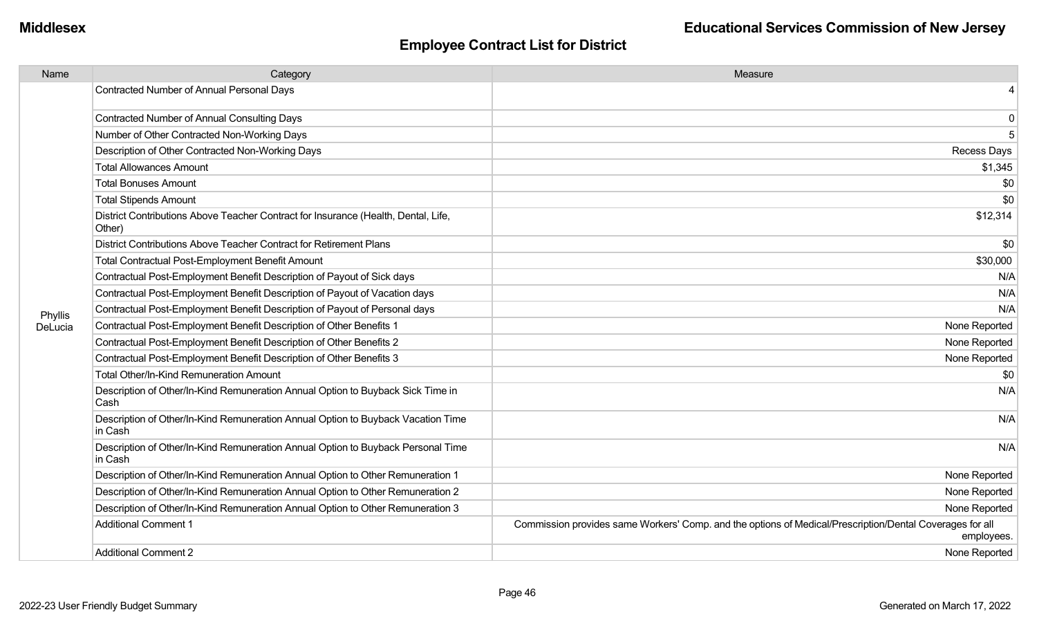| Name    | Category                                                                                     | Measure                                                                                                                |
|---------|----------------------------------------------------------------------------------------------|------------------------------------------------------------------------------------------------------------------------|
|         | Contracted Number of Annual Personal Days                                                    | 4                                                                                                                      |
|         | Contracted Number of Annual Consulting Days                                                  | 0                                                                                                                      |
|         | Number of Other Contracted Non-Working Days                                                  | 5                                                                                                                      |
|         | Description of Other Contracted Non-Working Days                                             | <b>Recess Days</b>                                                                                                     |
|         | <b>Total Allowances Amount</b>                                                               | \$1,345                                                                                                                |
|         | <b>Total Bonuses Amount</b>                                                                  | \$0                                                                                                                    |
|         | <b>Total Stipends Amount</b>                                                                 | \$0                                                                                                                    |
|         | District Contributions Above Teacher Contract for Insurance (Health, Dental, Life,<br>Other) | \$12,314                                                                                                               |
|         | District Contributions Above Teacher Contract for Retirement Plans                           | \$0                                                                                                                    |
|         | Total Contractual Post-Employment Benefit Amount                                             | \$30,000                                                                                                               |
|         | Contractual Post-Employment Benefit Description of Payout of Sick days                       | N/A                                                                                                                    |
|         | Contractual Post-Employment Benefit Description of Payout of Vacation days                   | N/A                                                                                                                    |
| Phyllis | Contractual Post-Employment Benefit Description of Payout of Personal days                   | N/A                                                                                                                    |
| DeLucia | Contractual Post-Employment Benefit Description of Other Benefits 1                          | None Reported                                                                                                          |
|         | Contractual Post-Employment Benefit Description of Other Benefits 2                          | None Reported                                                                                                          |
|         | Contractual Post-Employment Benefit Description of Other Benefits 3                          | None Reported                                                                                                          |
|         | Total Other/In-Kind Remuneration Amount                                                      | \$0                                                                                                                    |
|         | Description of Other/In-Kind Remuneration Annual Option to Buyback Sick Time in<br>Cash      | N/A                                                                                                                    |
|         | Description of Other/In-Kind Remuneration Annual Option to Buyback Vacation Time<br>in Cash  | N/A                                                                                                                    |
|         | Description of Other/In-Kind Remuneration Annual Option to Buyback Personal Time<br>in Cash  | N/A                                                                                                                    |
|         | Description of Other/In-Kind Remuneration Annual Option to Other Remuneration 1              | None Reported                                                                                                          |
|         | Description of Other/In-Kind Remuneration Annual Option to Other Remuneration 2              | None Reported                                                                                                          |
|         | Description of Other/In-Kind Remuneration Annual Option to Other Remuneration 3              | None Reported                                                                                                          |
|         | <b>Additional Comment 1</b>                                                                  | Commission provides same Workers' Comp. and the options of Medical/Prescription/Dental Coverages for all<br>employees. |
|         | Additional Comment 2                                                                         | None Reported                                                                                                          |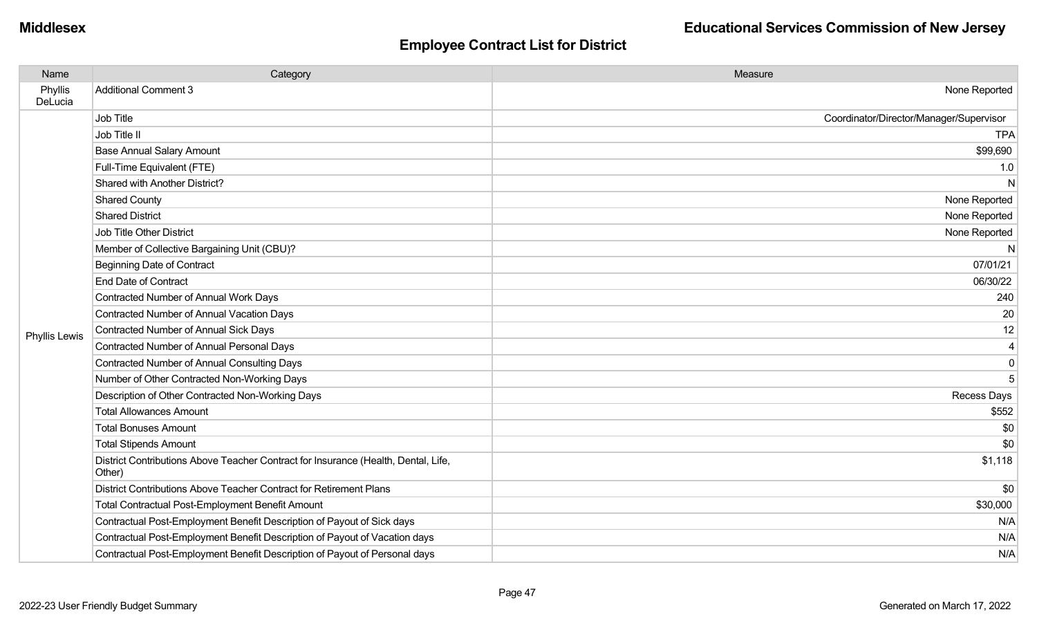| Name               | Category                                                                                     | Measure                                 |
|--------------------|----------------------------------------------------------------------------------------------|-----------------------------------------|
| Phyllis<br>DeLucia | <b>Additional Comment 3</b>                                                                  | None Reported                           |
|                    | Job Title                                                                                    | Coordinator/Director/Manager/Supervisor |
|                    | Job Title II                                                                                 | <b>TPA</b>                              |
|                    | <b>Base Annual Salary Amount</b>                                                             | \$99,690                                |
|                    | Full-Time Equivalent (FTE)                                                                   | 1.0                                     |
|                    | Shared with Another District?                                                                | N                                       |
|                    | <b>Shared County</b>                                                                         | None Reported                           |
|                    | <b>Shared District</b>                                                                       | None Reported                           |
|                    | Job Title Other District                                                                     | None Reported                           |
|                    | Member of Collective Bargaining Unit (CBU)?                                                  | N                                       |
|                    | <b>Beginning Date of Contract</b>                                                            | 07/01/21                                |
|                    | <b>End Date of Contract</b>                                                                  | 06/30/22                                |
|                    | Contracted Number of Annual Work Days                                                        | 240                                     |
|                    | Contracted Number of Annual Vacation Days                                                    | 20                                      |
| Phyllis Lewis      | <b>Contracted Number of Annual Sick Days</b>                                                 | 12                                      |
|                    | <b>Contracted Number of Annual Personal Days</b>                                             | 4                                       |
|                    | <b>Contracted Number of Annual Consulting Days</b>                                           | 0                                       |
|                    | Number of Other Contracted Non-Working Days                                                  | 5                                       |
|                    | Description of Other Contracted Non-Working Days                                             | <b>Recess Days</b>                      |
|                    | <b>Total Allowances Amount</b>                                                               | \$552                                   |
|                    | <b>Total Bonuses Amount</b>                                                                  | \$0                                     |
|                    | <b>Total Stipends Amount</b>                                                                 | \$0                                     |
|                    | District Contributions Above Teacher Contract for Insurance (Health, Dental, Life,<br>Other) | \$1,118                                 |
|                    | District Contributions Above Teacher Contract for Retirement Plans                           | \$0                                     |
|                    | Total Contractual Post-Employment Benefit Amount                                             | \$30,000                                |
|                    | Contractual Post-Employment Benefit Description of Payout of Sick days                       | N/A                                     |
|                    | Contractual Post-Employment Benefit Description of Payout of Vacation days                   | N/A                                     |
|                    | Contractual Post-Employment Benefit Description of Payout of Personal days                   | N/A                                     |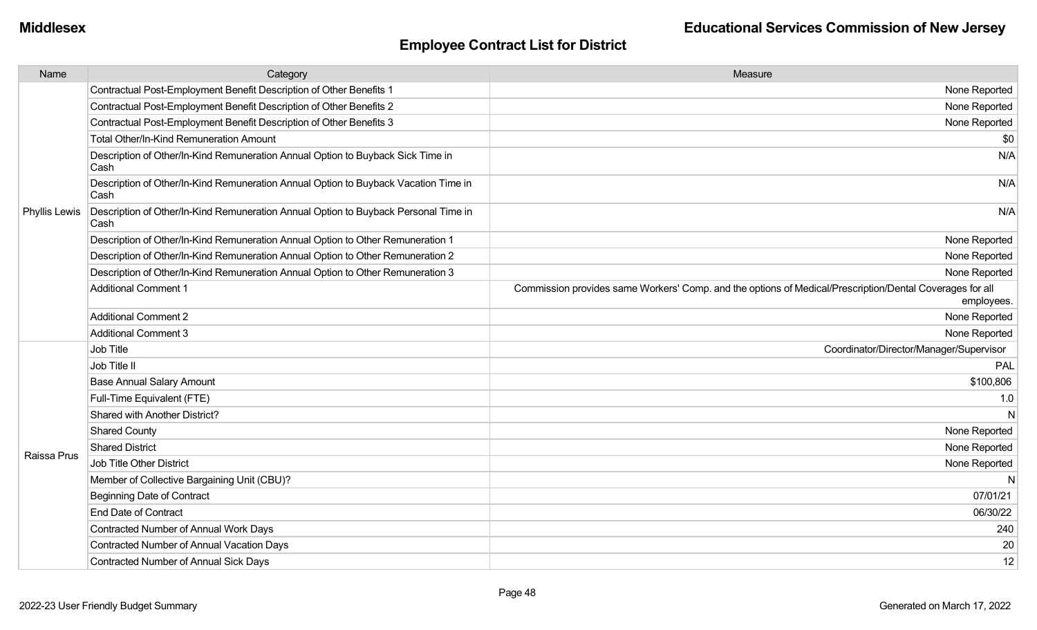| Name          | Category                                                                                    | Measure                                                                                                                |
|---------------|---------------------------------------------------------------------------------------------|------------------------------------------------------------------------------------------------------------------------|
|               | Contractual Post-Employment Benefit Description of Other Benefits 1                         | None Reported                                                                                                          |
|               | Contractual Post-Employment Benefit Description of Other Benefits 2                         | None Reported                                                                                                          |
|               | Contractual Post-Employment Benefit Description of Other Benefits 3                         | None Reported                                                                                                          |
|               | Total Other/In-Kind Remuneration Amount                                                     | \$0                                                                                                                    |
|               | Description of Other/In-Kind Remuneration Annual Option to Buyback Sick Time in<br>Cash     | N/A                                                                                                                    |
|               | Description of Other/In-Kind Remuneration Annual Option to Buyback Vacation Time in<br>Cash | N/A                                                                                                                    |
| Phyllis Lewis | Description of Other/In-Kind Remuneration Annual Option to Buyback Personal Time in<br>Cash | N/A                                                                                                                    |
|               | Description of Other/In-Kind Remuneration Annual Option to Other Remuneration 1             | None Reported                                                                                                          |
|               | Description of Other/In-Kind Remuneration Annual Option to Other Remuneration 2             | None Reported                                                                                                          |
|               | Description of Other/In-Kind Remuneration Annual Option to Other Remuneration 3             | None Reported                                                                                                          |
|               | <b>Additional Comment 1</b>                                                                 | Commission provides same Workers' Comp. and the options of Medical/Prescription/Dental Coverages for all<br>employees. |
|               | <b>Additional Comment 2</b>                                                                 | None Reported                                                                                                          |
|               | <b>Additional Comment 3</b>                                                                 | None Reported                                                                                                          |
|               | Job Title                                                                                   | Coordinator/Director/Manager/Supervisor                                                                                |
|               | Job Title II                                                                                | PAL                                                                                                                    |
|               | <b>Base Annual Salary Amount</b>                                                            | \$100,806                                                                                                              |
|               | Full-Time Equivalent (FTE)                                                                  | 1.0                                                                                                                    |
|               | Shared with Another District?                                                               | N                                                                                                                      |
|               | <b>Shared County</b>                                                                        | None Reported                                                                                                          |
| Raissa Prus   | <b>Shared District</b>                                                                      | None Reported                                                                                                          |
|               | Job Title Other District                                                                    | None Reported                                                                                                          |
|               | Member of Collective Bargaining Unit (CBU)?                                                 | N                                                                                                                      |
|               | <b>Beginning Date of Contract</b>                                                           | 07/01/21                                                                                                               |
|               | <b>End Date of Contract</b>                                                                 | 06/30/22                                                                                                               |
|               | Contracted Number of Annual Work Days                                                       | 240                                                                                                                    |
|               | Contracted Number of Annual Vacation Days                                                   | 20                                                                                                                     |
|               | <b>Contracted Number of Annual Sick Days</b>                                                | 12                                                                                                                     |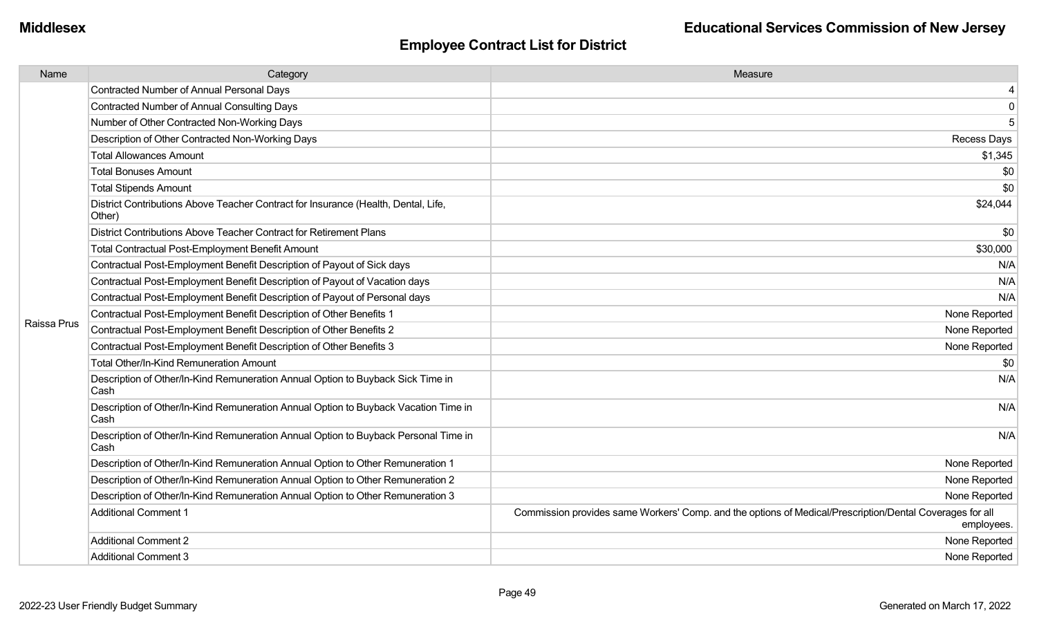| Name        | Category                                                                                     | Measure                                                                                                                |
|-------------|----------------------------------------------------------------------------------------------|------------------------------------------------------------------------------------------------------------------------|
|             | <b>Contracted Number of Annual Personal Days</b>                                             | 4                                                                                                                      |
|             | <b>Contracted Number of Annual Consulting Days</b>                                           | 0                                                                                                                      |
|             | Number of Other Contracted Non-Working Days                                                  | 5                                                                                                                      |
|             | Description of Other Contracted Non-Working Days                                             | <b>Recess Days</b>                                                                                                     |
|             | <b>Total Allowances Amount</b>                                                               | \$1,345                                                                                                                |
|             | <b>Total Bonuses Amount</b>                                                                  | \$0                                                                                                                    |
|             | <b>Total Stipends Amount</b>                                                                 | \$0                                                                                                                    |
|             | District Contributions Above Teacher Contract for Insurance (Health, Dental, Life,<br>Other) | \$24,044                                                                                                               |
|             | District Contributions Above Teacher Contract for Retirement Plans                           | \$0                                                                                                                    |
|             | <b>Total Contractual Post-Employment Benefit Amount</b>                                      | \$30,000                                                                                                               |
|             | Contractual Post-Employment Benefit Description of Payout of Sick days                       | N/A                                                                                                                    |
|             | Contractual Post-Employment Benefit Description of Payout of Vacation days                   | N/A                                                                                                                    |
|             | Contractual Post-Employment Benefit Description of Payout of Personal days                   | N/A                                                                                                                    |
|             | Contractual Post-Employment Benefit Description of Other Benefits 1                          | None Reported                                                                                                          |
| Raissa Prus | Contractual Post-Employment Benefit Description of Other Benefits 2                          | None Reported                                                                                                          |
|             | Contractual Post-Employment Benefit Description of Other Benefits 3                          | None Reported                                                                                                          |
|             | Total Other/In-Kind Remuneration Amount                                                      | \$0                                                                                                                    |
|             | Description of Other/In-Kind Remuneration Annual Option to Buyback Sick Time in<br>Cash      | N/A                                                                                                                    |
|             | Description of Other/In-Kind Remuneration Annual Option to Buyback Vacation Time in<br>Cash  | N/A                                                                                                                    |
|             | Description of Other/In-Kind Remuneration Annual Option to Buyback Personal Time in<br>Cash  | N/A                                                                                                                    |
|             | Description of Other/In-Kind Remuneration Annual Option to Other Remuneration 1              | None Reported                                                                                                          |
|             | Description of Other/In-Kind Remuneration Annual Option to Other Remuneration 2              | None Reported                                                                                                          |
|             | Description of Other/In-Kind Remuneration Annual Option to Other Remuneration 3              | None Reported                                                                                                          |
|             | <b>Additional Comment 1</b>                                                                  | Commission provides same Workers' Comp. and the options of Medical/Prescription/Dental Coverages for all<br>employees. |
|             | <b>Additional Comment 2</b>                                                                  | None Reported                                                                                                          |
|             | <b>Additional Comment 3</b>                                                                  | None Reported                                                                                                          |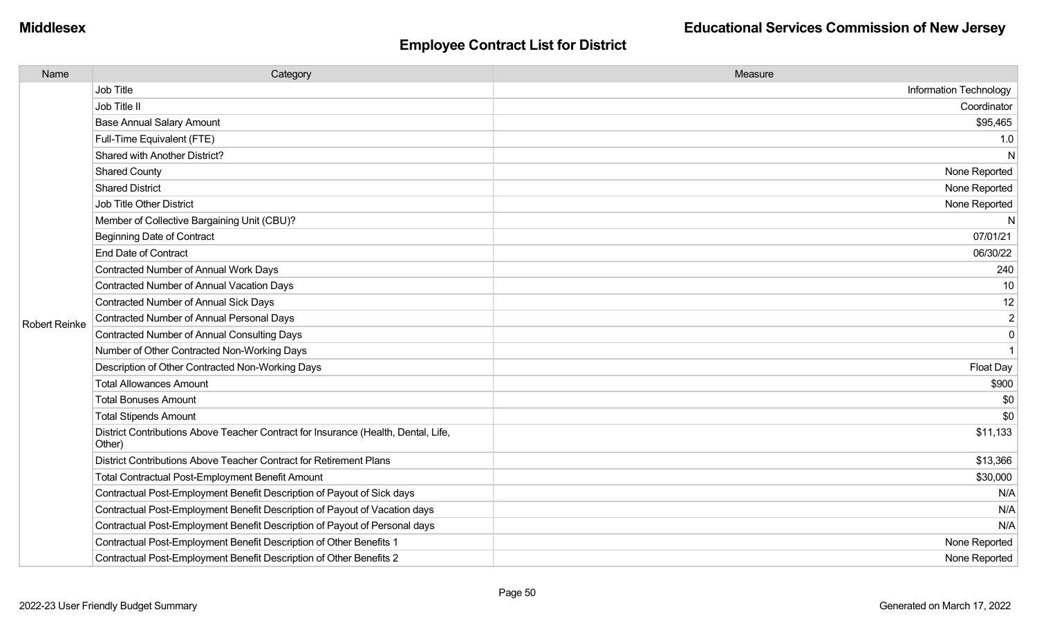| Name                 | Category                                                                                     | Measure                |
|----------------------|----------------------------------------------------------------------------------------------|------------------------|
|                      | Job Title                                                                                    | Information Technology |
|                      | Job Title II                                                                                 | Coordinator            |
|                      | <b>Base Annual Salary Amount</b>                                                             | \$95,465               |
|                      | Full-Time Equivalent (FTE)                                                                   | 1.0                    |
|                      | Shared with Another District?                                                                | N                      |
|                      | <b>Shared County</b>                                                                         | None Reported          |
|                      | <b>Shared District</b>                                                                       | None Reported          |
|                      | Job Title Other District                                                                     | None Reported          |
|                      | Member of Collective Bargaining Unit (CBU)?                                                  | N                      |
|                      | <b>Beginning Date of Contract</b>                                                            | 07/01/21               |
|                      | <b>End Date of Contract</b>                                                                  | 06/30/22               |
|                      | Contracted Number of Annual Work Days                                                        | 240                    |
|                      | Contracted Number of Annual Vacation Days                                                    | 10                     |
|                      | Contracted Number of Annual Sick Days                                                        | 12                     |
| <b>Robert Reinke</b> | <b>Contracted Number of Annual Personal Days</b>                                             | $\overline{2}$         |
|                      | Contracted Number of Annual Consulting Days                                                  | $\mathbf 0$            |
|                      | Number of Other Contracted Non-Working Days                                                  | $\mathbf{1}$           |
|                      | Description of Other Contracted Non-Working Days                                             | Float Day              |
|                      | <b>Total Allowances Amount</b>                                                               | \$900                  |
|                      | <b>Total Bonuses Amount</b>                                                                  | \$0                    |
|                      | <b>Total Stipends Amount</b>                                                                 | \$0                    |
|                      | District Contributions Above Teacher Contract for Insurance (Health, Dental, Life,<br>Other) | \$11,133               |
|                      | District Contributions Above Teacher Contract for Retirement Plans                           | \$13,366               |
|                      | <b>Total Contractual Post-Employment Benefit Amount</b>                                      | \$30,000               |
|                      | Contractual Post-Employment Benefit Description of Payout of Sick days                       | N/A                    |
|                      | Contractual Post-Employment Benefit Description of Payout of Vacation days                   | N/A                    |
|                      | Contractual Post-Employment Benefit Description of Payout of Personal days                   | N/A                    |
|                      | Contractual Post-Employment Benefit Description of Other Benefits 1                          | None Reported          |
|                      | Contractual Post-Employment Benefit Description of Other Benefits 2                          | None Reported          |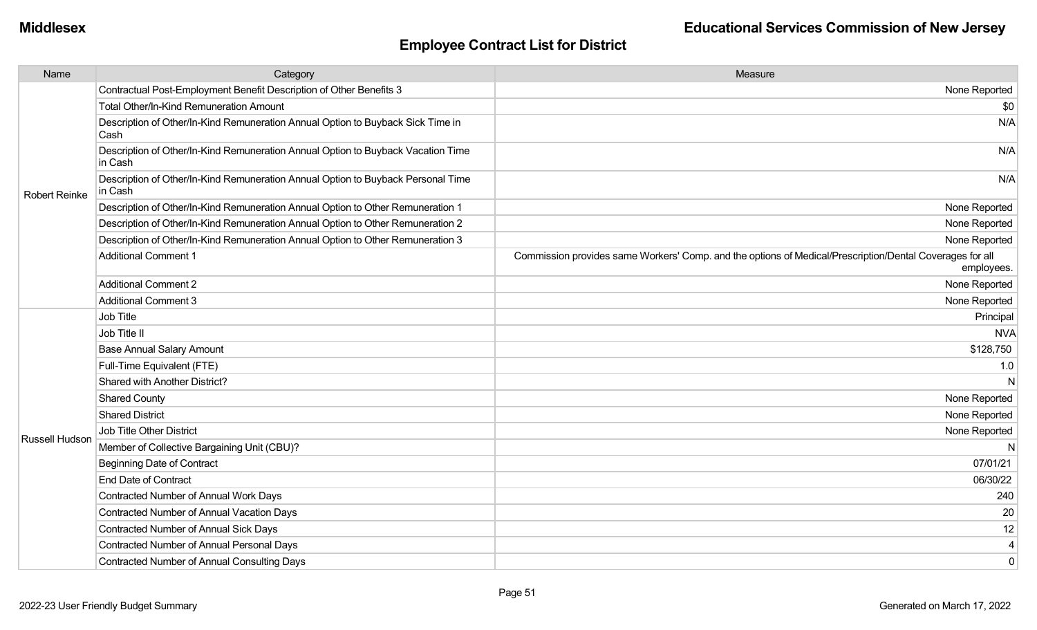| Name                  | Category                                                                                    | Measure                                                                                                                |
|-----------------------|---------------------------------------------------------------------------------------------|------------------------------------------------------------------------------------------------------------------------|
|                       | Contractual Post-Employment Benefit Description of Other Benefits 3                         | None Reported                                                                                                          |
|                       | Total Other/In-Kind Remuneration Amount                                                     | \$0                                                                                                                    |
|                       | Description of Other/In-Kind Remuneration Annual Option to Buyback Sick Time in<br>Cash     | N/A                                                                                                                    |
|                       | Description of Other/In-Kind Remuneration Annual Option to Buyback Vacation Time<br>in Cash | N/A                                                                                                                    |
| <b>Robert Reinke</b>  | Description of Other/In-Kind Remuneration Annual Option to Buyback Personal Time<br>in Cash | N/A                                                                                                                    |
|                       | Description of Other/In-Kind Remuneration Annual Option to Other Remuneration 1             | None Reported                                                                                                          |
|                       | Description of Other/In-Kind Remuneration Annual Option to Other Remuneration 2             | None Reported                                                                                                          |
|                       | Description of Other/In-Kind Remuneration Annual Option to Other Remuneration 3             | None Reported                                                                                                          |
|                       | <b>Additional Comment 1</b>                                                                 | Commission provides same Workers' Comp. and the options of Medical/Prescription/Dental Coverages for all<br>employees. |
|                       | <b>Additional Comment 2</b>                                                                 | None Reported                                                                                                          |
|                       | <b>Additional Comment 3</b>                                                                 | None Reported                                                                                                          |
|                       | Job Title                                                                                   | Principal                                                                                                              |
|                       | Job Title II                                                                                | <b>NVA</b>                                                                                                             |
|                       | <b>Base Annual Salary Amount</b>                                                            | \$128,750                                                                                                              |
|                       | Full-Time Equivalent (FTE)                                                                  | 1.0                                                                                                                    |
|                       | Shared with Another District?                                                               | N                                                                                                                      |
|                       | <b>Shared County</b>                                                                        | None Reported                                                                                                          |
|                       | <b>Shared District</b>                                                                      | None Reported                                                                                                          |
| <b>Russell Hudson</b> | Job Title Other District                                                                    | None Reported                                                                                                          |
|                       | Member of Collective Bargaining Unit (CBU)?                                                 | N                                                                                                                      |
|                       | Beginning Date of Contract                                                                  | 07/01/21                                                                                                               |
|                       | <b>End Date of Contract</b>                                                                 | 06/30/22                                                                                                               |
|                       | Contracted Number of Annual Work Days                                                       | 240                                                                                                                    |
|                       | <b>Contracted Number of Annual Vacation Days</b>                                            | 20                                                                                                                     |
|                       | Contracted Number of Annual Sick Days                                                       | 12                                                                                                                     |
|                       | Contracted Number of Annual Personal Days                                                   | 4                                                                                                                      |
|                       | Contracted Number of Annual Consulting Days                                                 | $\mathbf 0$                                                                                                            |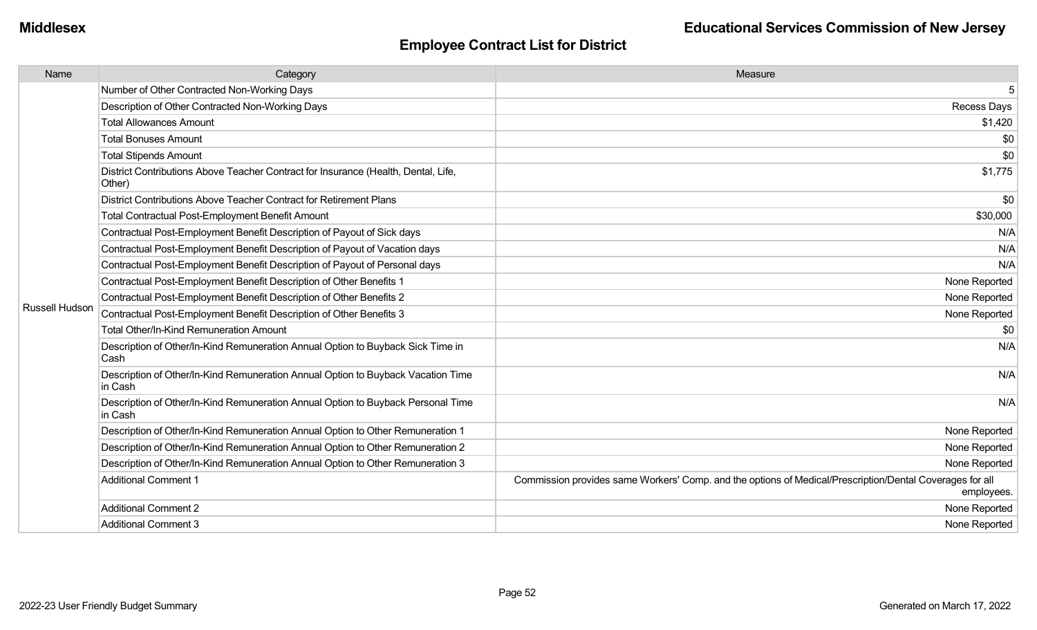| Name           | Category                                                                                     | Measure                                                                                                                |
|----------------|----------------------------------------------------------------------------------------------|------------------------------------------------------------------------------------------------------------------------|
|                | Number of Other Contracted Non-Working Days                                                  | 5                                                                                                                      |
|                | Description of Other Contracted Non-Working Days                                             | Recess Days                                                                                                            |
|                | <b>Total Allowances Amount</b>                                                               | \$1,420                                                                                                                |
|                | <b>Total Bonuses Amount</b>                                                                  | \$0                                                                                                                    |
|                | <b>Total Stipends Amount</b>                                                                 | \$0                                                                                                                    |
|                | District Contributions Above Teacher Contract for Insurance (Health, Dental, Life,<br>Other) | \$1,775                                                                                                                |
|                | District Contributions Above Teacher Contract for Retirement Plans                           | \$0                                                                                                                    |
|                | <b>Total Contractual Post-Employment Benefit Amount</b>                                      | \$30,000                                                                                                               |
|                | Contractual Post-Employment Benefit Description of Payout of Sick days                       | N/A                                                                                                                    |
|                | Contractual Post-Employment Benefit Description of Payout of Vacation days                   | N/A                                                                                                                    |
|                | Contractual Post-Employment Benefit Description of Payout of Personal days                   | N/A                                                                                                                    |
|                | Contractual Post-Employment Benefit Description of Other Benefits 1                          | None Reported                                                                                                          |
|                | Contractual Post-Employment Benefit Description of Other Benefits 2                          | None Reported                                                                                                          |
| Russell Hudson | Contractual Post-Employment Benefit Description of Other Benefits 3                          | None Reported                                                                                                          |
|                | Total Other/In-Kind Remuneration Amount                                                      | \$0                                                                                                                    |
|                | Description of Other/In-Kind Remuneration Annual Option to Buyback Sick Time in<br>Cash      | N/A                                                                                                                    |
|                | Description of Other/In-Kind Remuneration Annual Option to Buyback Vacation Time<br>in Cash  | N/A                                                                                                                    |
|                | Description of Other/In-Kind Remuneration Annual Option to Buyback Personal Time<br>in Cash  | N/A                                                                                                                    |
|                | Description of Other/In-Kind Remuneration Annual Option to Other Remuneration 1              | None Reported                                                                                                          |
|                | Description of Other/In-Kind Remuneration Annual Option to Other Remuneration 2              | None Reported                                                                                                          |
|                | Description of Other/In-Kind Remuneration Annual Option to Other Remuneration 3              | None Reported                                                                                                          |
|                | <b>Additional Comment 1</b>                                                                  | Commission provides same Workers' Comp. and the options of Medical/Prescription/Dental Coverages for all<br>employees. |
|                | <b>Additional Comment 2</b>                                                                  | None Reported                                                                                                          |
|                | <b>Additional Comment 3</b>                                                                  | None Reported                                                                                                          |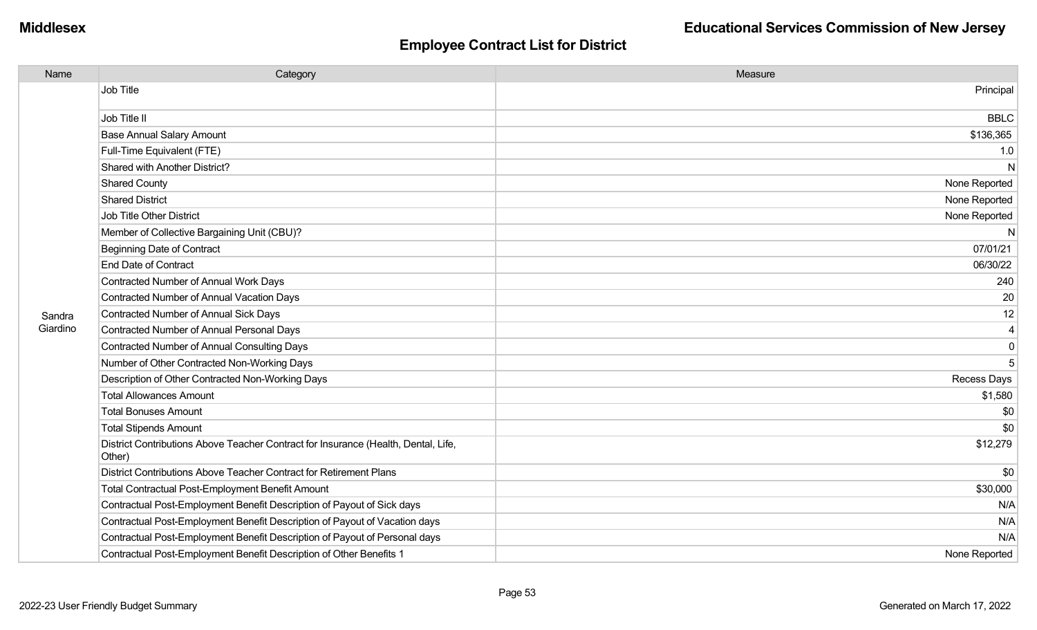| Name     | Category                                                                                     | Measure                 |
|----------|----------------------------------------------------------------------------------------------|-------------------------|
|          | Job Title                                                                                    | Principal               |
|          | Job Title II                                                                                 | <b>BBLC</b>             |
|          | <b>Base Annual Salary Amount</b>                                                             | \$136,365               |
|          | Full-Time Equivalent (FTE)                                                                   | 1.0                     |
|          | Shared with Another District?                                                                | N                       |
|          | <b>Shared County</b>                                                                         | None Reported           |
|          | <b>Shared District</b>                                                                       | None Reported           |
|          | Job Title Other District                                                                     | None Reported           |
|          | Member of Collective Bargaining Unit (CBU)?                                                  | N                       |
|          | <b>Beginning Date of Contract</b>                                                            | 07/01/21                |
|          | <b>End Date of Contract</b>                                                                  | 06/30/22                |
|          | Contracted Number of Annual Work Days                                                        | 240                     |
|          | <b>Contracted Number of Annual Vacation Days</b>                                             | 20                      |
| Sandra   | <b>Contracted Number of Annual Sick Days</b>                                                 | 12                      |
| Giardino | <b>Contracted Number of Annual Personal Days</b>                                             | $\overline{\mathbf{4}}$ |
|          | <b>Contracted Number of Annual Consulting Days</b>                                           | $\overline{0}$          |
|          | Number of Other Contracted Non-Working Days                                                  | 5                       |
|          | Description of Other Contracted Non-Working Days                                             | <b>Recess Days</b>      |
|          | <b>Total Allowances Amount</b>                                                               | \$1,580                 |
|          | <b>Total Bonuses Amount</b>                                                                  | \$0                     |
|          | <b>Total Stipends Amount</b>                                                                 | \$0                     |
|          | District Contributions Above Teacher Contract for Insurance (Health, Dental, Life,<br>Other) | \$12,279                |
|          | District Contributions Above Teacher Contract for Retirement Plans                           | \$0                     |
|          | <b>Total Contractual Post-Employment Benefit Amount</b>                                      | \$30,000                |
|          | Contractual Post-Employment Benefit Description of Payout of Sick days                       | N/A                     |
|          | Contractual Post-Employment Benefit Description of Payout of Vacation days                   | N/A                     |
|          | Contractual Post-Employment Benefit Description of Payout of Personal days                   | N/A                     |
|          | Contractual Post-Employment Benefit Description of Other Benefits 1                          | None Reported           |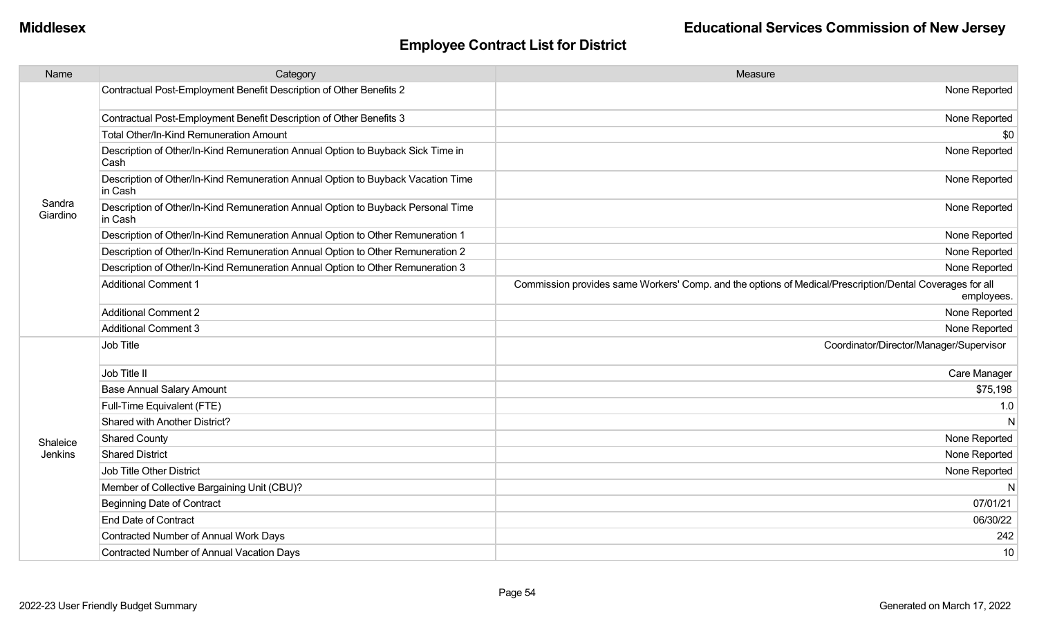| Name               | Category                                                                                    | Measure                                                                                                                |
|--------------------|---------------------------------------------------------------------------------------------|------------------------------------------------------------------------------------------------------------------------|
|                    | Contractual Post-Employment Benefit Description of Other Benefits 2                         | None Reported                                                                                                          |
|                    | Contractual Post-Employment Benefit Description of Other Benefits 3                         | None Reported                                                                                                          |
|                    | Total Other/In-Kind Remuneration Amount                                                     | \$0                                                                                                                    |
|                    | Description of Other/In-Kind Remuneration Annual Option to Buyback Sick Time in<br>Cash     | None Reported                                                                                                          |
|                    | Description of Other/In-Kind Remuneration Annual Option to Buyback Vacation Time<br>in Cash | None Reported                                                                                                          |
| Sandra<br>Giardino | Description of Other/In-Kind Remuneration Annual Option to Buyback Personal Time<br>in Cash | None Reported                                                                                                          |
|                    | Description of Other/In-Kind Remuneration Annual Option to Other Remuneration 1             | None Reported                                                                                                          |
|                    | Description of Other/In-Kind Remuneration Annual Option to Other Remuneration 2             | None Reported                                                                                                          |
|                    | Description of Other/In-Kind Remuneration Annual Option to Other Remuneration 3             | None Reported                                                                                                          |
|                    | <b>Additional Comment 1</b>                                                                 | Commission provides same Workers' Comp. and the options of Medical/Prescription/Dental Coverages for all<br>employees. |
|                    | <b>Additional Comment 2</b>                                                                 | None Reported                                                                                                          |
|                    | <b>Additional Comment 3</b>                                                                 | None Reported                                                                                                          |
|                    | Job Title                                                                                   | Coordinator/Director/Manager/Supervisor                                                                                |
|                    | Job Title II                                                                                | Care Manager                                                                                                           |
|                    | <b>Base Annual Salary Amount</b>                                                            | \$75,198                                                                                                               |
|                    | Full-Time Equivalent (FTE)                                                                  | 1.0                                                                                                                    |
|                    | Shared with Another District?                                                               | N                                                                                                                      |
| Shaleice           | <b>Shared County</b>                                                                        | None Reported                                                                                                          |
| Jenkins            | <b>Shared District</b>                                                                      | None Reported                                                                                                          |
|                    | Job Title Other District                                                                    | None Reported                                                                                                          |
|                    | Member of Collective Bargaining Unit (CBU)?                                                 | N                                                                                                                      |
|                    | <b>Beginning Date of Contract</b>                                                           | 07/01/21                                                                                                               |
|                    | <b>End Date of Contract</b>                                                                 | 06/30/22                                                                                                               |
|                    | Contracted Number of Annual Work Days                                                       | 242                                                                                                                    |
|                    | <b>Contracted Number of Annual Vacation Days</b>                                            | 10                                                                                                                     |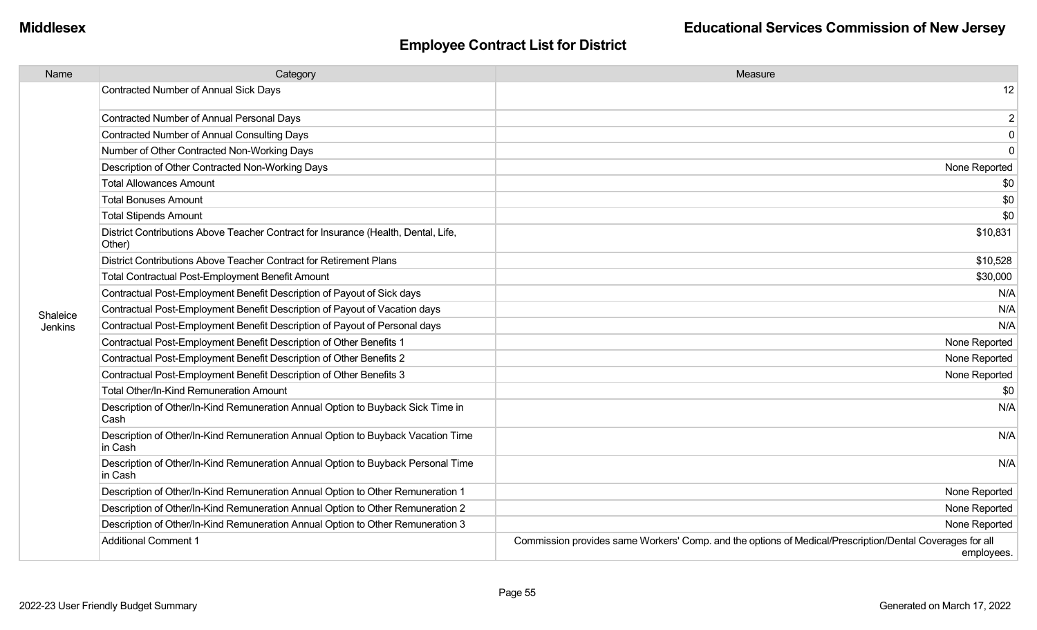| Name     | Category                                                                                     | Measure                                                                                                                |
|----------|----------------------------------------------------------------------------------------------|------------------------------------------------------------------------------------------------------------------------|
|          | Contracted Number of Annual Sick Days                                                        | 12                                                                                                                     |
|          | Contracted Number of Annual Personal Days                                                    | $\overline{2}$                                                                                                         |
|          | <b>Contracted Number of Annual Consulting Days</b>                                           | $\mathbf 0$                                                                                                            |
|          | Number of Other Contracted Non-Working Days                                                  | $\mathbf 0$                                                                                                            |
|          | Description of Other Contracted Non-Working Days                                             | None Reported                                                                                                          |
|          | <b>Total Allowances Amount</b>                                                               | \$0                                                                                                                    |
|          | <b>Total Bonuses Amount</b>                                                                  | \$0                                                                                                                    |
|          | <b>Total Stipends Amount</b>                                                                 | \$0                                                                                                                    |
|          | District Contributions Above Teacher Contract for Insurance (Health, Dental, Life,<br>Other) | \$10,831                                                                                                               |
|          | District Contributions Above Teacher Contract for Retirement Plans                           | \$10,528                                                                                                               |
|          | <b>Total Contractual Post-Employment Benefit Amount</b>                                      | \$30,000                                                                                                               |
|          | Contractual Post-Employment Benefit Description of Payout of Sick days                       | N/A                                                                                                                    |
| Shaleice | Contractual Post-Employment Benefit Description of Payout of Vacation days                   | N/A                                                                                                                    |
| Jenkins  | Contractual Post-Employment Benefit Description of Payout of Personal days                   | N/A                                                                                                                    |
|          | Contractual Post-Employment Benefit Description of Other Benefits 1                          | None Reported                                                                                                          |
|          | Contractual Post-Employment Benefit Description of Other Benefits 2                          | None Reported                                                                                                          |
|          | Contractual Post-Employment Benefit Description of Other Benefits 3                          | None Reported                                                                                                          |
|          | <b>Total Other/In-Kind Remuneration Amount</b>                                               | \$0                                                                                                                    |
|          | Description of Other/In-Kind Remuneration Annual Option to Buyback Sick Time in<br>Cash      | N/A                                                                                                                    |
|          | Description of Other/In-Kind Remuneration Annual Option to Buyback Vacation Time<br>in Cash  | N/A                                                                                                                    |
|          | Description of Other/In-Kind Remuneration Annual Option to Buyback Personal Time<br>in Cash  | N/A                                                                                                                    |
|          | Description of Other/In-Kind Remuneration Annual Option to Other Remuneration 1              | None Reported                                                                                                          |
|          | Description of Other/In-Kind Remuneration Annual Option to Other Remuneration 2              | None Reported                                                                                                          |
|          | Description of Other/In-Kind Remuneration Annual Option to Other Remuneration 3              | None Reported                                                                                                          |
|          | <b>Additional Comment 1</b>                                                                  | Commission provides same Workers' Comp. and the options of Medical/Prescription/Dental Coverages for all<br>employees. |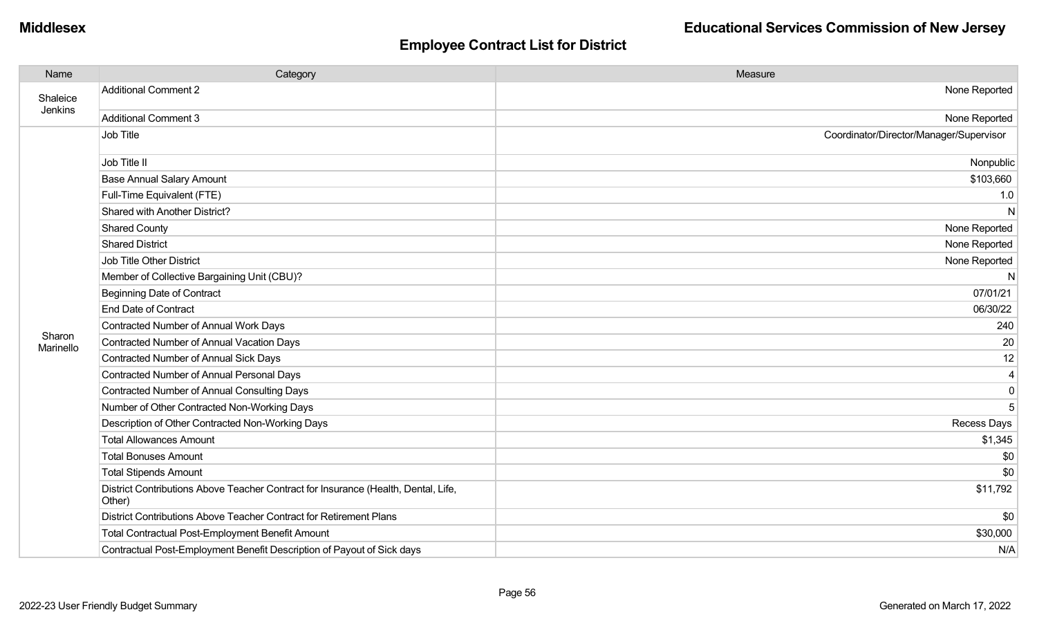| Name                | Category                                                                                     | Measure                                 |
|---------------------|----------------------------------------------------------------------------------------------|-----------------------------------------|
| Shaleice            | <b>Additional Comment 2</b>                                                                  | None Reported                           |
| Jenkins             | <b>Additional Comment 3</b>                                                                  | None Reported                           |
|                     | Job Title                                                                                    | Coordinator/Director/Manager/Supervisor |
|                     | Job Title II                                                                                 | Nonpublic                               |
|                     | <b>Base Annual Salary Amount</b>                                                             | \$103,660                               |
|                     | Full-Time Equivalent (FTE)                                                                   | 1.0                                     |
|                     | Shared with Another District?                                                                | N                                       |
|                     | <b>Shared County</b>                                                                         | None Reported                           |
|                     | <b>Shared District</b>                                                                       | None Reported                           |
|                     | <b>Job Title Other District</b>                                                              | None Reported                           |
|                     | Member of Collective Bargaining Unit (CBU)?                                                  | N                                       |
|                     | <b>Beginning Date of Contract</b>                                                            | 07/01/21                                |
|                     | <b>End Date of Contract</b>                                                                  | 06/30/22                                |
|                     | Contracted Number of Annual Work Days                                                        | 240                                     |
| Sharon<br>Marinello | Contracted Number of Annual Vacation Days                                                    | 20                                      |
|                     | <b>Contracted Number of Annual Sick Days</b>                                                 | 12                                      |
|                     | <b>Contracted Number of Annual Personal Days</b>                                             | 4                                       |
|                     | <b>Contracted Number of Annual Consulting Days</b>                                           | 0                                       |
|                     | Number of Other Contracted Non-Working Days                                                  | 5                                       |
|                     | Description of Other Contracted Non-Working Days                                             | <b>Recess Days</b>                      |
|                     | <b>Total Allowances Amount</b>                                                               | \$1,345                                 |
|                     | <b>Total Bonuses Amount</b>                                                                  | \$0                                     |
|                     | <b>Total Stipends Amount</b>                                                                 | \$0                                     |
|                     | District Contributions Above Teacher Contract for Insurance (Health, Dental, Life,<br>Other) | \$11,792                                |
|                     | District Contributions Above Teacher Contract for Retirement Plans                           | \$0                                     |
|                     | Total Contractual Post-Employment Benefit Amount                                             | \$30,000                                |
|                     | Contractual Post-Employment Benefit Description of Payout of Sick days                       | N/A                                     |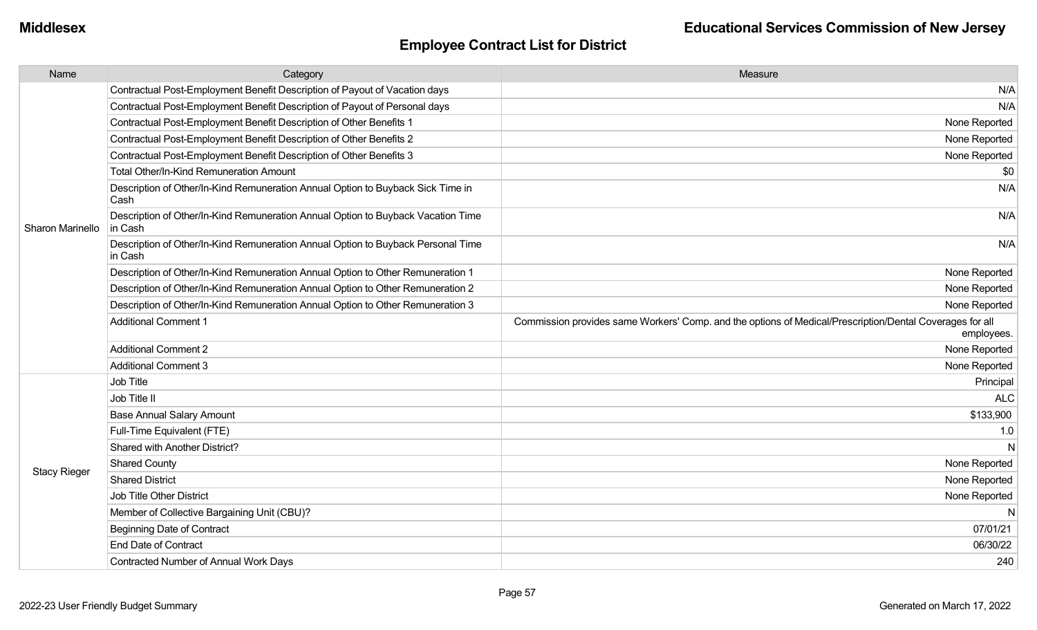| Name                | Category                                                                                    | Measure                                                                                                                |
|---------------------|---------------------------------------------------------------------------------------------|------------------------------------------------------------------------------------------------------------------------|
|                     | Contractual Post-Employment Benefit Description of Payout of Vacation days                  | N/A                                                                                                                    |
|                     | Contractual Post-Employment Benefit Description of Payout of Personal days                  | N/A                                                                                                                    |
|                     | Contractual Post-Employment Benefit Description of Other Benefits 1                         | None Reported                                                                                                          |
|                     | Contractual Post-Employment Benefit Description of Other Benefits 2                         | None Reported                                                                                                          |
|                     | Contractual Post-Employment Benefit Description of Other Benefits 3                         | None Reported                                                                                                          |
|                     | Total Other/In-Kind Remuneration Amount                                                     | \$0                                                                                                                    |
|                     | Description of Other/In-Kind Remuneration Annual Option to Buyback Sick Time in<br>Cash     | N/A                                                                                                                    |
| Sharon Marinello    | Description of Other/In-Kind Remuneration Annual Option to Buyback Vacation Time<br>in Cash | N/A                                                                                                                    |
|                     | Description of Other/In-Kind Remuneration Annual Option to Buyback Personal Time<br>in Cash | N/A                                                                                                                    |
|                     | Description of Other/In-Kind Remuneration Annual Option to Other Remuneration 1             | None Reported                                                                                                          |
|                     | Description of Other/In-Kind Remuneration Annual Option to Other Remuneration 2             | None Reported                                                                                                          |
|                     | Description of Other/In-Kind Remuneration Annual Option to Other Remuneration 3             | None Reported                                                                                                          |
|                     | <b>Additional Comment 1</b>                                                                 | Commission provides same Workers' Comp. and the options of Medical/Prescription/Dental Coverages for all<br>employees. |
|                     | <b>Additional Comment 2</b>                                                                 | None Reported                                                                                                          |
|                     | <b>Additional Comment 3</b>                                                                 | None Reported                                                                                                          |
|                     | Job Title                                                                                   | Principal                                                                                                              |
|                     | Job Title II                                                                                | <b>ALC</b>                                                                                                             |
|                     | <b>Base Annual Salary Amount</b>                                                            | \$133,900                                                                                                              |
|                     | Full-Time Equivalent (FTE)                                                                  | 1.0                                                                                                                    |
|                     | Shared with Another District?                                                               | N                                                                                                                      |
| <b>Stacy Rieger</b> | <b>Shared County</b>                                                                        | None Reported                                                                                                          |
|                     | <b>Shared District</b>                                                                      | None Reported                                                                                                          |
|                     | <b>Job Title Other District</b>                                                             | None Reported                                                                                                          |
|                     | Member of Collective Bargaining Unit (CBU)?                                                 | $\mathsf{N}$                                                                                                           |
|                     | <b>Beginning Date of Contract</b>                                                           | 07/01/21                                                                                                               |
|                     | <b>End Date of Contract</b>                                                                 | 06/30/22                                                                                                               |
|                     | Contracted Number of Annual Work Days                                                       | 240                                                                                                                    |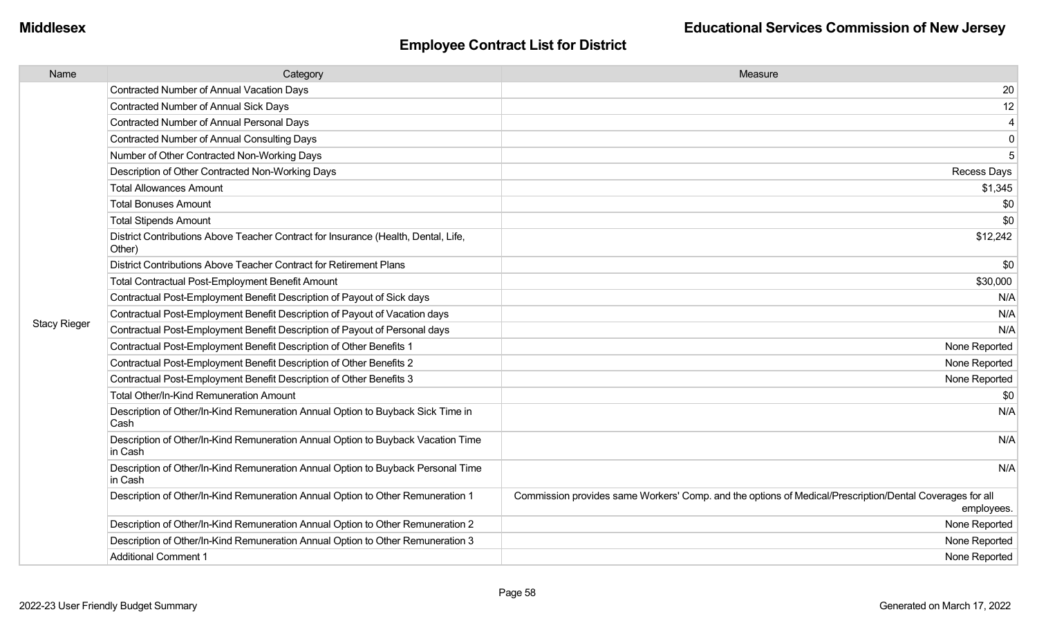| Name                | Category                                                                                     | Measure                                                                                                                |
|---------------------|----------------------------------------------------------------------------------------------|------------------------------------------------------------------------------------------------------------------------|
|                     | <b>Contracted Number of Annual Vacation Days</b>                                             | 20                                                                                                                     |
|                     | Contracted Number of Annual Sick Days                                                        | 12                                                                                                                     |
|                     | Contracted Number of Annual Personal Days                                                    | $\overline{\mathbf{4}}$                                                                                                |
|                     | Contracted Number of Annual Consulting Days                                                  | $\mathbf 0$                                                                                                            |
|                     | Number of Other Contracted Non-Working Days                                                  | 5                                                                                                                      |
|                     | Description of Other Contracted Non-Working Days                                             | Recess Days                                                                                                            |
|                     | <b>Total Allowances Amount</b>                                                               | \$1,345                                                                                                                |
|                     | <b>Total Bonuses Amount</b>                                                                  | \$0                                                                                                                    |
|                     | <b>Total Stipends Amount</b>                                                                 | \$0                                                                                                                    |
|                     | District Contributions Above Teacher Contract for Insurance (Health, Dental, Life,<br>Other) | \$12,242                                                                                                               |
|                     | District Contributions Above Teacher Contract for Retirement Plans                           | \$0                                                                                                                    |
|                     | <b>Total Contractual Post-Employment Benefit Amount</b>                                      | \$30,000                                                                                                               |
|                     | Contractual Post-Employment Benefit Description of Payout of Sick days                       | N/A                                                                                                                    |
|                     | Contractual Post-Employment Benefit Description of Payout of Vacation days                   | N/A                                                                                                                    |
| <b>Stacy Rieger</b> | Contractual Post-Employment Benefit Description of Payout of Personal days                   | N/A                                                                                                                    |
|                     | Contractual Post-Employment Benefit Description of Other Benefits 1                          | None Reported                                                                                                          |
|                     | Contractual Post-Employment Benefit Description of Other Benefits 2                          | None Reported                                                                                                          |
|                     | Contractual Post-Employment Benefit Description of Other Benefits 3                          | None Reported                                                                                                          |
|                     | <b>Total Other/In-Kind Remuneration Amount</b>                                               | \$0                                                                                                                    |
|                     | Description of Other/In-Kind Remuneration Annual Option to Buyback Sick Time in<br>Cash      | N/A                                                                                                                    |
|                     | Description of Other/In-Kind Remuneration Annual Option to Buyback Vacation Time<br>in Cash  | N/A                                                                                                                    |
|                     | Description of Other/In-Kind Remuneration Annual Option to Buyback Personal Time<br>in Cash  | N/A                                                                                                                    |
|                     | Description of Other/In-Kind Remuneration Annual Option to Other Remuneration 1              | Commission provides same Workers' Comp. and the options of Medical/Prescription/Dental Coverages for all<br>employees. |
|                     | Description of Other/In-Kind Remuneration Annual Option to Other Remuneration 2              | None Reported                                                                                                          |
|                     | Description of Other/In-Kind Remuneration Annual Option to Other Remuneration 3              | None Reported                                                                                                          |
|                     | <b>Additional Comment 1</b>                                                                  | None Reported                                                                                                          |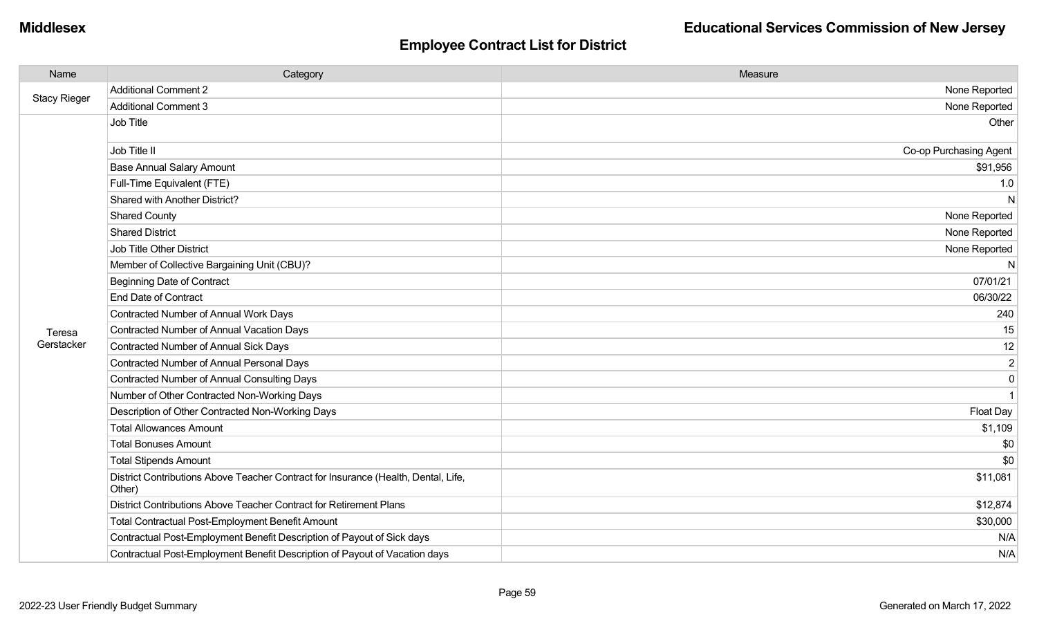| Name                | Category                                                                                     | Measure                |
|---------------------|----------------------------------------------------------------------------------------------|------------------------|
|                     | <b>Additional Comment 2</b>                                                                  | None Reported          |
| <b>Stacy Rieger</b> | Additional Comment 3                                                                         | None Reported          |
|                     | Job Title                                                                                    | Other                  |
|                     | Job Title II                                                                                 | Co-op Purchasing Agent |
|                     | <b>Base Annual Salary Amount</b>                                                             | \$91,956               |
|                     | Full-Time Equivalent (FTE)                                                                   | 1.0                    |
|                     | Shared with Another District?                                                                | N                      |
|                     | <b>Shared County</b>                                                                         | None Reported          |
|                     | <b>Shared District</b>                                                                       | None Reported          |
|                     | Job Title Other District                                                                     | None Reported          |
|                     | Member of Collective Bargaining Unit (CBU)?                                                  | N                      |
|                     | <b>Beginning Date of Contract</b>                                                            | 07/01/21               |
|                     | <b>End Date of Contract</b>                                                                  | 06/30/22               |
|                     | Contracted Number of Annual Work Days                                                        | 240                    |
| Teresa              | Contracted Number of Annual Vacation Days                                                    | 15                     |
| Gerstacker          | <b>Contracted Number of Annual Sick Days</b>                                                 | 12                     |
|                     | <b>Contracted Number of Annual Personal Days</b>                                             | $\overline{2}$         |
|                     | <b>Contracted Number of Annual Consulting Days</b>                                           | $\mathbf 0$            |
|                     | Number of Other Contracted Non-Working Days                                                  | 1                      |
|                     | Description of Other Contracted Non-Working Days                                             | Float Day              |
|                     | <b>Total Allowances Amount</b>                                                               | \$1,109                |
|                     | <b>Total Bonuses Amount</b>                                                                  | \$0                    |
|                     | <b>Total Stipends Amount</b>                                                                 | \$0                    |
|                     | District Contributions Above Teacher Contract for Insurance (Health, Dental, Life,<br>Other) | \$11,081               |
|                     | District Contributions Above Teacher Contract for Retirement Plans                           | \$12,874               |
|                     | Total Contractual Post-Employment Benefit Amount                                             | \$30,000               |
|                     | Contractual Post-Employment Benefit Description of Payout of Sick days                       | N/A                    |
|                     | Contractual Post-Employment Benefit Description of Payout of Vacation days                   | N/A                    |